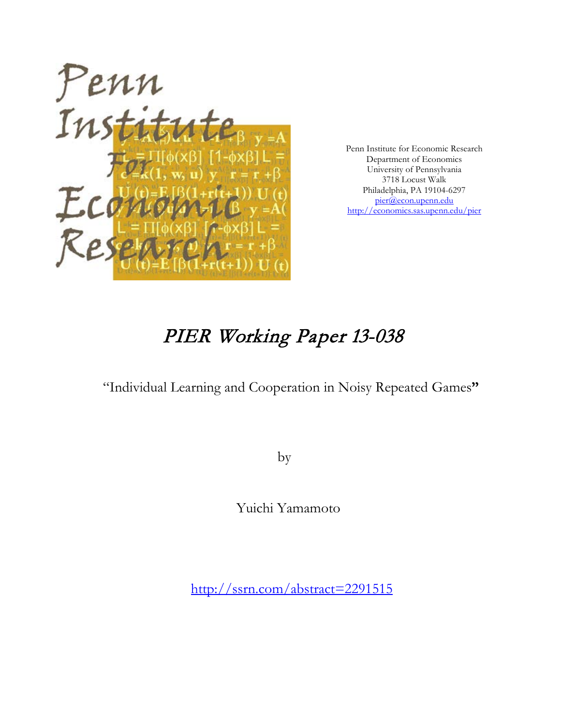

Penn Institute for Economic Research Department of Economics University of Pennsylvania 3718 Locust Walk Philadelphia, PA 19104-6297 [pier@econ.upenn.edu](mailto:pier@econ.upenn.edu) <http://economics.sas.upenn.edu/pier>

# PIER Working Paper 13-038

"Individual Learning and Cooperation in Noisy Repeated Games**"**

by

Yuichi Yamamoto

[http://ssrn.com/abstract=2](http://ssrn.com/abstract_id=)291515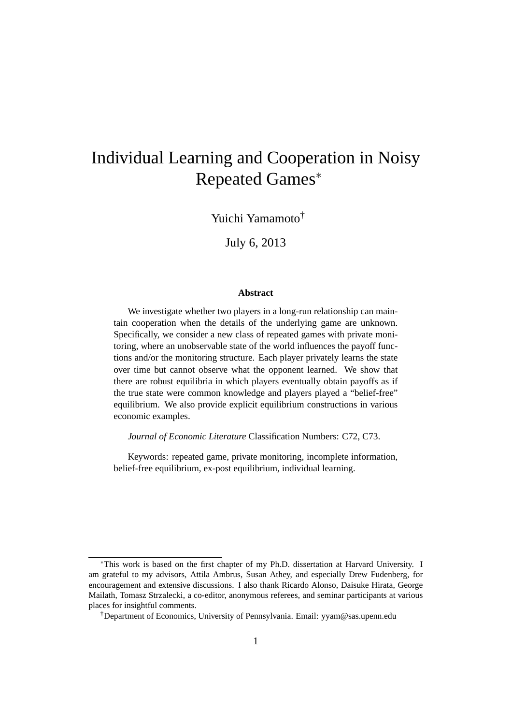## Individual Learning and Cooperation in Noisy Repeated Games<sup>∗</sup>

Yuichi Yamamoto†

July 6, 2013

#### **Abstract**

We investigate whether two players in a long-run relationship can maintain cooperation when the details of the underlying game are unknown. Specifically, we consider a new class of repeated games with private monitoring, where an unobservable state of the world influences the payoff functions and/or the monitoring structure. Each player privately learns the state over time but cannot observe what the opponent learned. We show that there are robust equilibria in which players eventually obtain payoffs as if the true state were common knowledge and players played a "belief-free" equilibrium. We also provide explicit equilibrium constructions in various economic examples.

*Journal of Economic Literature* Classification Numbers: C72, C73.

Keywords: repeated game, private monitoring, incomplete information, belief-free equilibrium, ex-post equilibrium, individual learning.

<sup>∗</sup>This work is based on the first chapter of my Ph.D. dissertation at Harvard University. I am grateful to my advisors, Attila Ambrus, Susan Athey, and especially Drew Fudenberg, for encouragement and extensive discussions. I also thank Ricardo Alonso, Daisuke Hirata, George Mailath, Tomasz Strzalecki, a co-editor, anonymous referees, and seminar participants at various places for insightful comments.

<sup>†</sup>Department of Economics, University of Pennsylvania. Email: yyam@sas.upenn.edu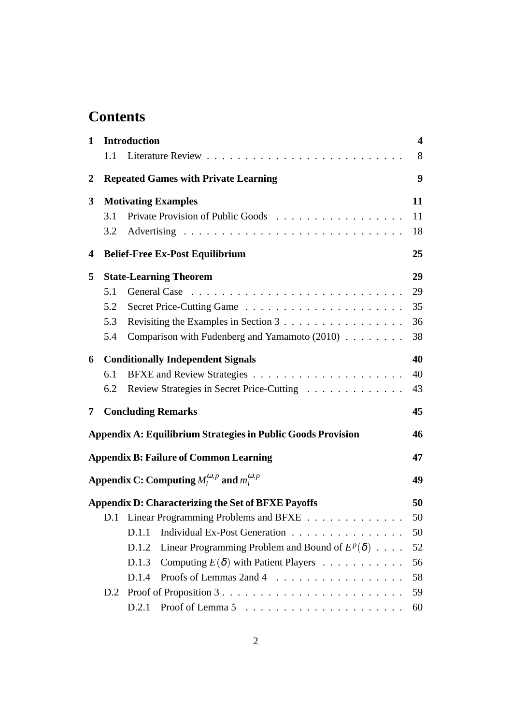## **Contents**

| $\mathbf 1$      |                                             | <b>Introduction</b>                                                 |    |  |  |  |  |  |  |  |
|------------------|---------------------------------------------|---------------------------------------------------------------------|----|--|--|--|--|--|--|--|
|                  | 1.1                                         |                                                                     | 8  |  |  |  |  |  |  |  |
| $\boldsymbol{2}$ | <b>Repeated Games with Private Learning</b> |                                                                     |    |  |  |  |  |  |  |  |
| 3                | <b>Motivating Examples</b>                  |                                                                     |    |  |  |  |  |  |  |  |
|                  | 3.1                                         | Private Provision of Public Goods                                   | 11 |  |  |  |  |  |  |  |
|                  | 3.2                                         |                                                                     | 18 |  |  |  |  |  |  |  |
| 4                |                                             | <b>Belief-Free Ex-Post Equilibrium</b>                              |    |  |  |  |  |  |  |  |
| 5                |                                             | <b>State-Learning Theorem</b>                                       | 29 |  |  |  |  |  |  |  |
|                  | 5.1                                         |                                                                     | 29 |  |  |  |  |  |  |  |
|                  | 5.2                                         |                                                                     | 35 |  |  |  |  |  |  |  |
|                  | 5.3                                         | Revisiting the Examples in Section 3                                | 36 |  |  |  |  |  |  |  |
|                  | 5.4                                         | Comparison with Fudenberg and Yamamoto $(2010)$                     | 38 |  |  |  |  |  |  |  |
| 6                | <b>Conditionally Independent Signals</b>    |                                                                     |    |  |  |  |  |  |  |  |
|                  | 6.1                                         |                                                                     | 40 |  |  |  |  |  |  |  |
|                  | 6.2                                         | Review Strategies in Secret Price-Cutting                           | 43 |  |  |  |  |  |  |  |
| 7                |                                             | 45<br><b>Concluding Remarks</b>                                     |    |  |  |  |  |  |  |  |
|                  |                                             | <b>Appendix A: Equilibrium Strategies in Public Goods Provision</b> | 46 |  |  |  |  |  |  |  |
|                  |                                             | <b>Appendix B: Failure of Common Learning</b>                       | 47 |  |  |  |  |  |  |  |
|                  |                                             | Appendix C: Computing $M_i^{\omega,p}$ and $m_i^{\omega,p}$         | 49 |  |  |  |  |  |  |  |
|                  |                                             | <b>Appendix D: Characterizing the Set of BFXE Payoffs</b>           | 50 |  |  |  |  |  |  |  |
|                  |                                             | D.1 Linear Programming Problems and BFXE                            | 50 |  |  |  |  |  |  |  |
|                  |                                             | D.1.1<br>Individual Ex-Post Generation                              | 50 |  |  |  |  |  |  |  |
|                  |                                             | Linear Programming Problem and Bound of $E^p(\delta)$<br>D.1.2      | 52 |  |  |  |  |  |  |  |
|                  |                                             | Computing $E(\delta)$ with Patient Players<br>D.1.3                 | 56 |  |  |  |  |  |  |  |
|                  |                                             | Proofs of Lemmas 2and 4<br>D.1.4                                    | 58 |  |  |  |  |  |  |  |
|                  | D.2                                         |                                                                     | 59 |  |  |  |  |  |  |  |
|                  |                                             |                                                                     | 60 |  |  |  |  |  |  |  |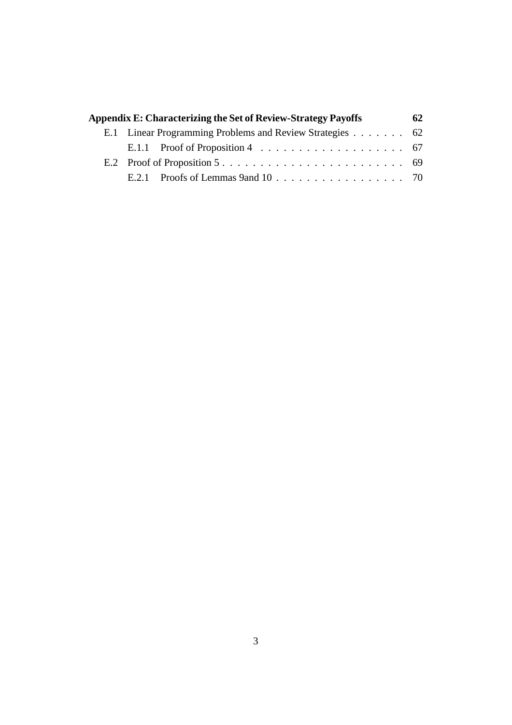| Appendix E: Characterizing the Set of Review-Strategy Payoffs                                | 62 |
|----------------------------------------------------------------------------------------------|----|
| E.1 Linear Programming Problems and Review Strategies 62                                     |    |
|                                                                                              |    |
|                                                                                              |    |
| E.2.1 Proofs of Lemmas 9 and $10 \ldots \ldots \ldots \ldots \ldots \ldots \ldots \ldots$ 70 |    |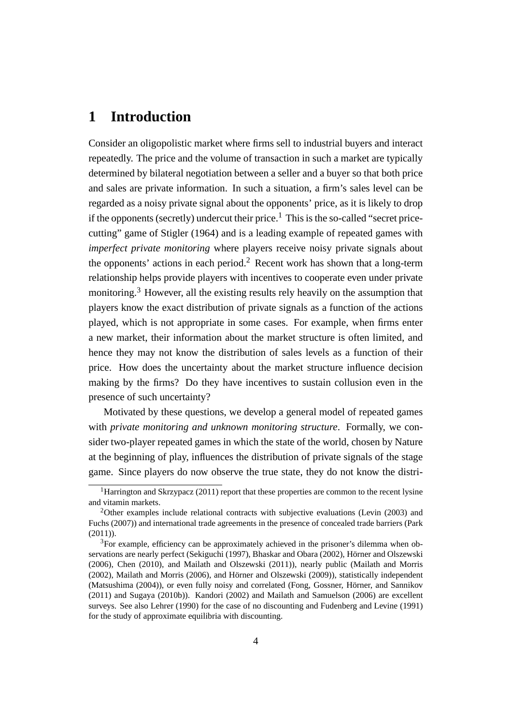## **1 Introduction**

Consider an oligopolistic market where firms sell to industrial buyers and interact repeatedly. The price and the volume of transaction in such a market are typically determined by bilateral negotiation between a seller and a buyer so that both price and sales are private information. In such a situation, a firm's sales level can be regarded as a noisy private signal about the opponents' price, as it is likely to drop if the opponents (secretly) undercut their price.<sup>1</sup> This is the so-called "secret pricecutting" game of Stigler (1964) and is a leading example of repeated games with *imperfect private monitoring* where players receive noisy private signals about the opponents' actions in each period.<sup>2</sup> Recent work has shown that a long-term relationship helps provide players with incentives to cooperate even under private monitoring.<sup>3</sup> However, all the existing results rely heavily on the assumption that players know the exact distribution of private signals as a function of the actions played, which is not appropriate in some cases. For example, when firms enter a new market, their information about the market structure is often limited, and hence they may not know the distribution of sales levels as a function of their price. How does the uncertainty about the market structure influence decision making by the firms? Do they have incentives to sustain collusion even in the presence of such uncertainty?

Motivated by these questions, we develop a general model of repeated games with *private monitoring and unknown monitoring structure*. Formally, we consider two-player repeated games in which the state of the world, chosen by Nature at the beginning of play, influences the distribution of private signals of the stage game. Since players do now observe the true state, they do not know the distri-

<sup>&</sup>lt;sup>1</sup>Harrington and Skrzypacz (2011) report that these properties are common to the recent lysine and vitamin markets.

<sup>&</sup>lt;sup>2</sup>Other examples include relational contracts with subjective evaluations (Levin (2003) and Fuchs (2007)) and international trade agreements in the presence of concealed trade barriers (Park (2011)).

 $3$ For example, efficiency can be approximately achieved in the prisoner's dilemma when observations are nearly perfect (Sekiguchi (1997), Bhaskar and Obara (2002), Hörner and Olszewski (2006), Chen (2010), and Mailath and Olszewski (2011)), nearly public (Mailath and Morris (2002), Mailath and Morris (2006), and Hörner and Olszewski (2009)), statistically independent (Matsushima (2004)), or even fully noisy and correlated (Fong, Gossner, Hörner, and Sannikov (2011) and Sugaya (2010b)). Kandori (2002) and Mailath and Samuelson (2006) are excellent surveys. See also Lehrer (1990) for the case of no discounting and Fudenberg and Levine (1991) for the study of approximate equilibria with discounting.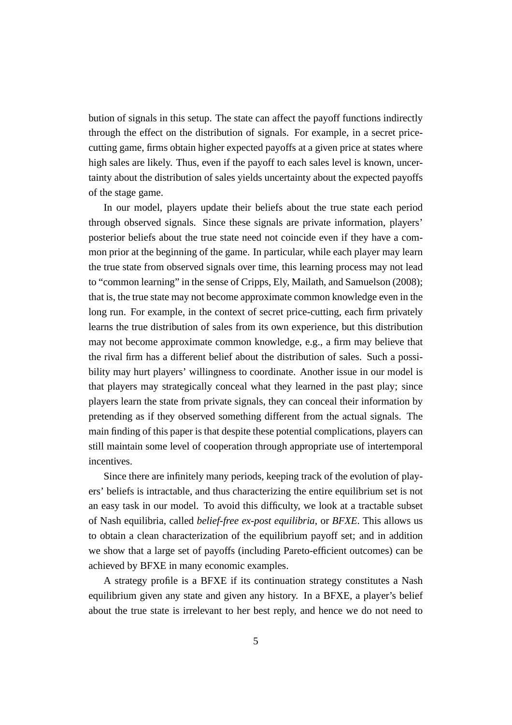bution of signals in this setup. The state can affect the payoff functions indirectly through the effect on the distribution of signals. For example, in a secret pricecutting game, firms obtain higher expected payoffs at a given price at states where high sales are likely. Thus, even if the payoff to each sales level is known, uncertainty about the distribution of sales yields uncertainty about the expected payoffs of the stage game.

In our model, players update their beliefs about the true state each period through observed signals. Since these signals are private information, players' posterior beliefs about the true state need not coincide even if they have a common prior at the beginning of the game. In particular, while each player may learn the true state from observed signals over time, this learning process may not lead to "common learning" in the sense of Cripps, Ely, Mailath, and Samuelson (2008); that is, the true state may not become approximate common knowledge even in the long run. For example, in the context of secret price-cutting, each firm privately learns the true distribution of sales from its own experience, but this distribution may not become approximate common knowledge, e.g., a firm may believe that the rival firm has a different belief about the distribution of sales. Such a possibility may hurt players' willingness to coordinate. Another issue in our model is that players may strategically conceal what they learned in the past play; since players learn the state from private signals, they can conceal their information by pretending as if they observed something different from the actual signals. The main finding of this paper is that despite these potential complications, players can still maintain some level of cooperation through appropriate use of intertemporal incentives.

Since there are infinitely many periods, keeping track of the evolution of players' beliefs is intractable, and thus characterizing the entire equilibrium set is not an easy task in our model. To avoid this difficulty, we look at a tractable subset of Nash equilibria, called *belief-free ex-post equilibria*, or *BFXE*. This allows us to obtain a clean characterization of the equilibrium payoff set; and in addition we show that a large set of payoffs (including Pareto-efficient outcomes) can be achieved by BFXE in many economic examples.

A strategy profile is a BFXE if its continuation strategy constitutes a Nash equilibrium given any state and given any history. In a BFXE, a player's belief about the true state is irrelevant to her best reply, and hence we do not need to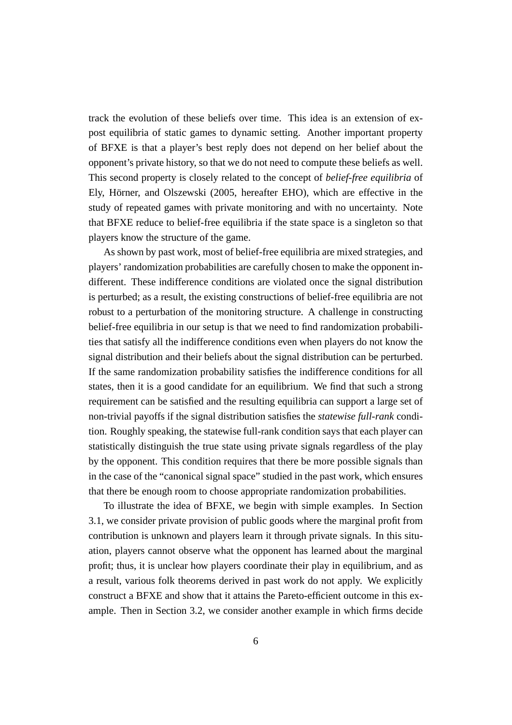track the evolution of these beliefs over time. This idea is an extension of expost equilibria of static games to dynamic setting. Another important property of BFXE is that a player's best reply does not depend on her belief about the opponent's private history, so that we do not need to compute these beliefs as well. This second property is closely related to the concept of *belief-free equilibria* of Ely, Hörner, and Olszewski (2005, hereafter EHO), which are effective in the study of repeated games with private monitoring and with no uncertainty. Note that BFXE reduce to belief-free equilibria if the state space is a singleton so that players know the structure of the game.

As shown by past work, most of belief-free equilibria are mixed strategies, and players' randomization probabilities are carefully chosen to make the opponent indifferent. These indifference conditions are violated once the signal distribution is perturbed; as a result, the existing constructions of belief-free equilibria are not robust to a perturbation of the monitoring structure. A challenge in constructing belief-free equilibria in our setup is that we need to find randomization probabilities that satisfy all the indifference conditions even when players do not know the signal distribution and their beliefs about the signal distribution can be perturbed. If the same randomization probability satisfies the indifference conditions for all states, then it is a good candidate for an equilibrium. We find that such a strong requirement can be satisfied and the resulting equilibria can support a large set of non-trivial payoffs if the signal distribution satisfies the *statewise full-rank* condition. Roughly speaking, the statewise full-rank condition says that each player can statistically distinguish the true state using private signals regardless of the play by the opponent. This condition requires that there be more possible signals than in the case of the "canonical signal space" studied in the past work, which ensures that there be enough room to choose appropriate randomization probabilities.

To illustrate the idea of BFXE, we begin with simple examples. In Section 3.1, we consider private provision of public goods where the marginal profit from contribution is unknown and players learn it through private signals. In this situation, players cannot observe what the opponent has learned about the marginal profit; thus, it is unclear how players coordinate their play in equilibrium, and as a result, various folk theorems derived in past work do not apply. We explicitly construct a BFXE and show that it attains the Pareto-efficient outcome in this example. Then in Section 3.2, we consider another example in which firms decide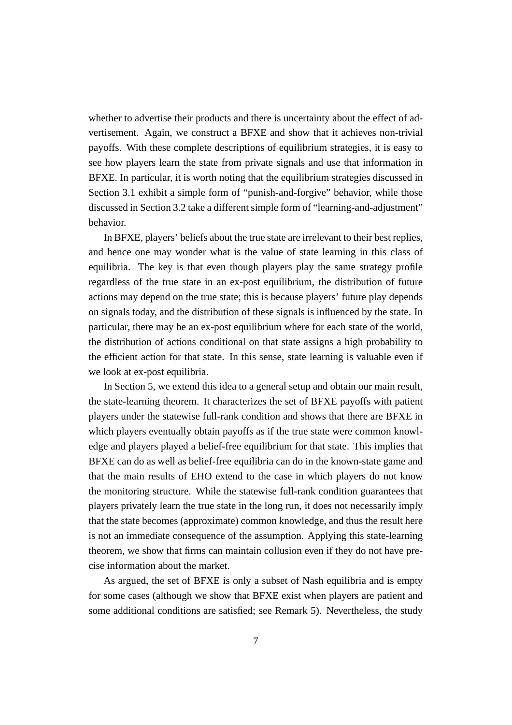whether to advertise their products and there is uncertainty about the effect of advertisement. Again, we construct a BFXE and show that it achieves non-trivial payoffs. With these complete descriptions of equilibrium strategies, it is easy to see how players learn the state from private signals and use that information in BFXE. In particular, it is worth noting that the equilibrium strategies discussed in Section 3.1 exhibit a simple form of "punish-and-forgive" behavior, while those discussed in Section 3.2 take a different simple form of "learning-and-adjustment" behavior.

In BFXE, players' beliefs about the true state are irrelevant to their best replies, and hence one may wonder what is the value of state learning in this class of equilibria. The key is that even though players play the same strategy profile regardless of the true state in an ex-post equilibrium, the distribution of future actions may depend on the true state; this is because players' future play depends on signals today, and the distribution of these signals is influenced by the state. In particular, there may be an ex-post equilibrium where for each state of the world, the distribution of actions conditional on that state assigns a high probability to the efficient action for that state. In this sense, state learning is valuable even if we look at ex-post equilibria.

In Section 5, we extend this idea to a general setup and obtain our main result, the state-learning theorem. It characterizes the set of BFXE payoffs with patient players under the statewise full-rank condition and shows that there are BFXE in which players eventually obtain payoffs as if the true state were common knowledge and players played a belief-free equilibrium for that state. This implies that BFXE can do as well as belief-free equilibria can do in the known-state game and that the main results of EHO extend to the case in which players do not know the monitoring structure. While the statewise full-rank condition guarantees that players privately learn the true state in the long run, it does not necessarily imply that the state becomes (approximate) common knowledge, and thus the result here is not an immediate consequence of the assumption. Applying this state-learning theorem, we show that firms can maintain collusion even if they do not have precise information about the market.

As argued, the set of BFXE is only a subset of Nash equilibria and is empty for some cases (although we show that BFXE exist when players are patient and some additional conditions are satisfied; see Remark 5). Nevertheless, the study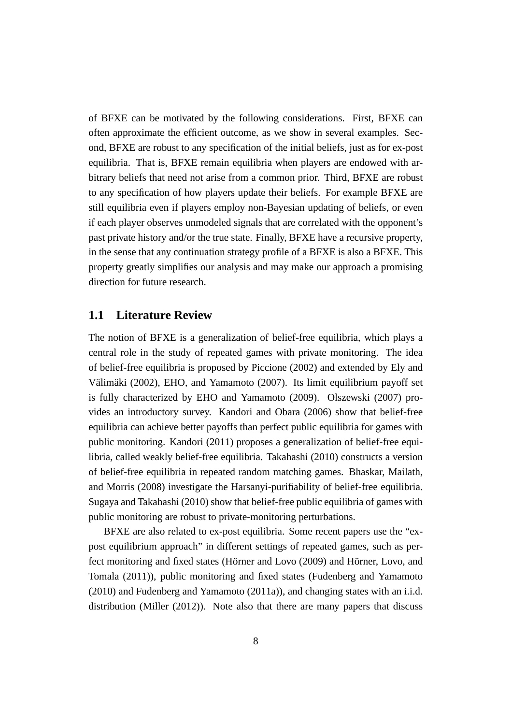of BFXE can be motivated by the following considerations. First, BFXE can often approximate the efficient outcome, as we show in several examples. Second, BFXE are robust to any specification of the initial beliefs, just as for ex-post equilibria. That is, BFXE remain equilibria when players are endowed with arbitrary beliefs that need not arise from a common prior. Third, BFXE are robust to any specification of how players update their beliefs. For example BFXE are still equilibria even if players employ non-Bayesian updating of beliefs, or even if each player observes unmodeled signals that are correlated with the opponent's past private history and/or the true state. Finally, BFXE have a recursive property, in the sense that any continuation strategy profile of a BFXE is also a BFXE. This property greatly simplifies our analysis and may make our approach a promising direction for future research.

#### **1.1 Literature Review**

The notion of BFXE is a generalization of belief-free equilibria, which plays a central role in the study of repeated games with private monitoring. The idea of belief-free equilibria is proposed by Piccione (2002) and extended by Ely and Välimäki (2002), EHO, and Yamamoto (2007). Its limit equilibrium payoff set is fully characterized by EHO and Yamamoto (2009). Olszewski (2007) provides an introductory survey. Kandori and Obara (2006) show that belief-free equilibria can achieve better payoffs than perfect public equilibria for games with public monitoring. Kandori (2011) proposes a generalization of belief-free equilibria, called weakly belief-free equilibria. Takahashi (2010) constructs a version of belief-free equilibria in repeated random matching games. Bhaskar, Mailath, and Morris (2008) investigate the Harsanyi-purifiability of belief-free equilibria. Sugaya and Takahashi (2010) show that belief-free public equilibria of games with public monitoring are robust to private-monitoring perturbations.

BFXE are also related to ex-post equilibria. Some recent papers use the "expost equilibrium approach" in different settings of repeated games, such as perfect monitoring and fixed states (Hörner and Lovo (2009) and Hörner, Lovo, and Tomala (2011)), public monitoring and fixed states (Fudenberg and Yamamoto (2010) and Fudenberg and Yamamoto (2011a)), and changing states with an i.i.d. distribution (Miller (2012)). Note also that there are many papers that discuss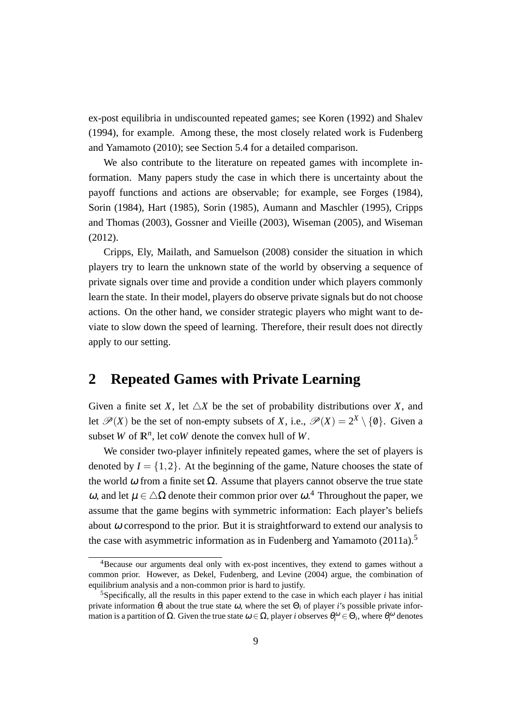ex-post equilibria in undiscounted repeated games; see Koren (1992) and Shalev (1994), for example. Among these, the most closely related work is Fudenberg and Yamamoto (2010); see Section 5.4 for a detailed comparison.

We also contribute to the literature on repeated games with incomplete information. Many papers study the case in which there is uncertainty about the payoff functions and actions are observable; for example, see Forges (1984), Sorin (1984), Hart (1985), Sorin (1985), Aumann and Maschler (1995), Cripps and Thomas (2003), Gossner and Vieille (2003), Wiseman (2005), and Wiseman (2012).

Cripps, Ely, Mailath, and Samuelson (2008) consider the situation in which players try to learn the unknown state of the world by observing a sequence of private signals over time and provide a condition under which players commonly learn the state. In their model, players do observe private signals but do not choose actions. On the other hand, we consider strategic players who might want to deviate to slow down the speed of learning. Therefore, their result does not directly apply to our setting.

### **2 Repeated Games with Private Learning**

Given a finite set *X*, let  $\triangle X$  be the set of probability distributions over *X*, and let  $\mathscr{P}(X)$  be the set of non-empty subsets of *X*, i.e.,  $\mathscr{P}(X) = 2^X \setminus \{0\}$ . Given a subset *W* of  $\mathbb{R}^n$ , let co*W* denote the convex hull of *W*.

We consider two-player infinitely repeated games, where the set of players is denoted by  $I = \{1, 2\}$ . At the beginning of the game, Nature chooses the state of the world  $\omega$  from a finite set  $\Omega$ . Assume that players cannot observe the true state ω, and let  $\mu \in \Delta \Omega$  denote their common prior over  $\omega$ .<sup>4</sup> Throughout the paper, we assume that the game begins with symmetric information: Each player's beliefs about  $\omega$  correspond to the prior. But it is straightforward to extend our analysis to the case with asymmetric information as in Fudenberg and Yamamoto  $(2011a)$ <sup>5</sup>

<sup>&</sup>lt;sup>4</sup>Because our arguments deal only with ex-post incentives, they extend to games without a common prior. However, as Dekel, Fudenberg, and Levine (2004) argue, the combination of equilibrium analysis and a non-common prior is hard to justify.

<sup>5</sup>Specifically, all the results in this paper extend to the case in which each player *i* has initial private information  $\theta_i$  about the true state  $\omega$ , where the set  $\Theta_i$  of player *i*'s possible private information is a partition of Ω. Given the true state  $ω ∈ Ω$ , player *i* observes  $θ_i^ω ∈ Θ_i$ , where  $θ_i^ω$  denotes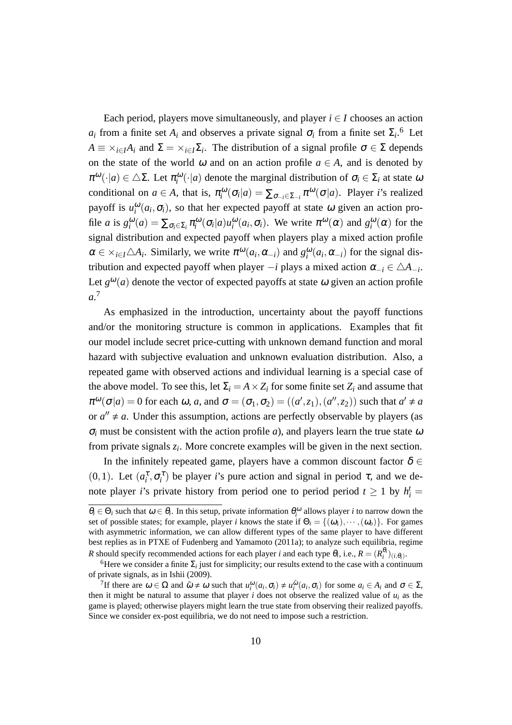Each period, players move simultaneously, and player  $i \in I$  chooses an action *a*<sub>*i*</sub> from a finite set  $A_i$  and observes a private signal  $\sigma_i$  from a finite set  $\Sigma_i$ <sup>6</sup>. Let  $A \equiv \times_{i \in I} A_i$  and  $\Sigma = \times_{i \in I} \Sigma_i$ . The distribution of a signal profile  $\sigma \in \Sigma$  depends on the state of the world  $\omega$  and on an action profile  $a \in A$ , and is denoted by  $\pi^{\omega}(\cdot|a) \in \Delta \Sigma$ . Let  $\pi_i^{\omega}(\cdot|a)$  denote the marginal distribution of  $\sigma_i \in \Sigma_i$  at state  $\omega$ conditional on  $a \in A$ , that is,  $\pi_i^{\omega}(\sigma_i|a) = \sum_{\sigma_{-i} \in \Sigma_{-i}} \pi^{\omega}(\sigma|a)$ . Player *i*'s realized payoff is  $u_i^{\omega}(a_i, \sigma_i)$ , so that her expected payoff at state  $\omega$  given an action profile *a* is  $g_i^{\omega}(a) = \sum_{\sigma_i \in \Sigma_i} \pi_i^{\omega}(\sigma_i|a) u_i^{\omega}(a_i, \sigma_i)$ . We write  $\pi^{\omega}(\alpha)$  and  $g_i^{\omega}(\alpha)$  for the signal distribution and expected payoff when players play a mixed action profile  $\alpha \in \times_{i \in I} \triangle A_i$ . Similarly, we write  $\pi^{\omega}(a_i, \alpha_{-i})$  and  $g_i^{\omega}(a_i, \alpha_{-i})$  for the signal distribution and expected payoff when player  $-i$  plays a mixed action  $\alpha_{-i} \in \triangle A_{-i}$ . Let  $g^{\omega}(a)$  denote the vector of expected payoffs at state  $\omega$  given an action profile *a*. 7

As emphasized in the introduction, uncertainty about the payoff functions and/or the monitoring structure is common in applications. Examples that fit our model include secret price-cutting with unknown demand function and moral hazard with subjective evaluation and unknown evaluation distribution. Also, a repeated game with observed actions and individual learning is a special case of the above model. To see this, let  $\Sigma_i = A \times Z_i$  for some finite set  $Z_i$  and assume that  $\pi^{\omega}(\sigma|a) = 0$  for each  $\omega$ , *a*, and  $\sigma = (\sigma_1, \sigma_2) = ((a', z_1), (a'', z_2))$  such that  $a' \neq a$ or  $a'' \neq a$ . Under this assumption, actions are perfectly observable by players (as  $\sigma_i$  must be consistent with the action profile *a*), and players learn the true state  $\omega$ from private signals  $z_i$ . More concrete examples will be given in the next section.

In the infinitely repeated game, players have a common discount factor  $\delta \in$ (0,1). Let  $(a_i^{\tau}, \sigma_i^{\tau})$  be player *i*'s pure action and signal in period  $\tau$ , and we denote player *i*'s private history from period one to period period  $t \geq 1$  by  $h_i^t =$ 

 $\theta_i \in \Theta_i$  such that  $\omega \in \theta_i$ . In this setup, private information  $\theta_i^{\omega}$  allows player *i* to narrow down the set of possible states; for example, player *i* knows the state if  $\Theta_i = \{(\omega_1), \dots, (\omega_o)\}\.$  For games with asymmetric information, we can allow different types of the same player to have different best replies as in PTXE of Fudenberg and Yamamoto (2011a); to analyze such equilibria, regime *R* should specify recommended actions for each player *i* and each type  $\theta_i$ , i.e.,  $R = (R_i^{\theta_i})_{(i,\theta_i)}$ .

<sup>&</sup>lt;sup>6</sup>Here we consider a finite  $\Sigma_i$  just for simplicity; our results extend to the case with a continuum of private signals, as in Ishii (2009).

There are  $\omega \in \Omega$  and  $\tilde{\omega} \neq \omega$  such that  $u_i^{\omega}(a_i, \sigma_i) \neq u_i^{\tilde{\omega}}(a_i, \sigma_i)$  for some  $a_i \in A_i$  and  $\sigma \in \Sigma$ , then it might be natural to assume that player *i* does not observe the realized value of  $u_i$  as the game is played; otherwise players might learn the true state from observing their realized payoffs. Since we consider ex-post equilibria, we do not need to impose such a restriction.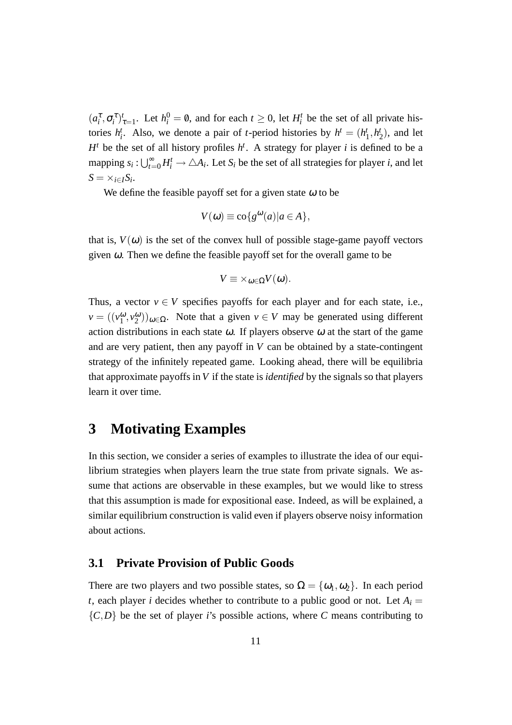$(a_i^{\tau}, \sigma_i^{\tau})'_{\tau=1}$ . Let  $h_i^0 = \emptyset$ , and for each  $t \geq 0$ , let  $H_i^t$  be the set of all private histories  $h_i^t$ . Also, we denote a pair of *t*-period histories by  $h^t = (h_1^t, h_2^t)$ , and let  $H<sup>t</sup>$  be the set of all history profiles  $h<sup>t</sup>$ . A strategy for player *i* is defined to be a mapping  $s_i: \bigcup_{t=0}^{\infty} H_i^t \to \triangle A_i$ . Let  $S_i$  be the set of all strategies for player *i*, and let  $S = \times_{i \in I} S_i$ .

We define the feasible payoff set for a given state  $\omega$  to be

$$
V(\omega) \equiv \text{co}\lbrace g^{\omega}(a) | a \in A \rbrace,
$$

that is,  $V(\omega)$  is the set of the convex hull of possible stage-game payoff vectors given  $\omega$ . Then we define the feasible payoff set for the overall game to be

$$
V \equiv \times_{\omega \in \Omega} V(\omega).
$$

Thus, a vector  $v \in V$  specifies payoffs for each player and for each state, i.e.,  $v = ((v_1^{\omega}, v_2^{\omega}))_{\omega \in \Omega}$ . Note that a given  $v \in V$  may be generated using different action distributions in each state  $\omega$ . If players observe  $\omega$  at the start of the game and are very patient, then any payoff in  $V$  can be obtained by a state-contingent strategy of the infinitely repeated game. Looking ahead, there will be equilibria that approximate payoffs in *V* if the state is *identified* by the signals so that players learn it over time.

## **3 Motivating Examples**

In this section, we consider a series of examples to illustrate the idea of our equilibrium strategies when players learn the true state from private signals. We assume that actions are observable in these examples, but we would like to stress that this assumption is made for expositional ease. Indeed, as will be explained, a similar equilibrium construction is valid even if players observe noisy information about actions.

#### **3.1 Private Provision of Public Goods**

There are two players and two possible states, so  $\Omega = {\omega_1, \omega_2}$ . In each period *t*, each player *i* decides whether to contribute to a public good or not. Let  $A_i =$  ${C,D}$  be the set of player *i*'s possible actions, where *C* means contributing to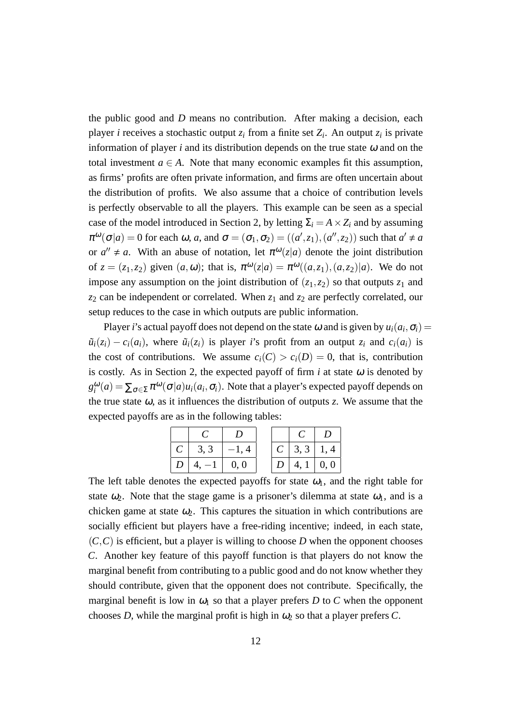the public good and *D* means no contribution. After making a decision, each player *i* receives a stochastic output  $z_i$  from a finite set  $Z_i$ . An output  $z_i$  is private information of player *i* and its distribution depends on the true state  $\omega$  and on the total investment  $a \in A$ . Note that many economic examples fit this assumption, as firms' profits are often private information, and firms are often uncertain about the distribution of profits. We also assume that a choice of contribution levels is perfectly observable to all the players. This example can be seen as a special case of the model introduced in Section 2, by letting  $\Sigma_i = A \times Z_i$  and by assuming  $\pi^{\omega}(\sigma|a) = 0$  for each  $\omega$ , *a*, and  $\sigma = (\sigma_1, \sigma_2) = ((a', z_1), (a'', z_2))$  such that  $a' \neq a$ or  $a'' \neq a$ . With an abuse of notation, let  $\pi^{\omega}(z|a)$  denote the joint distribution of  $z = (z_1, z_2)$  given  $(a, \omega)$ ; that is,  $\pi^{\omega}(z|a) = \pi^{\omega}((a, z_1), (a, z_2)|a)$ . We do not impose any assumption on the joint distribution of  $(z_1, z_2)$  so that outputs  $z_1$  and *z*<sup>2</sup> can be independent or correlated. When *z*<sup>1</sup> and *z*<sup>2</sup> are perfectly correlated, our setup reduces to the case in which outputs are public information.

Player *i*'s actual payoff does not depend on the state  $\omega$  and is given by  $u_i(a_i, \sigma_i) =$  $\tilde{u}_i(z_i) - c_i(a_i)$ , where  $\tilde{u}_i(z_i)$  is player *i*'s profit from an output  $z_i$  and  $c_i(a_i)$  is the cost of contributions. We assume  $c_i(C) > c_i(D) = 0$ , that is, contribution is costly. As in Section 2, the expected payoff of firm *i* at state  $\omega$  is denoted by  $g_i^{\omega}(a) = \sum_{\sigma \in \Sigma} \pi^{\omega}(\sigma|a) u_i(a_i, \sigma_i)$ . Note that a player's expected payoff depends on the true state  $\omega$ , as it influences the distribution of outputs *z*. We assume that the expected payoffs are as in the following tables:

|                                        |          |  |                         | $\mathbb{D}$ |
|----------------------------------------|----------|--|-------------------------|--------------|
| $C \begin{array}{ c } 3,3 \end{array}$ | $ -1, 4$ |  | $C \mid 3, 3 \mid 1, 4$ |              |
| $D   4, -1   0, 0$                     |          |  | $D \mid 4, 1 \mid 0, 0$ |              |

The left table denotes the expected payoffs for state  $\omega_1$ , and the right table for state  $\omega_2$ . Note that the stage game is a prisoner's dilemma at state  $\omega_1$ , and is a chicken game at state  $\omega_2$ . This captures the situation in which contributions are socially efficient but players have a free-riding incentive; indeed, in each state,  $(C, C)$  is efficient, but a player is willing to choose *D* when the opponent chooses *C*. Another key feature of this payoff function is that players do not know the marginal benefit from contributing to a public good and do not know whether they should contribute, given that the opponent does not contribute. Specifically, the marginal benefit is low in  $\omega_1$  so that a player prefers *D* to *C* when the opponent chooses *D*, while the marginal profit is high in  $\omega_2$  so that a player prefers *C*.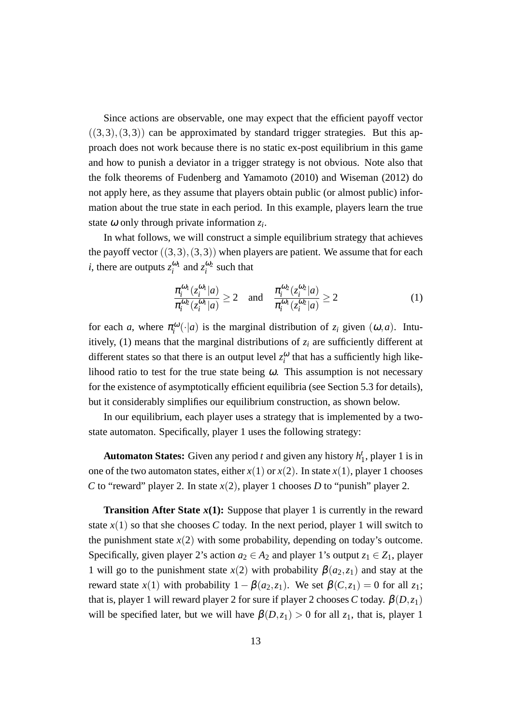Since actions are observable, one may expect that the efficient payoff vector  $((3,3),(3,3))$  can be approximated by standard trigger strategies. But this approach does not work because there is no static ex-post equilibrium in this game and how to punish a deviator in a trigger strategy is not obvious. Note also that the folk theorems of Fudenberg and Yamamoto (2010) and Wiseman (2012) do not apply here, as they assume that players obtain public (or almost public) information about the true state in each period. In this example, players learn the true state <sup>ω</sup> only through private information *z<sup>i</sup>* .

In what follows, we will construct a simple equilibrium strategy that achieves the payoff vector  $((3,3),(3,3))$  when players are patient. We assume that for each *i*, there are outputs  $z_i^{\omega_1}$  and  $z_i^{\omega_2}$  such that

$$
\frac{\pi_i^{\omega_1}(z_i^{\omega_1}|a)}{\pi_i^{\omega_2}(z_i^{\omega_1}|a)} \ge 2 \quad \text{and} \quad \frac{\pi_i^{\omega_2}(z_i^{\omega_2}|a)}{\pi_i^{\omega_1}(z_i^{\omega_2}|a)} \ge 2 \tag{1}
$$

for each *a*, where  $\pi_i^{\omega}(\cdot|a)$  is the marginal distribution of  $z_i$  given  $(\omega, a)$ . Intuitively,  $(1)$  means that the marginal distributions of  $z_i$  are sufficiently different at different states so that there is an output level  $z_i^{\omega}$  that has a sufficiently high likelihood ratio to test for the true state being  $\omega$ . This assumption is not necessary for the existence of asymptotically efficient equilibria (see Section 5.3 for details), but it considerably simplifies our equilibrium construction, as shown below.

In our equilibrium, each player uses a strategy that is implemented by a twostate automaton. Specifically, player 1 uses the following strategy:

Automaton States: Given any period *t* and given any history  $h_1^t$ , player 1 is in one of the two automaton states, either  $x(1)$  or  $x(2)$ . In state  $x(1)$ , player 1 chooses *C* to "reward" player 2. In state  $x(2)$ , player 1 chooses *D* to "punish" player 2.

**Transition After State**  $x(1)$ **:** Suppose that player 1 is currently in the reward state  $x(1)$  so that she chooses C today. In the next period, player 1 will switch to the punishment state  $x(2)$  with some probability, depending on today's outcome. Specifically, given player 2's action  $a_2 \in A_2$  and player 1's output  $z_1 \in Z_1$ , player 1 will go to the punishment state  $x(2)$  with probability  $\beta(a_2, z_1)$  and stay at the reward state  $x(1)$  with probability  $1 - \beta(a_2, z_1)$ . We set  $\beta(C, z_1) = 0$  for all  $z_1$ ; that is, player 1 will reward player 2 for sure if player 2 chooses *C* today.  $\beta(D, z_1)$ will be specified later, but we will have  $\beta(D, z_1) > 0$  for all  $z_1$ , that is, player 1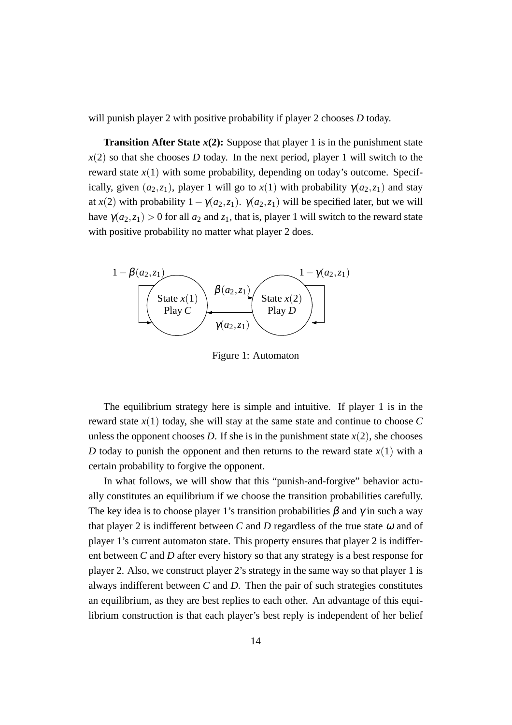will punish player 2 with positive probability if player 2 chooses *D* today.

**Transition After State**  $x(2)$ **:** Suppose that player 1 is in the punishment state  $x(2)$  so that she chooses *D* today. In the next period, player 1 will switch to the reward state *x*(1) with some probability, depending on today's outcome. Specifically, given  $(a_2, z_1)$ , player 1 will go to  $x(1)$  with probability  $\gamma(a_2, z_1)$  and stay at *x*(2) with probability  $1 - \gamma(a_2, z_1)$ .  $\gamma(a_2, z_1)$  will be specified later, but we will have  $\gamma(a_2, z_1) > 0$  for all  $a_2$  and  $z_1$ , that is, player 1 will switch to the reward state with positive probability no matter what player 2 does.



Figure 1: Automaton

The equilibrium strategy here is simple and intuitive. If player 1 is in the reward state  $x(1)$  today, she will stay at the same state and continue to choose  $C$ unless the opponent chooses D. If she is in the punishment state  $x(2)$ , she chooses *D* today to punish the opponent and then returns to the reward state  $x(1)$  with a certain probability to forgive the opponent.

In what follows, we will show that this "punish-and-forgive" behavior actually constitutes an equilibrium if we choose the transition probabilities carefully. The key idea is to choose player 1's transition probabilities  $\beta$  and  $\gamma$  in such a way that player 2 is indifferent between  $C$  and  $D$  regardless of the true state  $\omega$  and of player 1's current automaton state. This property ensures that player 2 is indifferent between *C* and *D* after every history so that any strategy is a best response for player 2. Also, we construct player 2's strategy in the same way so that player 1 is always indifferent between *C* and *D*. Then the pair of such strategies constitutes an equilibrium, as they are best replies to each other. An advantage of this equilibrium construction is that each player's best reply is independent of her belief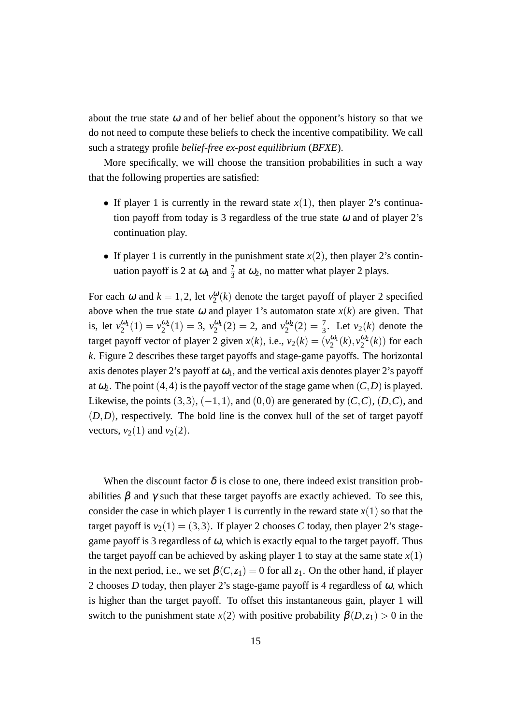about the true state  $\omega$  and of her belief about the opponent's history so that we do not need to compute these beliefs to check the incentive compatibility. We call such a strategy profile *belief-free ex-post equilibrium* (*BFXE*).

More specifically, we will choose the transition probabilities in such a way that the following properties are satisfied:

- If player 1 is currently in the reward state  $x(1)$ , then player 2's continuation payoff from today is 3 regardless of the true state  $\omega$  and of player 2's continuation play.
- If player 1 is currently in the punishment state  $x(2)$ , then player 2's continuation payoff is 2 at  $\omega_1$  and  $\frac{7}{3}$  at  $\omega_2$ , no matter what player 2 plays.

For each  $\omega$  and  $k = 1, 2$ , let  $v_2^{\omega}(k)$  denote the target payoff of player 2 specified above when the true state  $\omega$  and player 1's automaton state  $x(k)$  are given. That is, let  $v_2^{\omega_1}(1) = v_2^{\omega_2}(1) = 3$ ,  $v_2^{\omega_1}(2) = 2$ , and  $v_2^{\omega_2}(2) = \frac{7}{3}$ . Let  $v_2(k)$  denote the target payoff vector of player 2 given  $x(k)$ , i.e.,  $v_2(k) = (v_2^{\omega_1}(k), v_2^{\omega_2}(k))$  for each *k*. Figure 2 describes these target payoffs and stage-game payoffs. The horizontal axis denotes player 2's payoff at  $\omega_1$ , and the vertical axis denotes player 2's payoff at  $\omega_2$ . The point (4,4) is the payoff vector of the stage game when  $(C,D)$  is played. Likewise, the points  $(3,3)$ ,  $(-1,1)$ , and  $(0,0)$  are generated by  $(C, C)$ ,  $(D, C)$ , and (*D*,*D*), respectively. The bold line is the convex hull of the set of target payoff vectors,  $v_2(1)$  and  $v_2(2)$ .

When the discount factor  $\delta$  is close to one, there indeed exist transition probabilities  $\beta$  and  $\gamma$  such that these target payoffs are exactly achieved. To see this, consider the case in which player 1 is currently in the reward state  $x(1)$  so that the target payoff is  $v_2(1) = (3,3)$ . If player 2 chooses C today, then player 2's stagegame payoff is 3 regardless of  $\omega$ , which is exactly equal to the target payoff. Thus the target payoff can be achieved by asking player 1 to stay at the same state  $x(1)$ in the next period, i.e., we set  $\beta(C, z_1) = 0$  for all  $z_1$ . On the other hand, if player 2 chooses *D* today, then player 2's stage-game payoff is 4 regardless of  $\omega$ , which is higher than the target payoff. To offset this instantaneous gain, player 1 will switch to the punishment state  $x(2)$  with positive probability  $\beta(D, z_1) > 0$  in the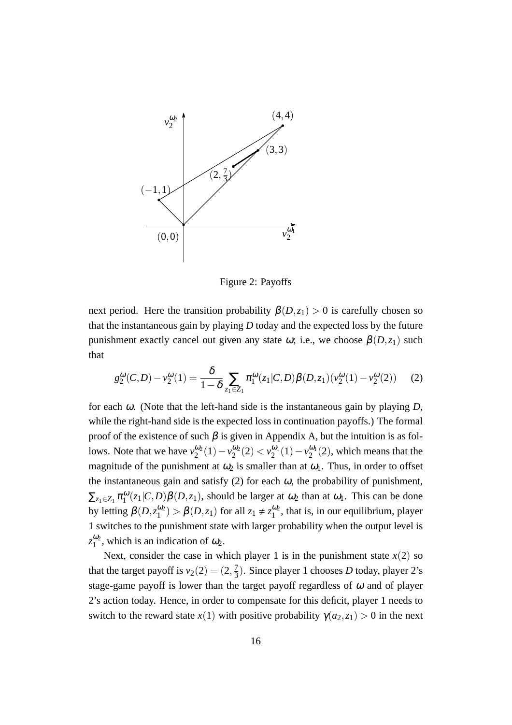

Figure 2: Payoffs

next period. Here the transition probability  $\beta(D, z_1) > 0$  is carefully chosen so that the instantaneous gain by playing *D* today and the expected loss by the future punishment exactly cancel out given any state  $ω$ ; i.e., we choose  $β(D, z<sub>1</sub>)$  such that

$$
g_2^{\omega}(C,D) - v_2^{\omega}(1) = \frac{\delta}{1-\delta} \sum_{z_1 \in Z_1} \pi_1^{\omega}(z_1|C,D) \beta(D,z_1)(v_2^{\omega}(1) - v_2^{\omega}(2)) \tag{2}
$$

for each  $\omega$ . (Note that the left-hand side is the instantaneous gain by playing *D*, while the right-hand side is the expected loss in continuation payoffs.) The formal proof of the existence of such  $β$  is given in Appendix A, but the intuition is as follows. Note that we have  $v_2^{\omega_2}(1) - v_2^{\omega_2}(2) < v_2^{\omega_1}(1) - v_2^{\omega_1}(2)$ , which means that the magnitude of the punishment at  $\omega_2$  is smaller than at  $\omega_1$ . Thus, in order to offset the instantaneous gain and satisfy (2) for each  $\omega$ , the probability of punishment,  $\sum_{z_1 \in Z_1} \pi_1^{\omega}(z_1|C,D)\beta(D,z_1)$ , should be larger at  $\omega_2$  than at  $\omega_1$ . This can be done by letting  $\beta(D, z_1^{(0)}) > \beta(D, z_1)$  for all  $z_1 \neq z_1^{(0)}$ , that is, in our equilibrium, player 1 switches to the punishment state with larger probability when the output level is  $z_1^{\omega_2}$ , which is an indication of  $\omega_2$ .

Next, consider the case in which player 1 is in the punishment state  $x(2)$  so that the target payoff is  $v_2(2) = (2, \frac{7}{3})$  $\frac{7}{3}$ ). Since player 1 chooses *D* today, player 2's stage-game payoff is lower than the target payoff regardless of  $\omega$  and of player 2's action today. Hence, in order to compensate for this deficit, player 1 needs to switch to the reward state  $x(1)$  with positive probability  $\gamma(a_2, z_1) > 0$  in the next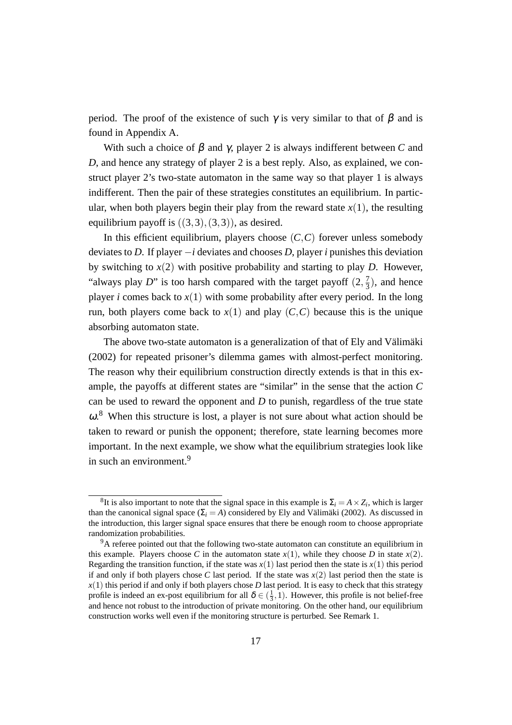period. The proof of the existence of such  $\gamma$  is very similar to that of  $\beta$  and is found in Appendix A.

With such a choice of  $\beta$  and  $\gamma$ , player 2 is always indifferent between C and *D*, and hence any strategy of player 2 is a best reply. Also, as explained, we construct player 2's two-state automaton in the same way so that player 1 is always indifferent. Then the pair of these strategies constitutes an equilibrium. In particular, when both players begin their play from the reward state  $x(1)$ , the resulting equilibrium payoff is  $((3,3),(3,3))$ , as desired.

In this efficient equilibrium, players choose  $(C, C)$  forever unless somebody deviates to *D*. If player  $-i$  deviates and chooses *D*, player *i* punishes this deviation by switching to  $x(2)$  with positive probability and starting to play *D*. However, "always play *D*" is too harsh compared with the target payoff  $(2, \frac{7}{3})$  $\frac{7}{3}$ ), and hence player *i* comes back to  $x(1)$  with some probability after every period. In the long run, both players come back to  $x(1)$  and play  $(C, C)$  because this is the unique absorbing automaton state.

The above two-state automaton is a generalization of that of Ely and Välimäki (2002) for repeated prisoner's dilemma games with almost-perfect monitoring. The reason why their equilibrium construction directly extends is that in this example, the payoffs at different states are "similar" in the sense that the action *C* can be used to reward the opponent and *D* to punish, regardless of the true state  $\omega$ <sup>8</sup>. When this structure is lost, a player is not sure about what action should be taken to reward or punish the opponent; therefore, state learning becomes more important. In the next example, we show what the equilibrium strategies look like in such an environment.<sup>9</sup>

<sup>&</sup>lt;sup>8</sup>It is also important to note that the signal space in this example is  $\Sigma_i = A \times Z_i$ , which is larger than the canonical signal space ( $\Sigma_i = A$ ) considered by Ely and Välimäki (2002). As discussed in the introduction, this larger signal space ensures that there be enough room to choose appropriate randomization probabilities.

<sup>&</sup>lt;sup>9</sup>A referee pointed out that the following two-state automaton can constitute an equilibrium in this example. Players choose C in the automaton state  $x(1)$ , while they choose D in state  $x(2)$ . Regarding the transition function, if the state was  $x(1)$  last period then the state is  $x(1)$  this period if and only if both players chose *C* last period. If the state was *x*(2) last period then the state is  $x(1)$  this period if and only if both players chose *D* last period. It is easy to check that this strategy profile is indeed an ex-post equilibrium for all  $\delta \in (\frac{1}{3}, 1)$ . However, this profile is not belief-free and hence not robust to the introduction of private monitoring. On the other hand, our equilibrium construction works well even if the monitoring structure is perturbed. See Remark 1.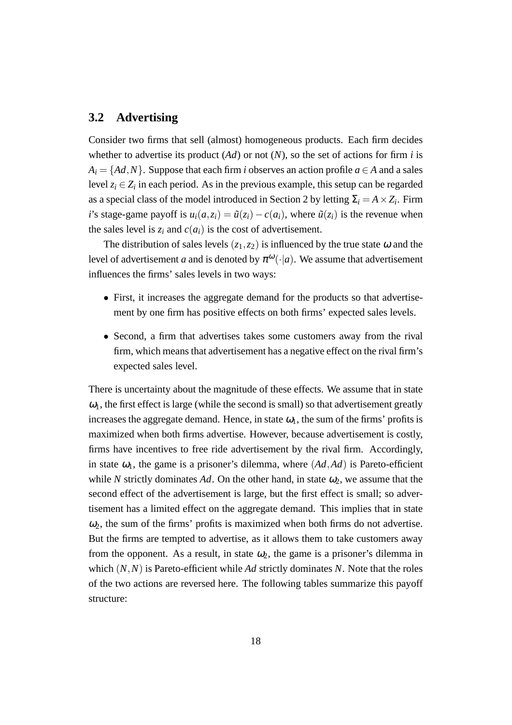#### **3.2 Advertising**

Consider two firms that sell (almost) homogeneous products. Each firm decides whether to advertise its product  $(Ad)$  or not  $(N)$ , so the set of actions for firm *i* is  $A_i = \{Ad, N\}$ . Suppose that each firm *i* observes an action profile *a* ∈ *A* and a sales level  $z_i \in Z_i$  in each period. As in the previous example, this setup can be regarded as a special class of the model introduced in Section 2 by letting  $\Sigma_i = A \times Z_i$ . Firm *i*'s stage-game payoff is  $u_i(a, z_i) = \tilde{u}(z_i) - c(a_i)$ , where  $\tilde{u}(z_i)$  is the revenue when the sales level is  $z_i$  and  $c(a_i)$  is the cost of advertisement.

The distribution of sales levels  $(z_1, z_2)$  is influenced by the true state  $\omega$  and the level of advertisement *a* and is denoted by  $\pi^{\omega}(\cdot|a)$ . We assume that advertisement influences the firms' sales levels in two ways:

- First, it increases the aggregate demand for the products so that advertisement by one firm has positive effects on both firms' expected sales levels.
- Second, a firm that advertises takes some customers away from the rival firm, which means that advertisement has a negative effect on the rival firm's expected sales level.

There is uncertainty about the magnitude of these effects. We assume that in state  $\omega_1$ , the first effect is large (while the second is small) so that advertisement greatly increases the aggregate demand. Hence, in state  $\omega_1$ , the sum of the firms' profits is maximized when both firms advertise. However, because advertisement is costly, firms have incentives to free ride advertisement by the rival firm. Accordingly, in state  $\omega_1$ , the game is a prisoner's dilemma, where  $(Ad,Ad)$  is Pareto-efficient while *N* strictly dominates *Ad*. On the other hand, in state  $\omega_2$ , we assume that the second effect of the advertisement is large, but the first effect is small; so advertisement has a limited effect on the aggregate demand. This implies that in state  $\omega_2$ , the sum of the firms' profits is maximized when both firms do not advertise. But the firms are tempted to advertise, as it allows them to take customers away from the opponent. As a result, in state  $\omega_2$ , the game is a prisoner's dilemma in which  $(N, N)$  is Pareto-efficient while *Ad* strictly dominates *N*. Note that the roles of the two actions are reversed here. The following tables summarize this payoff structure: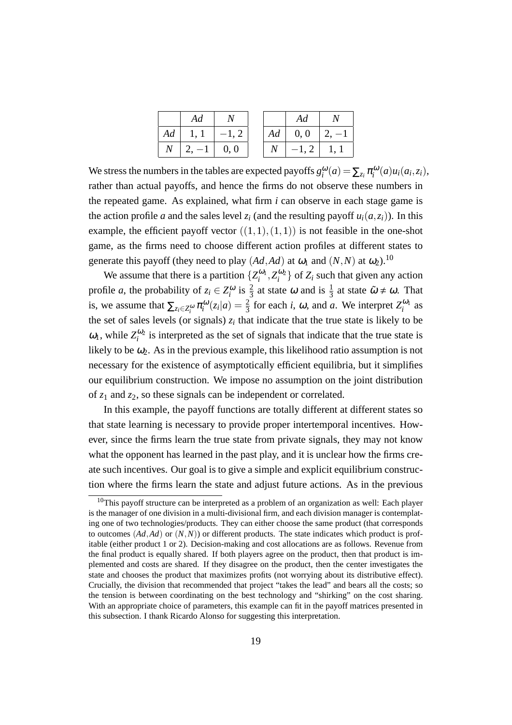| Ad                                                                                         |           |  | Ad                                            |  |
|--------------------------------------------------------------------------------------------|-----------|--|-----------------------------------------------|--|
| $\begin{array}{ c c c } \hline \end{array} Ad \begin{array}{ c c } \hline 1,1 \end{array}$ | $ -1, 2 $ |  | $Ad \begin{bmatrix} 0, 0 \end{bmatrix}$ 2, -1 |  |
| $N \mid 2, -1 \mid 0, 0$                                                                   |           |  | $N \mid -1, 2 \mid 1, 1$                      |  |

We stress the numbers in the tables are expected payoffs  $g_i^{\omega}(a) = \sum_{z_i} \pi_i^{\omega}(a) u_i(a_i, z_i)$ , rather than actual payoffs, and hence the firms do not observe these numbers in the repeated game. As explained, what firm *i* can observe in each stage game is the action profile *a* and the sales level  $z_i$  (and the resulting payoff  $u_i(a, z_i)$ ). In this example, the efficient payoff vector  $((1,1),(1,1))$  is not feasible in the one-shot game, as the firms need to choose different action profiles at different states to generate this payoff (they need to play  $(Ad,Ad)$  at  $\omega_1$  and  $(N, N)$  at  $\omega_2$ ).<sup>10</sup>

We assume that there is a partition  $\{Z_i^{\omega_1}, Z_i^{\omega_2}\}$  of  $Z_i$  such that given any action profile *a*, the probability of  $z_i \in Z_i^{\omega}$  is  $\frac{2}{3}$  at state  $\omega$  and is  $\frac{1}{3}$  at state  $\tilde{\omega} \neq \omega$ . That is, we assume that  $\sum_{z_i \in Z_i^{\omega}} \pi_i^{\omega}(z_i|a) = \frac{2}{3}$  for each *i*,  $\omega$ , and *a*. We interpret  $Z_i^{\omega_1}$  as the set of sales levels (or signals)  $z_i$  that indicate that the true state is likely to be  $\omega_1$ , while  $Z_i^{\omega_2}$  is interpreted as the set of signals that indicate that the true state is likely to be  $\omega_2$ . As in the previous example, this likelihood ratio assumption is not necessary for the existence of asymptotically efficient equilibria, but it simplifies our equilibrium construction. We impose no assumption on the joint distribution of *z*<sup>1</sup> and *z*2, so these signals can be independent or correlated.

In this example, the payoff functions are totally different at different states so that state learning is necessary to provide proper intertemporal incentives. However, since the firms learn the true state from private signals, they may not know what the opponent has learned in the past play, and it is unclear how the firms create such incentives. Our goal is to give a simple and explicit equilibrium construction where the firms learn the state and adjust future actions. As in the previous

 $10$ This payoff structure can be interpreted as a problem of an organization as well: Each player is the manager of one division in a multi-divisional firm, and each division manager is contemplating one of two technologies/products. They can either choose the same product (that corresponds to outcomes (*Ad*,*Ad*) or (*N*,*N*)) or different products. The state indicates which product is profitable (either product 1 or 2). Decision-making and cost allocations are as follows. Revenue from the final product is equally shared. If both players agree on the product, then that product is implemented and costs are shared. If they disagree on the product, then the center investigates the state and chooses the product that maximizes profits (not worrying about its distributive effect). Crucially, the division that recommended that project "takes the lead" and bears all the costs; so the tension is between coordinating on the best technology and "shirking" on the cost sharing. With an appropriate choice of parameters, this example can fit in the payoff matrices presented in this subsection. I thank Ricardo Alonso for suggesting this interpretation.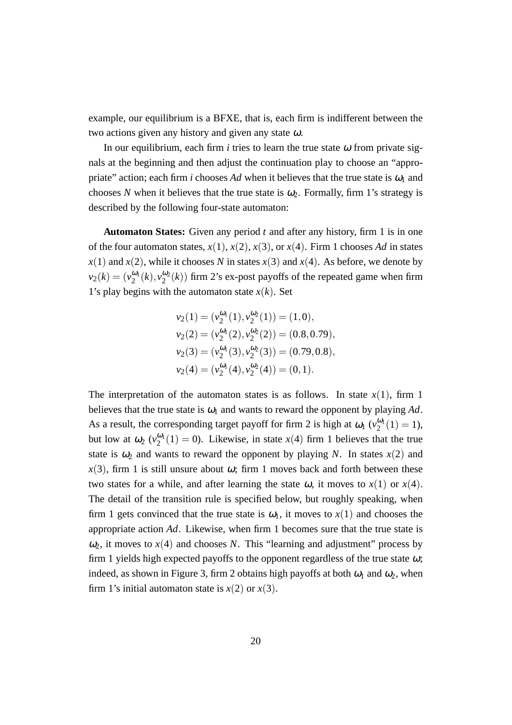example, our equilibrium is a BFXE, that is, each firm is indifferent between the two actions given any history and given any state  $\omega$ .

In our equilibrium, each firm *i* tries to learn the true state  $\omega$  from private signals at the beginning and then adjust the continuation play to choose an "appropriate" action; each firm *i* chooses *Ad* when it believes that the true state is  $\omega_1$  and chooses *N* when it believes that the true state is  $\omega_2$ . Formally, firm 1's strategy is described by the following four-state automaton:

**Automaton States:** Given any period *t* and after any history, firm 1 is in one of the four automaton states,  $x(1)$ ,  $x(2)$ ,  $x(3)$ , or  $x(4)$ . Firm 1 chooses *Ad* in states  $x(1)$  and  $x(2)$ , while it chooses *N* in states  $x(3)$  and  $x(4)$ . As before, we denote by  $v_2(k) = (v_2^{\omega_1}(k), v_2^{\omega_2}(k))$  firm 2's ex-post payoffs of the repeated game when firm 1's play begins with the automaton state  $x(k)$ . Set

$$
v_2(1) = (v_2^{\omega_1}(1), v_2^{\omega_2}(1)) = (1, 0),
$$
  
\n
$$
v_2(2) = (v_2^{\omega_1}(2), v_2^{\omega_2}(2)) = (0.8, 0.79),
$$
  
\n
$$
v_2(3) = (v_2^{\omega_1}(3), v_2^{\omega_2}(3)) = (0.79, 0.8),
$$
  
\n
$$
v_2(4) = (v_2^{\omega_1}(4), v_2^{\omega_2}(4)) = (0, 1).
$$

The interpretation of the automaton states is as follows. In state  $x(1)$ , firm 1 believes that the true state is  $\omega_1$  and wants to reward the opponent by playing Ad. As a result, the corresponding target payoff for firm 2 is high at  $\omega_1$  ( $v_2^{\omega_1}(1) = 1$ ), but low at  $\omega_2$  ( $v_2^{\omega_1}(1) = 0$ ). Likewise, in state  $x(4)$  firm 1 believes that the true state is  $\omega_2$  and wants to reward the opponent by playing *N*. In states  $x(2)$  and  $x(3)$ , firm 1 is still unsure about  $\omega$ ; firm 1 moves back and forth between these two states for a while, and after learning the state  $\omega$ , it moves to  $x(1)$  or  $x(4)$ . The detail of the transition rule is specified below, but roughly speaking, when firm 1 gets convinced that the true state is  $\omega_1$ , it moves to  $x(1)$  and chooses the appropriate action *Ad*. Likewise, when firm 1 becomes sure that the true state is  $\omega_2$ , it moves to  $x(4)$  and chooses *N*. This "learning and adjustment" process by firm 1 yields high expected payoffs to the opponent regardless of the true state  $\omega$ ; indeed, as shown in Figure 3, firm 2 obtains high payoffs at both  $\omega_1$  and  $\omega_2$ , when firm 1's initial automaton state is  $x(2)$  or  $x(3)$ .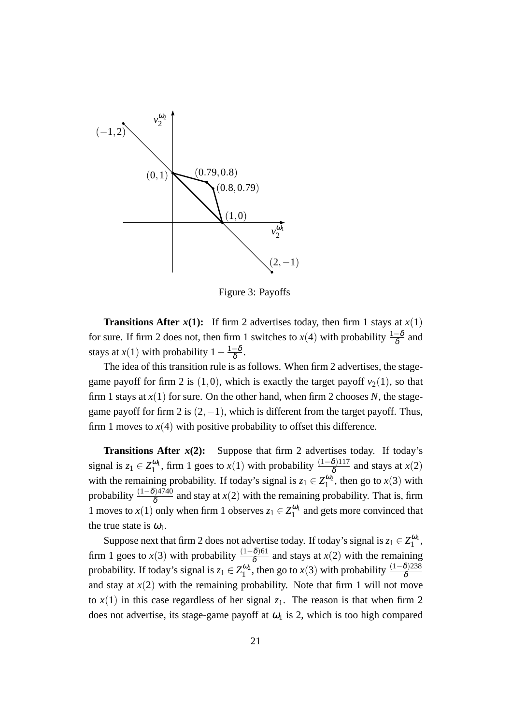

Figure 3: Payoffs

**Transitions After**  $x(1)$ **:** If firm 2 advertises today, then firm 1 stays at  $x(1)$ for sure. If firm 2 does not, then firm 1 switches to  $x(4)$  with probability  $\frac{1-\delta}{\delta}$  and stays at *x*(1) with probability  $1 - \frac{1-\delta}{\delta}$ .

The idea of this transition rule is as follows. When firm 2 advertises, the stagegame payoff for firm 2 is  $(1,0)$ , which is exactly the target payoff  $v_2(1)$ , so that firm 1 stays at  $x(1)$  for sure. On the other hand, when firm 2 chooses N, the stagegame payoff for firm 2 is  $(2, -1)$ , which is different from the target payoff. Thus, firm 1 moves to  $x(4)$  with positive probability to offset this difference.

**Transitions After**  $x(2)$ **:** Suppose that firm 2 advertises today. If today's signal is  $z_1 \in Z_1^{\omega_1}$ , firm 1 goes to  $x(1)$  with probability  $\frac{(1-\delta)117}{\delta}$  and stays at  $x(2)$ with the remaining probability. If today's signal is  $z_1 \in Z_1^{\omega_2}$ , then go to  $x(3)$  with probability  $\frac{(1-\delta)4740}{\delta}$  and stay at *x*(2) with the remaining probability. That is, firm 1 moves to *x*(1) only when firm 1 observes  $z_1 \in Z_1^{\omega_1}$  and gets more convinced that the true state is  $\omega_1$ .

Suppose next that firm 2 does not advertise today. If today's signal is  $z_1 \in Z_1^{\omega_1}$ , firm 1 goes to *x*(3) with probability  $\frac{(1-\delta)61}{\delta}$  and stays at *x*(2) with the remaining probability. If today's signal is  $z_1 \in Z_1^{\omega_2}$ , then go to  $x(3)$  with probability  $\frac{(1-\delta)238}{\delta}$ and stay at  $x(2)$  with the remaining probability. Note that firm 1 will not move to  $x(1)$  in this case regardless of her signal  $z_1$ . The reason is that when firm 2 does not advertise, its stage-game payoff at  $\omega_1$  is 2, which is too high compared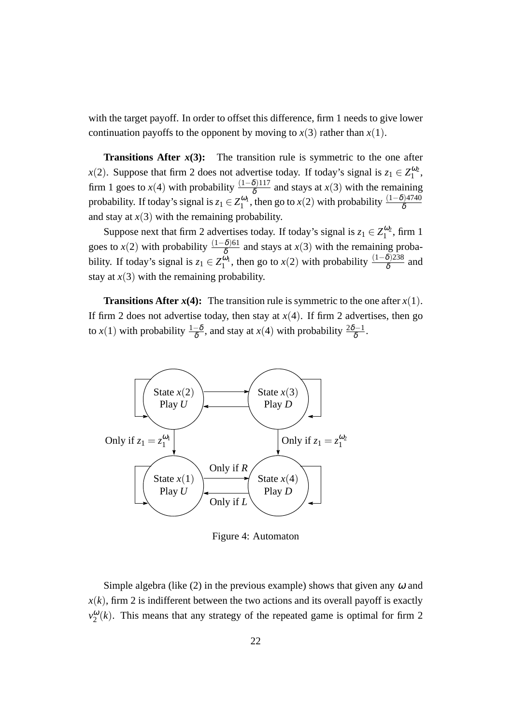with the target payoff. In order to offset this difference, firm 1 needs to give lower continuation payoffs to the opponent by moving to  $x(3)$  rather than  $x(1)$ .

**Transitions After**  $x(3)$ **:** The transition rule is symmetric to the one after *x*(2). Suppose that firm 2 does not advertise today. If today's signal is  $z_1 \in Z_1^{\omega_2}$ , firm 1 goes to *x*(4) with probability  $\frac{(1-\delta)117}{\delta}$  and stays at *x*(3) with the remaining probability. If today's signal is  $z_1 \in Z_1^{\omega_1}$ , then go to  $x(2)$  with probability  $\frac{(1-\delta)4740}{\delta}$ and stay at  $x(3)$  with the remaining probability.

Suppose next that firm 2 advertises today. If today's signal is  $z_1 \in Z_1^{\omega_2}$ , firm 1 goes to *x*(2) with probability  $\frac{(1-\delta)61}{\delta}$  and stays at *x*(3) with the remaining probability. If today's signal is  $z_1 \in Z_1^{\omega_1}$ , then go to  $x(2)$  with probability  $\frac{(1-\delta)238}{\delta}$  and stay at  $x(3)$  with the remaining probability.

**Transitions After** *x***(4):** The transition rule is symmetric to the one after *x*(1). If firm 2 does not advertise today, then stay at  $x(4)$ . If firm 2 advertises, then go to *x*(1) with probability  $\frac{1-\delta}{\delta}$ , and stay at *x*(4) with probability  $\frac{2\delta-1}{\delta}$ .



Figure 4: Automaton

Simple algebra (like (2) in the previous example) shows that given any  $\omega$  and  $x(k)$ , firm 2 is indifferent between the two actions and its overall payoff is exactly  $v_2^{\omega}(k)$ . This means that any strategy of the repeated game is optimal for firm 2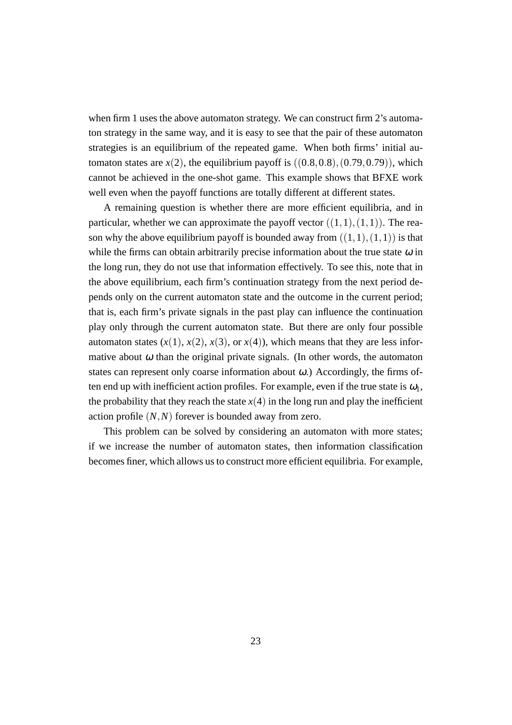when firm 1 uses the above automaton strategy. We can construct firm 2's automaton strategy in the same way, and it is easy to see that the pair of these automaton strategies is an equilibrium of the repeated game. When both firms' initial automaton states are  $x(2)$ , the equilibrium payoff is  $((0.8, 0.8), (0.79, 0.79))$ , which cannot be achieved in the one-shot game. This example shows that BFXE work well even when the payoff functions are totally different at different states.

A remaining question is whether there are more efficient equilibria, and in particular, whether we can approximate the payoff vector  $((1,1),(1,1))$ . The reason why the above equilibrium payoff is bounded away from  $((1,1),(1,1))$  is that while the firms can obtain arbitrarily precise information about the true state  $\omega$  in the long run, they do not use that information effectively. To see this, note that in the above equilibrium, each firm's continuation strategy from the next period depends only on the current automaton state and the outcome in the current period; that is, each firm's private signals in the past play can influence the continuation play only through the current automaton state. But there are only four possible automaton states  $(x(1), x(2), x(3),$  or  $x(4)$ ), which means that they are less informative about  $\omega$  than the original private signals. (In other words, the automaton states can represent only coarse information about  $\omega$ .) Accordingly, the firms often end up with inefficient action profiles. For example, even if the true state is  $\omega_1$ , the probability that they reach the state  $x(4)$  in the long run and play the inefficient action profile (*N*,*N*) forever is bounded away from zero.

This problem can be solved by considering an automaton with more states; if we increase the number of automaton states, then information classification becomes finer, which allows us to construct more efficient equilibria. For example,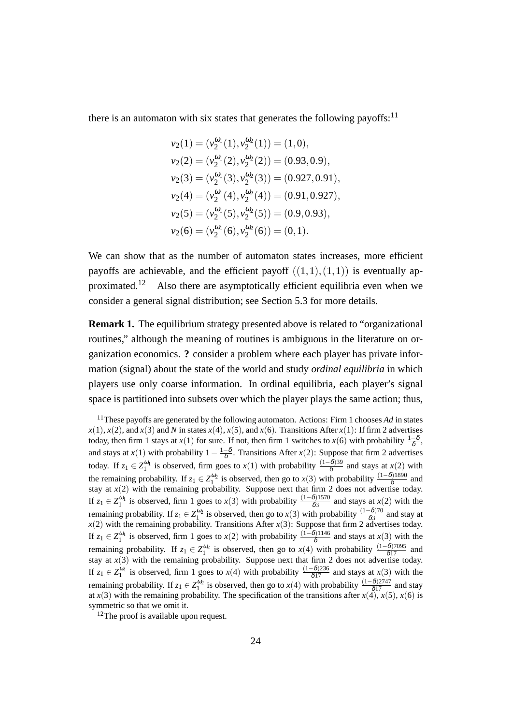there is an automaton with six states that generates the following payoffs:  $11$ 

$$
v_2(1) = (v_2^{\omega_1}(1), v_2^{\omega_2}(1)) = (1, 0),
$$
  
\n
$$
v_2(2) = (v_2^{\omega_1}(2), v_2^{\omega_2}(2)) = (0.93, 0.9),
$$
  
\n
$$
v_2(3) = (v_2^{\omega_1}(3), v_2^{\omega_2}(3)) = (0.927, 0.91),
$$
  
\n
$$
v_2(4) = (v_2^{\omega_1}(4), v_2^{\omega_2}(4)) = (0.91, 0.927),
$$
  
\n
$$
v_2(5) = (v_2^{\omega_1}(5), v_2^{\omega_2}(5)) = (0.9, 0.93),
$$
  
\n
$$
v_2(6) = (v_2^{\omega_1}(6), v_2^{\omega_2}(6)) = (0, 1).
$$

We can show that as the number of automaton states increases, more efficient payoffs are achievable, and the efficient payoff  $((1,1),(1,1))$  is eventually approximated.<sup>12</sup> Also there are asymptotically efficient equilibria even when we consider a general signal distribution; see Section 5.3 for more details.

**Remark 1.** The equilibrium strategy presented above is related to "organizational routines," although the meaning of routines is ambiguous in the literature on organization economics. **?** consider a problem where each player has private information (signal) about the state of the world and study *ordinal equilibria* in which players use only coarse information. In ordinal equilibria, each player's signal space is partitioned into subsets over which the player plays the same action; thus,

<sup>11</sup>These payoffs are generated by the following automaton. Actions: Firm 1 chooses *Ad* in states  $x(1)$ ,  $x(2)$ , and  $x(3)$  and *N* in states  $x(4)$ ,  $x(5)$ , and  $x(6)$ . Transitions After  $x(1)$ : If firm 2 advertises today, then firm 1 stays at *x*(1) for sure. If not, then firm 1 switches to *x*(6) with probability  $\frac{1-\delta}{\delta}$ , and stays at *x*(1) with probability  $1 - \frac{1-\delta}{\delta}$ . Transitions After *x*(2): Suppose that firm 2 advertises today. If  $z_1 \in Z_1^{\omega_1}$  is observed, firm goes to  $x(1)$  with probability  $\frac{(1-\delta)39}{\delta}$  and stays at  $x(2)$  with the remaining probability. If  $z_1 \in Z_1^{ω_2}$  is observed, then go to  $x(3)$  with probability  $\frac{(1-δ)1890}{δ}$  and stay at  $x(2)$  with the remaining probability. Suppose next that firm 2 does not advertise today. If  $z_1 \in Z_1^{\omega_1}$  is observed, firm 1 goes to *x*(3) with probability  $\frac{(1-\delta)1570}{\delta 3}$  and stays at *x*(2) with the remaining probability. If  $z_1 \in Z_1^{\omega_2}$  is observed, then go to  $x(3)$  with probability  $\frac{(1-\delta)70}{\delta 3}$  and stay at *x*(2) with the remaining probability. Transitions After *x*(3): Suppose that firm 2 advertises today. If  $z_1 \in Z_1^{\omega_1}$  is observed, firm 1 goes to *x*(2) with probability  $\frac{(1-\delta)1146}{\delta}$  and stays at *x*(3) with the remaining probability. If  $z_1 \in Z_1^{(0)}$  is observed, then go to  $x(4)$  with probability  $\frac{(1-\delta)7095}{\delta 17}$  and stay at  $x(3)$  with the remaining probability. Suppose next that firm 2 does not advertise today. If  $z_1 \in Z_1^{\omega_1}$  is observed, firm 1 goes to *x*(4) with probability  $\frac{(1-\delta)236}{\delta 17}$  and stays at *x*(3) with the remaining probability. If  $z_1 \in Z_1^{\omega_2}$  is observed, then go to *x*(4) with probability  $\frac{(1-\delta)2747}{\delta 17}$  and stay at  $x(3)$  with the remaining probability. The specification of the transitions after  $x(4)$ ,  $x(5)$ ,  $x(6)$  is symmetric so that we omit it.

<sup>&</sup>lt;sup>12</sup>The proof is available upon request.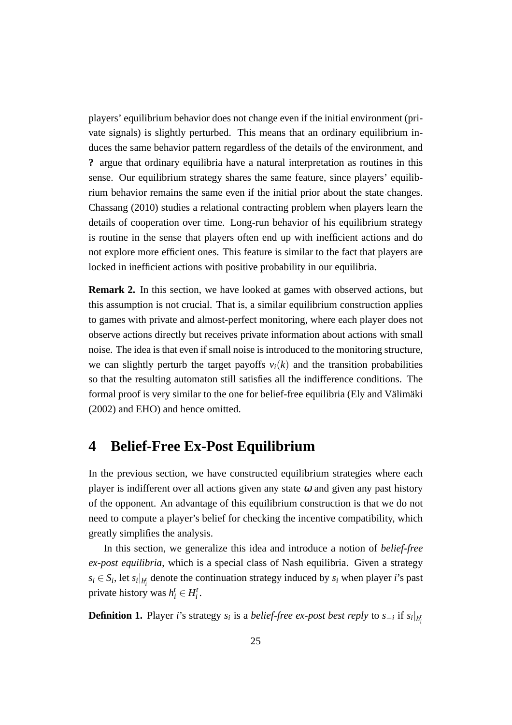players' equilibrium behavior does not change even if the initial environment (private signals) is slightly perturbed. This means that an ordinary equilibrium induces the same behavior pattern regardless of the details of the environment, and **?** argue that ordinary equilibria have a natural interpretation as routines in this sense. Our equilibrium strategy shares the same feature, since players' equilibrium behavior remains the same even if the initial prior about the state changes. Chassang (2010) studies a relational contracting problem when players learn the details of cooperation over time. Long-run behavior of his equilibrium strategy is routine in the sense that players often end up with inefficient actions and do not explore more efficient ones. This feature is similar to the fact that players are locked in inefficient actions with positive probability in our equilibria.

**Remark 2.** In this section, we have looked at games with observed actions, but this assumption is not crucial. That is, a similar equilibrium construction applies to games with private and almost-perfect monitoring, where each player does not observe actions directly but receives private information about actions with small noise. The idea is that even if small noise is introduced to the monitoring structure, we can slightly perturb the target payoffs  $v_i(k)$  and the transition probabilities so that the resulting automaton still satisfies all the indifference conditions. The formal proof is very similar to the one for belief-free equilibria (Ely and Välimäki (2002) and EHO) and hence omitted.

## **4 Belief-Free Ex-Post Equilibrium**

In the previous section, we have constructed equilibrium strategies where each player is indifferent over all actions given any state  $\omega$  and given any past history of the opponent. An advantage of this equilibrium construction is that we do not need to compute a player's belief for checking the incentive compatibility, which greatly simplifies the analysis.

In this section, we generalize this idea and introduce a notion of *belief-free ex-post equilibria*, which is a special class of Nash equilibria. Given a strategy  $s_i \in S_i$ , let  $s_i|_{h_i^t}$  denote the continuation strategy induced by  $s_i$  when player *i*'s past private history was  $h_i^t \in H_i^t$ .

**Definition 1.** Player *i*'s strategy  $s_i$  is a *belief-free ex-post best reply* to  $s_{-i}$  if  $s_i|_{h_i^t}$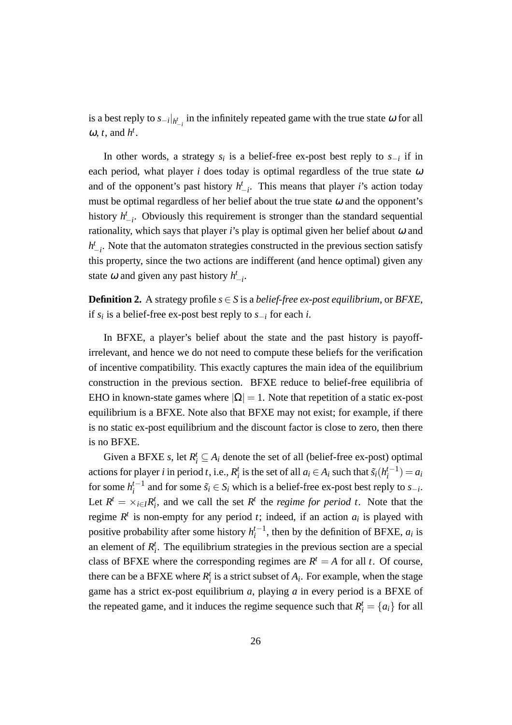is a best reply to  $s_{-i}|_{h'_{-i}}$  in the infinitely repeated game with the true state  $\omega$  for all  $\omega$ , *t*, and  $h^t$ .

In other words, a strategy  $s_i$  is a belief-free ex-post best reply to  $s_{-i}$  if in each period, what player *i* does today is optimal regardless of the true state <sup>ω</sup> and of the opponent's past history  $h^t_{-i}$ . This means that player *i*'s action today must be optimal regardless of her belief about the true state  $\omega$  and the opponent's history  $h^t_{-i}$ . Obviously this requirement is stronger than the standard sequential rationality, which says that player  $i$ 's play is optimal given her belief about  $\omega$  and  $h_{-i}^t$ . Note that the automaton strategies constructed in the previous section satisfy this property, since the two actions are indifferent (and hence optimal) given any state  $\omega$  and given any past history  $h^t_{-i}$ .

**Definition 2.** A strategy profile  $s \in S$  is a *belief-free ex-post equilibrium*, or *BFXE*, if *s<sup>i</sup>* is a belief-free ex-post best reply to *s*−*<sup>i</sup>* for each *i*.

In BFXE, a player's belief about the state and the past history is payoffirrelevant, and hence we do not need to compute these beliefs for the verification of incentive compatibility. This exactly captures the main idea of the equilibrium construction in the previous section. BFXE reduce to belief-free equilibria of EHO in known-state games where  $|\Omega| = 1$ . Note that repetition of a static ex-post equilibrium is a BFXE. Note also that BFXE may not exist; for example, if there is no static ex-post equilibrium and the discount factor is close to zero, then there is no BFXE.

Given a BFXE *s*, let  $R_i^t \subseteq A_i$  denote the set of all (belief-free ex-post) optimal actions for player *i* in period *t*, i.e.,  $R_i^t$  is the set of all  $a_i \in A_i$  such that  $\tilde{s}_i(h_i^{t-1})$  $a_i^{t-1}$ ) =  $a_i$ for some  $h_i^{t-1}$  $i$ <sup>*t*−1</sup> and for some  $\tilde{s}_i$  ∈  $S_i$  which is a belief-free ex-post best reply to *s*−*i*. Let  $R^t = \times_{i \in I} R_i^t$ , and we call the set  $R^t$  the *regime for period t*. Note that the regime  $R<sup>t</sup>$  is non-empty for any period *t*; indeed, if an action  $a<sub>i</sub>$  is played with positive probability after some history *h t*−1  $i^{t-1}$ , then by the definition of BFXE,  $a_i$  is an element of  $R_i^t$ . The equilibrium strategies in the previous section are a special class of BFXE where the corresponding regimes are  $R^t = A$  for all *t*. Of course, there can be a BFXE where  $R_i^t$  is a strict subset of  $A_i$ . For example, when the stage game has a strict ex-post equilibrium *a*, playing *a* in every period is a BFXE of the repeated game, and it induces the regime sequence such that  $R_i^t = \{a_i\}$  for all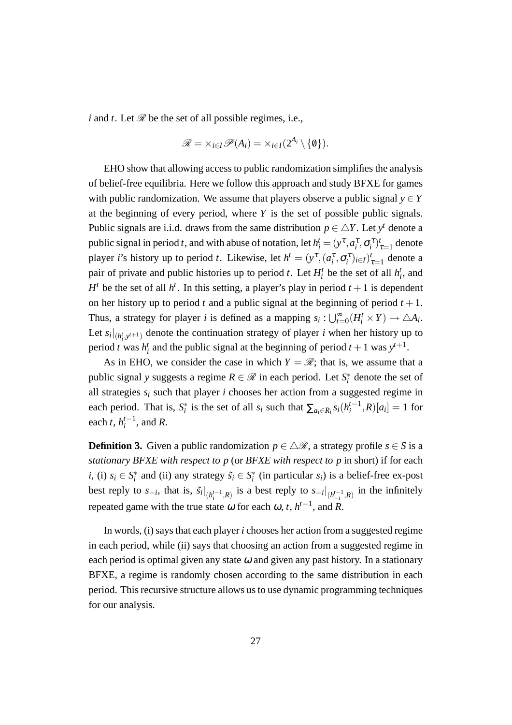*i* and *t*. Let  $\mathcal{R}$  be the set of all possible regimes, i.e.,

$$
\mathscr{R} = \times_{i \in I} \mathscr{P}(A_i) = \times_{i \in I} (2^{A_i} \setminus \{0\}).
$$

EHO show that allowing access to public randomization simplifies the analysis of belief-free equilibria. Here we follow this approach and study BFXE for games with public randomization. We assume that players observe a public signal  $y \in Y$ at the beginning of every period, where *Y* is the set of possible public signals. Public signals are i.i.d. draws from the same distribution  $p \in \Delta Y$ . Let  $y^t$  denote a public signal in period *t*, and with abuse of notation, let  $h_i^t = (y^\tau, a_i^\tau, \sigma_i^\tau)_{\tau=1}^t$  denote player *i*'s history up to period *t*. Likewise, let  $h^t = (y^{\tau}, (a_i^{\tau}, \sigma_i^{\tau})_{i \in I})^t_{\tau=1}$  denote a pair of private and public histories up to period *t*. Let  $H_i^t$  be the set of all  $h_i^t$ , and  $H<sup>t</sup>$  be the set of all  $h<sup>t</sup>$ . In this setting, a player's play in period  $t + 1$  is dependent on her history up to period *t* and a public signal at the beginning of period  $t + 1$ . Thus, a strategy for player *i* is defined as a mapping  $s_i : \bigcup_{t=0}^{\infty} (H_i^t \times Y) \to \triangle A_i$ . Let  $s_i|_{(h_i^t, y^{t+1})}$  denote the continuation strategy of player *i* when her history up to period *t* was  $h_i^t$  and the public signal at the beginning of period  $t + 1$  was  $y^{t+1}$ .

As in EHO, we consider the case in which  $Y = \mathcal{R}$ ; that is, we assume that a public signal *y* suggests a regime  $R \in \mathcal{R}$  in each period. Let  $S_i^*$ *i* denote the set of all strategies  $s_i$  such that player *i* chooses her action from a suggested regime in each period. That is,  $S_i^*$ <sup>\*</sup> is the set of all *s*<sup>*i*</sup> such that  $\sum_{a_i \in R_i} s_i(h_i^{t-1})$  $a_i^{t-1}, R$ <sup>[*a*<sub>*i*</sub>]</sub> = 1 for</sup> each *t*,  $h_i^{t-1}$  $i^{t-1}$ , and *R*.

**Definition 3.** Given a public randomization  $p \in \Delta \mathcal{R}$ , a strategy profile  $s \in S$  is a *stationary BFXE with respect to p* (or *BFXE with respect to p* in short) if for each *i*, (i)  $s_i \in S_i^*$ <sup>\*</sup><sub>*i*</sub> and (ii) any strategy  $\tilde{s}_i \in S_i^*$  $i$ <sup>\*</sup> (in particular  $s$ <sup>*i*</sup>) is a belief-free ex-post best reply to  $s_{-i}$ , that is,  $\tilde{s}_i|_{(h_i^{t-1},R)}$  is a best reply to  $s_{-i}|_{(h_{-i}^{t-1},R)}$  in the infinitely repeated game with the true state  $\omega$  for each  $\omega$ , *t*,  $h^{t-1}$ , and *R*.

In words, (i) says that each player *i* chooses her action from a suggested regime in each period, while (ii) says that choosing an action from a suggested regime in each period is optimal given any state  $\omega$  and given any past history. In a stationary BFXE, a regime is randomly chosen according to the same distribution in each period. This recursive structure allows us to use dynamic programming techniques for our analysis.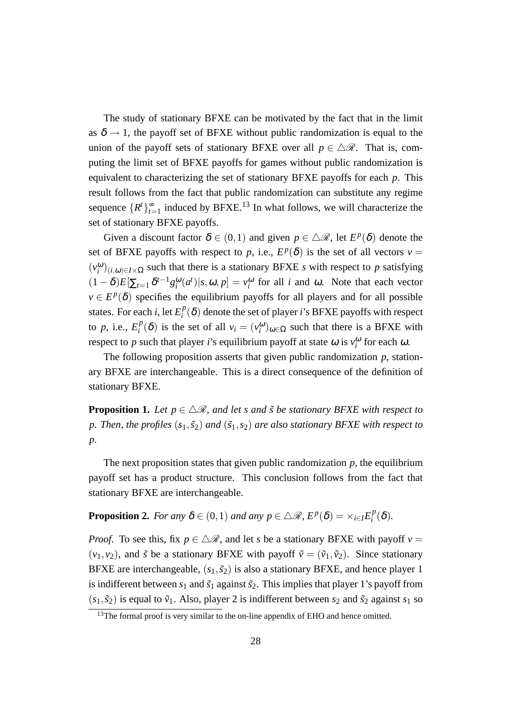The study of stationary BFXE can be motivated by the fact that in the limit as  $\delta \rightarrow 1$ , the payoff set of BFXE without public randomization is equal to the union of the payoff sets of stationary BFXE over all  $p \in \Delta \mathcal{R}$ . That is, computing the limit set of BFXE payoffs for games without public randomization is equivalent to characterizing the set of stationary BFXE payoffs for each *p*. This result follows from the fact that public randomization can substitute any regime sequence  $\{R^t\}_{t=1}^{\infty}$  induced by BFXE.<sup>13</sup> In what follows, we will characterize the set of stationary BFXE payoffs.

Given a discount factor  $\delta \in (0,1)$  and given  $p \in \Delta \mathcal{R}$ , let  $E^p(\delta)$  denote the set of BFXE payoffs with respect to p, i.e.,  $E^p(\delta)$  is the set of all vectors  $v =$  $(v_i^{\omega})_{(i,\omega)\in I\times\Omega}$  such that there is a stationary BFXE *s* with respect to *p* satisfying  $(1 - \delta)E[\sum_{t=1} \delta^{t-1} g_i^{\omega}(a^t) | s, \omega, p] = v_i^{\omega}$  for all *i* and  $\omega$ . Note that each vector  $v \in E^p(\delta)$  specifies the equilibrium payoffs for all players and for all possible states. For each *i*, let  $E_i^p$  $i^p_i(\delta)$  denote the set of player *i*'s BFXE payoffs with respect to p, i.e.,  $E_i^p$  $i^p(\delta)$  is the set of all  $v_i = (v_i^{\omega})_{\omega \in \Omega}$  such that there is a BFXE with respect to *p* such that player *i*'s equilibrium payoff at state  $\omega$  is  $v_i^{\omega}$  for each  $\omega$ .

The following proposition asserts that given public randomization *p*, stationary BFXE are interchangeable. This is a direct consequence of the definition of stationary BFXE.

**Proposition 1.** Let  $p \in \Delta \mathcal{R}$ , and let *s* and *s* be stationary BFXE with respect to *p. Then, the profiles*  $(s_1, \tilde{s}_2)$  *and*  $(\tilde{s}_1, s_2)$  *are also stationary BFXE with respect to p.*

The next proposition states that given public randomization  $p$ , the equilibrium payoff set has a product structure. This conclusion follows from the fact that stationary BFXE are interchangeable.

#### **Proposition 2.** *For any*  $\delta \in (0,1)$  *and any*  $p \in \Delta \mathscr{R}$ ,  $E^p(\delta) = \times_{i \in I} E_i^p$  $\int_i^p(\delta)$ .

*Proof.* To see this, fix  $p \in \Delta \mathcal{R}$ , and let *s* be a stationary BFXE with payoff  $v =$  $(v_1, v_2)$ , and  $\tilde{s}$  be a stationary BFXE with payoff  $\tilde{v} = (\tilde{v}_1, \tilde{v}_2)$ . Since stationary BFXE are interchangeable,  $(s_1, \tilde{s}_2)$  is also a stationary BFXE, and hence player 1 is indifferent between  $s_1$  and  $\tilde{s}_1$  against  $\tilde{s}_2$ . This implies that player 1's payoff from  $(s_1, \tilde{s}_2)$  is equal to  $\tilde{v}_1$ . Also, player 2 is indifferent between  $s_2$  and  $\tilde{s}_2$  against  $s_1$  so

<sup>&</sup>lt;sup>13</sup>The formal proof is very similar to the on-line appendix of EHO and hence omitted.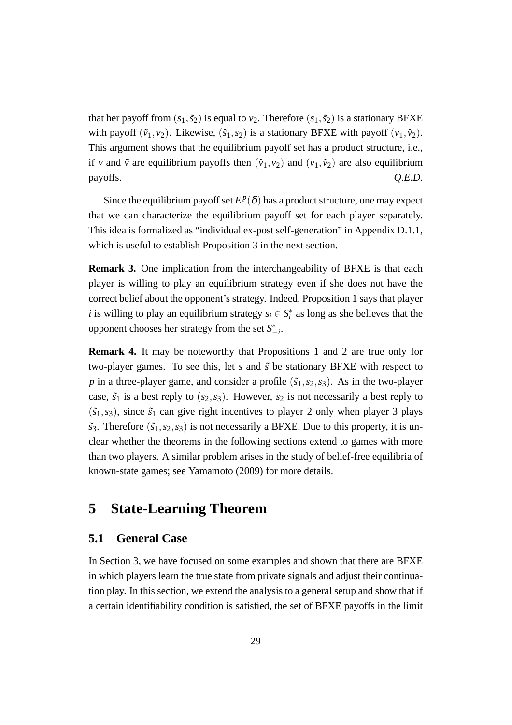that her payoff from  $(s_1, \tilde{s}_2)$  is equal to  $v_2$ . Therefore  $(s_1, \tilde{s}_2)$  is a stationary BFXE with payoff  $(\tilde{v}_1, v_2)$ . Likewise,  $(\tilde{s}_1, s_2)$  is a stationary BFXE with payoff  $(v_1, \tilde{v}_2)$ . This argument shows that the equilibrium payoff set has a product structure, i.e., if *v* and  $\tilde{v}$  are equilibrium payoffs then  $(\tilde{v}_1, v_2)$  and  $(v_1, \tilde{v}_2)$  are also equilibrium payoffs. *Q.E.D.*

Since the equilibrium payoff set  $E^p(\delta)$  has a product structure, one may expect that we can characterize the equilibrium payoff set for each player separately. This idea is formalized as "individual ex-post self-generation" in Appendix D.1.1, which is useful to establish Proposition 3 in the next section.

**Remark 3.** One implication from the interchangeability of BFXE is that each player is willing to play an equilibrium strategy even if she does not have the correct belief about the opponent's strategy. Indeed, Proposition 1 says that player *i* is willing to play an equilibrium strategy  $s_i \in S_i^*$ *i* as long as she believes that the opponent chooses her strategy from the set  $S_{-i}^*$ .

**Remark 4.** It may be noteworthy that Propositions 1 and 2 are true only for two-player games. To see this, let  $s$  and  $\tilde{s}$  be stationary BFXE with respect to *p* in a three-player game, and consider a profile  $(\tilde{s}_1, s_2, s_3)$ . As in the two-player case,  $\tilde{s}_1$  is a best reply to  $(s_2, s_3)$ . However,  $s_2$  is not necessarily a best reply to  $(\tilde{s}_1, s_3)$ , since  $\tilde{s}_1$  can give right incentives to player 2 only when player 3 plays  $\tilde{s}_3$ . Therefore  $(\tilde{s}_1, s_2, s_3)$  is not necessarily a BFXE. Due to this property, it is unclear whether the theorems in the following sections extend to games with more than two players. A similar problem arises in the study of belief-free equilibria of known-state games; see Yamamoto (2009) for more details.

## **5 State-Learning Theorem**

#### **5.1 General Case**

In Section 3, we have focused on some examples and shown that there are BFXE in which players learn the true state from private signals and adjust their continuation play. In this section, we extend the analysis to a general setup and show that if a certain identifiability condition is satisfied, the set of BFXE payoffs in the limit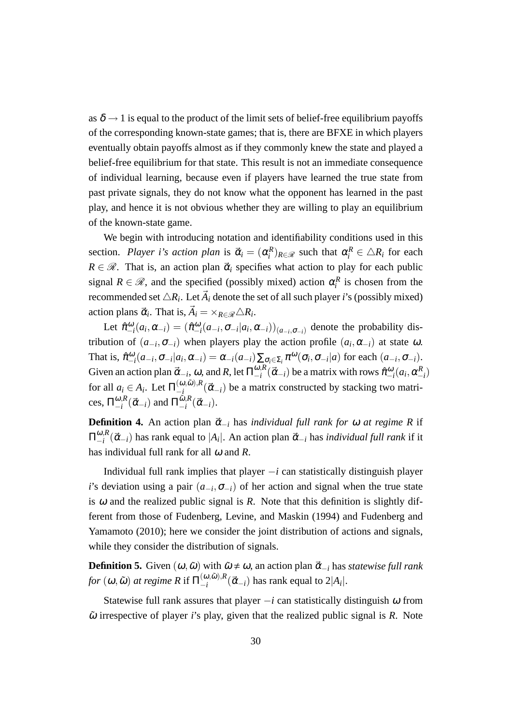as  $\delta \rightarrow 1$  is equal to the product of the limit sets of belief-free equilibrium payoffs of the corresponding known-state games; that is, there are BFXE in which players eventually obtain payoffs almost as if they commonly knew the state and played a belief-free equilibrium for that state. This result is not an immediate consequence of individual learning, because even if players have learned the true state from past private signals, they do not know what the opponent has learned in the past play, and hence it is not obvious whether they are willing to play an equilibrium of the known-state game.

We begin with introducing notation and identifiability conditions used in this section. *Player i's action plan* is  $\vec{\alpha}_i = (\alpha_i^R)_{R \in \mathcal{R}}$  such that  $\alpha_i^R \in \Delta R_i$  for each  $R \in \mathcal{R}$ . That is, an action plan  $\vec{\alpha}_i$  specifies what action to play for each public signal  $R \in \mathcal{R}$ , and the specified (possibly mixed) action  $\alpha_i^R$  is chosen from the recommended set  $\triangle R_i.$  Let  $\vec{A}_i$  denote the set of all such player  $i$ 's (possibly mixed) action plans  $\vec{\alpha}_i$ . That is,  $\vec{A}_i = \times_{R \in \mathcal{R}} \triangle R_i$ .

Let  $\hat{\pi}_{-i}^{\omega}(a_i, \alpha_{-i}) = (\hat{\pi}_{-i}^{\omega}(a_{-i}, \sigma_{-i}|a_i, \alpha_{-i}))_{(a_{-i}, \sigma_{-i})}$  denote the probability distribution of  $(a_{-i}, \sigma_{-i})$  when players play the action profile  $(a_i, \alpha_{-i})$  at state  $\omega$ . That is,  $\hat{\pi}^{\omega}_{-i}(a_{-i}, \sigma_{-i}|a_i, \alpha_{-i}) = \alpha_{-i}(a_{-i}) \sum_{\sigma_i \in \Sigma_i} \pi^{\omega}(\sigma_i, \sigma_{-i}|a)$  for each  $(a_{-i}, \sigma_{-i})$ . Given an action plan  $\vec{\alpha}_{-i}$ ,  $\omega$ , and  $R$ , let  $\Pi_{-i}^{\omega,R}(\vec{\alpha}_{-i})$  be a matrix with rows  $\hat{\pi}_{-i}^{\omega}(a_i, \alpha_{-i}^R)$  $\mu_{i}$  ( $\alpha_{-i}$ ) be a matrix with rows  $\mu_{-i}$ for all  $a_i \in A_i$ . Let  $\Pi_{-i}^{(\omega,\tilde{\omega}),R}$  $(\vec{\omega}, \omega)$ ,  $K(\vec{\alpha}_{-i})$  be a matrix constructed by stacking two matrices,  $\Pi^{\omega, R}_{-i}$  $_{-i}^{\omega,R}(\vec{\alpha}_{-i})$  and  $\Pi_{-i}^{\tilde{\omega},R}$  $_{-i}^{\omega,\kappa}$ ( $\vec{\alpha}_{-i}$ ).

**Definition 4.** An action plan  $\vec{\alpha}_{-i}$  has *individual full rank for*  $\omega$  *at regime R* if  $\Pi_{-i}^{\omega,R}$  $\sum_{i=1}^{\omega_{k}} (\vec{\alpha}_{-i})$  has rank equal to  $|A_i|$ . An action plan  $\vec{\alpha}_{-i}$  has *individual full rank* if it has individual full rank for all <sup>ω</sup> and *R*.

Individual full rank implies that player −*i* can statistically distinguish player *i*'s deviation using a pair  $(a_{-i}, \sigma_{-i})$  of her action and signal when the true state is  $\omega$  and the realized public signal is *R*. Note that this definition is slightly different from those of Fudenberg, Levine, and Maskin (1994) and Fudenberg and Yamamoto (2010); here we consider the joint distribution of actions and signals, while they consider the distribution of signals.

**Definition 5.** Given  $(\omega, \tilde{\omega})$  with  $\tilde{\omega} \neq \omega$ , an action plan  $\vec{\alpha}_{-i}$  has *statewise full rank for*  $(\omega, \tilde{\omega})$  *at regime R* if  $\Pi_{-i}^{(\omega, \tilde{\omega}), R}$  $\left(\frac{(\omega,\omega)}{\omega}\right)$ , $\kappa(\vec{\alpha}_{-i})$  has rank equal to 2|A<sub>*i*</sub>|.

Statewise full rank assures that player  $-i$  can statistically distinguish  $\omega$  from <sup>ω</sup>˜ irrespective of player *i*'s play, given that the realized public signal is *R*. Note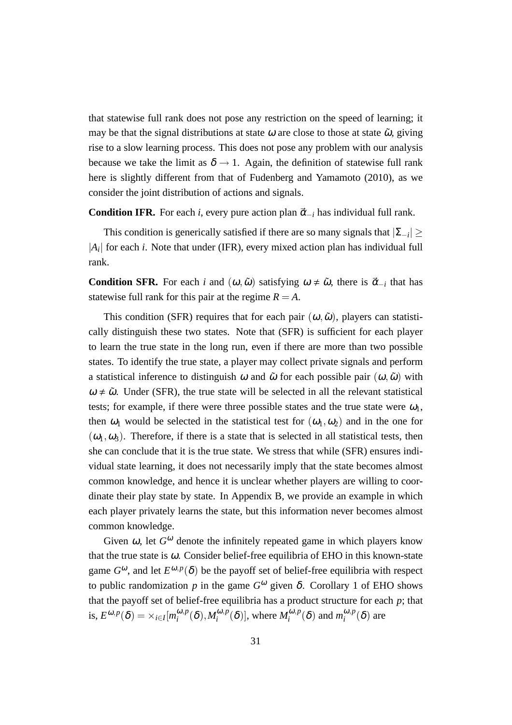that statewise full rank does not pose any restriction on the speed of learning; it may be that the signal distributions at state  $\omega$  are close to those at state  $\tilde{\omega}$ , giving rise to a slow learning process. This does not pose any problem with our analysis because we take the limit as  $\delta \rightarrow 1$ . Again, the definition of statewise full rank here is slightly different from that of Fudenberg and Yamamoto (2010), as we consider the joint distribution of actions and signals.

**Condition IFR.** For each *i*, every pure action plan  $\vec{\alpha}_{-i}$  has individual full rank.

This condition is generically satisfied if there are so many signals that  $|\Sigma_{-i}| \ge$  $|A_i|$  for each *i*. Note that under (IFR), every mixed action plan has individual full rank.

**Condition SFR.** For each *i* and  $(\omega, \tilde{\omega})$  satisfying  $\omega \neq \tilde{\omega}$ , there is  $\vec{\alpha}_{-i}$  that has statewise full rank for this pair at the regime  $R = A$ .

This condition (SFR) requires that for each pair  $(\omega, \tilde{\omega})$ , players can statistically distinguish these two states. Note that (SFR) is sufficient for each player to learn the true state in the long run, even if there are more than two possible states. To identify the true state, a player may collect private signals and perform a statistical inference to distinguish  $\omega$  and  $\tilde{\omega}$  for each possible pair  $(\omega, \tilde{\omega})$  with  $\omega \neq \tilde{\omega}$ . Under (SFR), the true state will be selected in all the relevant statistical tests; for example, if there were three possible states and the true state were  $\omega_1$ , then  $\omega_1$  would be selected in the statistical test for  $(\omega_1, \omega_2)$  and in the one for  $(\omega_1, \omega_3)$ . Therefore, if there is a state that is selected in all statistical tests, then she can conclude that it is the true state. We stress that while (SFR) ensures individual state learning, it does not necessarily imply that the state becomes almost common knowledge, and hence it is unclear whether players are willing to coordinate their play state by state. In Appendix B, we provide an example in which each player privately learns the state, but this information never becomes almost common knowledge.

Given  $\omega$ , let  $G^{\omega}$  denote the infinitely repeated game in which players know that the true state is  $\omega$ . Consider belief-free equilibria of EHO in this known-state game  $G^{\omega}$ , and let  $E^{\omega,p}(\delta)$  be the payoff set of belief-free equilibria with respect to public randomization *p* in the game  $G^ω$  given  $\delta$ . Corollary 1 of EHO shows that the payoff set of belief-free equilibria has a product structure for each *p*; that is,  $E^{\omega,p}(\delta) = \times_{i \in I} [m_i^{\omega,p}]$  $\sum_{i}^{\omega,p}$  ( $\delta$ ),  $M_i^{\omega,p}$  $\binom{a}{i}$ ( $\delta$ )], where  $M_i^{\omega, p}$  $\binom{a}{i}$ ,  $\binom{b}{i}$  and  $m_i^{\omega, p}$  $\binom{w,p}{i}$  ( $\delta$ ) are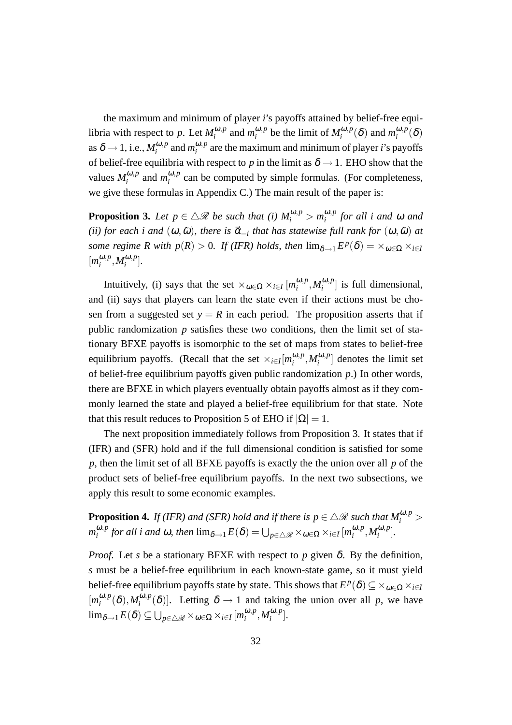the maximum and minimum of player *i*'s payoffs attained by belief-free equilibria with respect to p. Let  $M_i^{\omega, p}$  $\sum_{i}^{\omega,p}$  and  $m_i^{\omega,p}$  $\binom{\omega, p}{i}$  be the limit of  $M_i^{\omega, p}$  $m_i^{\omega,p}(\delta)$  and  $m_i^{\omega,p}$  $_{i}^{\boldsymbol{\omega},p}(\boldsymbol{\delta})$ as  $\delta \rightarrow 1$ , i.e.,  $M_i^{\omega, p}$  $\sum_{i}^{\omega,p}$  and  $m_i^{\omega,p}$  $\binom{a}{i}$  are the maximum and minimum of player *i*'s payoffs of belief-free equilibria with respect to *p* in the limit as  $\delta \rightarrow 1$ . EHO show that the values  $M_i^{\omega,p}$  $\sum_{i=1}^{N}$  and  $m_i^{\omega,p}$  $\binom{w,p}{i}$  can be computed by simple formulas. (For completeness, we give these formulas in Appendix C.) The main result of the paper is:

**Proposition 3.** Let  $p \in \triangle \mathcal{R}$  be such that (i)  $M_i^{\omega, p} > m_i^{\omega, p}$ *i for all i and* <sup>ω</sup> *and*  $(iii)$  for each *i* and  $(\omega, \tilde{\omega})$ , there is  $\vec{\alpha}_{-i}$  that has statewise full rank for  $(\omega, \tilde{\omega})$  at *some regime R with*  $p(R) > 0$ *. If (IFR) holds, then*  $\lim_{\delta \to 1} E^p(\delta) = \times_{\omega \in \Omega} \times_{i \in I}$  $[m_i^{\omega,p}]$  $_{i}^{\omega,p}$ ,  $M_{i}^{\omega,p}$  $\binom{\omega, p}{i}$ .

Intuitively, (i) says that the set  $\times_{\omega \in \Omega} \times_{i \in I} [m_i^{\omega, p}]$  $_{i}^{\omega,p}$ ,  $M_{i}^{\omega,p}$  $\binom{a}{i}$  is full dimensional, and (ii) says that players can learn the state even if their actions must be chosen from a suggested set  $y = R$  in each period. The proposition asserts that if public randomization *p* satisfies these two conditions, then the limit set of stationary BFXE payoffs is isomorphic to the set of maps from states to belief-free equilibrium payoffs. (Recall that the set  $\times_{i \in I} [m_i^{\omega, p}]$  $_{i}^{\omega,p}$ ,  $M_{i}^{\omega,p}$  $\binom{a}{i}$  denotes the limit set of belief-free equilibrium payoffs given public randomization *p*.) In other words, there are BFXE in which players eventually obtain payoffs almost as if they commonly learned the state and played a belief-free equilibrium for that state. Note that this result reduces to Proposition 5 of EHO if  $|\Omega| = 1$ .

The next proposition immediately follows from Proposition 3. It states that if (IFR) and (SFR) hold and if the full dimensional condition is satisfied for some *p*, then the limit set of all BFXE payoffs is exactly the the union over all *p* of the product sets of belief-free equilibrium payoffs. In the next two subsections, we apply this result to some economic examples.

**Proposition 4.** *If (IFR) and (SFR) hold and if there is*  $p \in \triangle \mathscr{R}$  *such that*  $M_i^{\omega, p}$  > *m* <sup>ω</sup>,*p*  $\bigcup_{i=1}^{\infty} p_i$  *for all i and*  $\omega$ , then  $\lim_{\delta \to 1} E(\delta) = \bigcup_{p \in \triangle \mathcal{R}} \times_{\omega \in \Omega} \times_{i \in I} [m_i^{\omega, p}]$  $\sum_i^{\omega,p}$ ,  $M_i^{\omega,p}$  $\binom{w,p}{i}$ .

*Proof.* Let *s* be a stationary BFXE with respect to *p* given  $\delta$ . By the definition, *s* must be a belief-free equilibrium in each known-state game, so it must yield belief-free equilibrium payoffs state by state. This shows that  $E^p(\delta) \subseteq \times_{\omega \in \Omega} \times_{i \in I}$  $[m_i^{\omega,p}]$  $_{i}^{\omega,p}(\delta), M_{i}^{\omega,p}$  $\binom{a}{i}$ ,  $\binom{b}{i}$ . Letting  $\delta \to 1$  and taking the union over all *p*, we have  $\lim_{\delta \to 1} E(\delta) \subseteq \bigcup_{p \in \triangle \mathscr{R}} \times_{\omega \in \Omega} \times_{i \in I} [m_i^{\omega, p}]$  $\sum_{i}^{\omega,p}$ ,  $M_i^{\omega,p}$  $\binom{\omega,p}{i}$ .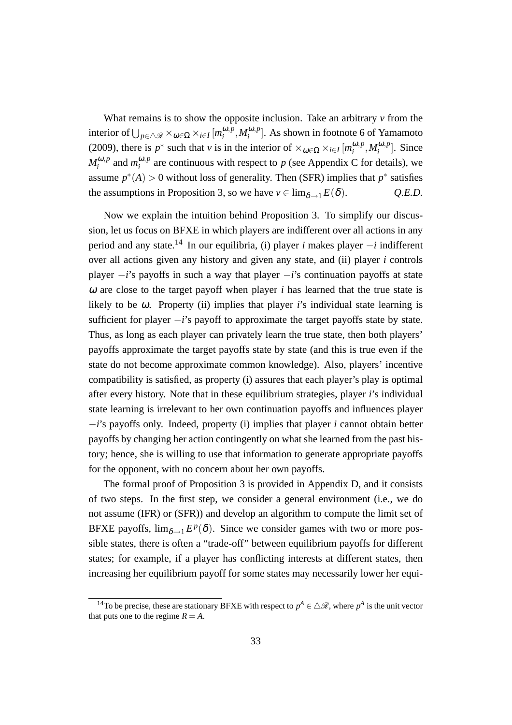What remains is to show the opposite inclusion. Take an arbitrary *v* from the interior of  $\bigcup_{p \in \triangle \mathscr{R}} \times_{\omega \in \Omega} \times_{i \in I} [m_i^{\omega, p}]$  $\sum_{i}^{\omega,p}$ ,  $M_i^{\omega,p}$  $\binom{w,p}{i}$ . As shown in footnote 6 of Yamamoto (2009), there is  $p^*$  such that *v* is in the interior of  $\times_{\omega \in \Omega} \times_{i \in I} [m_i^{\omega, p}]$  $_{i}^{\omega,p}$ ,  $M_{i}^{\omega,p}$  $\binom{a}{i}$ . Since  $M_i^{\omega,p}$  $\sum_{i}^{\omega,p}$  and  $m_i^{\omega,p}$  $\binom{w,p}{i}$  are continuous with respect to *p* (see Appendix C for details), we assume  $p^*(A) > 0$  without loss of generality. Then (SFR) implies that  $p^*$  satisfies the assumptions in Proposition 3, so we have  $v \in \lim_{\delta \to 1} E(\delta)$ . *Q.E.D.* 

Now we explain the intuition behind Proposition 3. To simplify our discussion, let us focus on BFXE in which players are indifferent over all actions in any period and any state.<sup>14</sup> In our equilibria, (i) player *i* makes player −*i* indifferent over all actions given any history and given any state, and (ii) player *i* controls player −*i*'s payoffs in such a way that player −*i*'s continuation payoffs at state <sup>ω</sup> are close to the target payoff when player *i* has learned that the true state is likely to be  $\omega$ . Property (ii) implies that player *i*'s individual state learning is sufficient for player  $-i$ 's payoff to approximate the target payoffs state by state. Thus, as long as each player can privately learn the true state, then both players' payoffs approximate the target payoffs state by state (and this is true even if the state do not become approximate common knowledge). Also, players' incentive compatibility is satisfied, as property (i) assures that each player's play is optimal after every history. Note that in these equilibrium strategies, player *i*'s individual state learning is irrelevant to her own continuation payoffs and influences player −*i*'s payoffs only. Indeed, property (i) implies that player *i* cannot obtain better payoffs by changing her action contingently on what she learned from the past history; hence, she is willing to use that information to generate appropriate payoffs for the opponent, with no concern about her own payoffs.

The formal proof of Proposition 3 is provided in Appendix D, and it consists of two steps. In the first step, we consider a general environment (i.e., we do not assume (IFR) or (SFR)) and develop an algorithm to compute the limit set of BFXE payoffs,  $\lim_{\delta \to 1} E^p(\delta)$ . Since we consider games with two or more possible states, there is often a "trade-off" between equilibrium payoffs for different states; for example, if a player has conflicting interests at different states, then increasing her equilibrium payoff for some states may necessarily lower her equi-

<sup>&</sup>lt;sup>14</sup>To be precise, these are stationary BFXE with respect to  $p^A \in \Delta \mathcal{R}$ , where  $p^A$  is the unit vector that puts one to the regime  $R = A$ .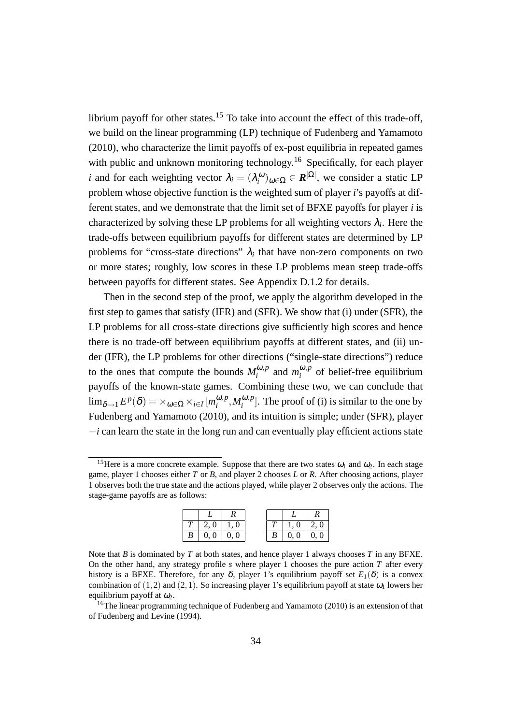librium payoff for other states.<sup>15</sup> To take into account the effect of this trade-off, we build on the linear programming (LP) technique of Fudenberg and Yamamoto (2010), who characterize the limit payoffs of ex-post equilibria in repeated games with public and unknown monitoring technology.<sup>16</sup> Specifically, for each player *i* and for each weighting vector  $\lambda_i = (\lambda_i^{\omega})_{\omega \in \Omega} \in \mathbb{R}^{|\Omega|}$ , we consider a static LP problem whose objective function is the weighted sum of player *i*'s payoffs at different states, and we demonstrate that the limit set of BFXE payoffs for player *i* is characterized by solving these LP problems for all weighting vectors  $\lambda_i$ . Here the trade-offs between equilibrium payoffs for different states are determined by LP problems for "cross-state directions"  $\lambda_i$  that have non-zero components on two or more states; roughly, low scores in these LP problems mean steep trade-offs between payoffs for different states. See Appendix D.1.2 for details.

Then in the second step of the proof, we apply the algorithm developed in the first step to games that satisfy (IFR) and (SFR). We show that (i) under (SFR), the LP problems for all cross-state directions give sufficiently high scores and hence there is no trade-off between equilibrium payoffs at different states, and (ii) under (IFR), the LP problems for other directions ("single-state directions") reduce to the ones that compute the bounds  $M_i^{\omega,p}$  $\sum_{i}^{\omega,p}$  and  $m_i^{\omega,p}$  $\binom{w,p}{i}$  of belief-free equilibrium payoffs of the known-state games. Combining these two, we can conclude that  $\lim_{\delta \to 1} E^p(\delta) = \times_{\omega \in \Omega} \times_{i \in I} [m_i^{\omega, p}]$  $_{i}^{\omega,p}$ ,  $M_{i}^{\omega,p}$  $\binom{a}{i}$ . The proof of (i) is similar to the one by Fudenberg and Yamamoto (2010), and its intuition is simple; under (SFR), player  $-i$  can learn the state in the long run and can eventually play efficient actions state

<sup>&</sup>lt;sup>15</sup>Here is a more concrete example. Suppose that there are two states  $\omega_1$  and  $\omega_2$ . In each stage game, player 1 chooses either *T* or *B*, and player 2 chooses *L* or *R*. After choosing actions, player 1 observes both the true state and the actions played, while player 2 observes only the actions. The stage-game payoffs are as follows:

|                  | 2, 0 |      |                  | 1,0  | 2, 0 |
|------------------|------|------|------------------|------|------|
| $\boldsymbol{B}$ | 0, 0 | 0, 0 | $\boldsymbol{B}$ | 0, 0 | 0, 0 |

Note that *B* is dominated by *T* at both states, and hence player 1 always chooses *T* in any BFXE. On the other hand, any strategy profile  $s$  where player 1 chooses the pure action  $T$  after every history is a BFXE. Therefore, for any  $\delta$ , player 1's equilibrium payoff set  $E_1(\delta)$  is a convex combination of  $(1,2)$  and  $(2,1)$ . So increasing player 1's equilibrium payoff at state  $\omega_1$  lowers her equilibrium payoff at  $\omega_2$ .

<sup>&</sup>lt;sup>16</sup>The linear programming technique of Fudenberg and Yamamoto (2010) is an extension of that of Fudenberg and Levine (1994).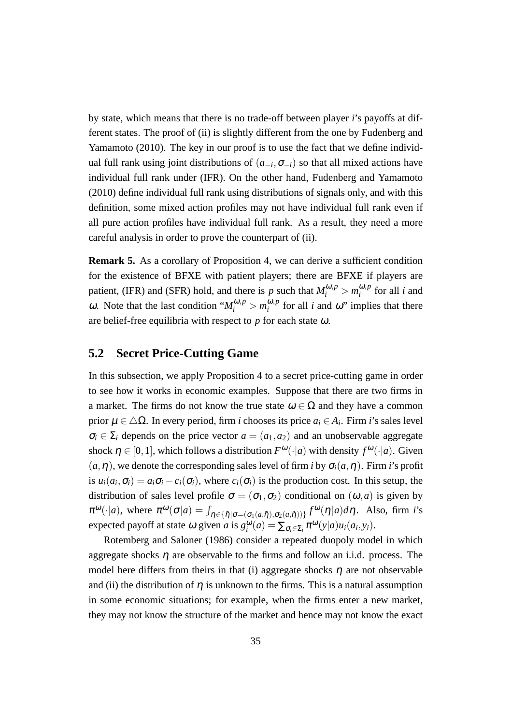by state, which means that there is no trade-off between player *i*'s payoffs at different states. The proof of (ii) is slightly different from the one by Fudenberg and Yamamoto (2010). The key in our proof is to use the fact that we define individual full rank using joint distributions of  $(a_{-i}, \sigma_{-i})$  so that all mixed actions have individual full rank under (IFR). On the other hand, Fudenberg and Yamamoto (2010) define individual full rank using distributions of signals only, and with this definition, some mixed action profiles may not have individual full rank even if all pure action profiles have individual full rank. As a result, they need a more careful analysis in order to prove the counterpart of (ii).

**Remark 5.** As a corollary of Proposition 4, we can derive a sufficient condition for the existence of BFXE with patient players; there are BFXE if players are patient, (IFR) and (SFR) hold, and there is *p* such that  $M_i^{\omega,p} > m_i^{\omega,p}$  $\binom{w,p}{i}$  for all *i* and ω. Note that the last condition " $M_i^{\omega, p} > m_i^{\omega, p}$  $\int_{i}^{\omega,p}$  for all *i* and  $\omega$ " implies that there are belief-free equilibria with respect to  $p$  for each state  $\omega$ .

### **5.2 Secret Price-Cutting Game**

In this subsection, we apply Proposition 4 to a secret price-cutting game in order to see how it works in economic examples. Suppose that there are two firms in a market. The firms do not know the true state  $\omega \in \Omega$  and they have a common prior  $\mu \in \Delta \Omega$ . In every period, firm *i* chooses its price  $a_i \in A_i$ . Firm *i*'s sales level  $\sigma_i \in \Sigma_i$  depends on the price vector  $a = (a_1, a_2)$  and an unobservable aggregate shock  $\eta \in [0,1]$ , which follows a distribution  $F^{\omega}(\cdot|a)$  with density  $f^{\omega}(\cdot|a)$ . Given  $(a, \eta)$ , we denote the corresponding sales level of firm *i* by  $\sigma_i(a, \eta)$ . Firm *i*'s profit is  $u_i(a_i, \sigma_i) = a_i \sigma_i - c_i(\sigma_i)$ , where  $c_i(\sigma_i)$  is the production cost. In this setup, the distribution of sales level profile  $\sigma = (\sigma_1, \sigma_2)$  conditional on  $(\omega, a)$  is given by  $\pi^{\omega}(\cdot|a)$ , where  $\pi^{\omega}(\sigma|a) = \int_{\eta \in {\{\tilde{\eta} \mid \sigma = (\sigma_1(a,\tilde{\eta}), \sigma_2(a,\tilde{\eta}))\}}} f^{\omega}(\eta|a) d\eta$ . Also, firm *i*'s expected payoff at state  $\omega$  given  $a$  is  $g_i^{\omega}(a) = \sum_{\sigma_i \in \Sigma_i} \pi^{\omega}(y|a) u_i(a_i, y_i)$ .

Rotemberg and Saloner (1986) consider a repeated duopoly model in which aggregate shocks  $\eta$  are observable to the firms and follow an i.i.d. process. The model here differs from theirs in that (i) aggregate shocks  $\eta$  are not observable and (ii) the distribution of  $\eta$  is unknown to the firms. This is a natural assumption in some economic situations; for example, when the firms enter a new market, they may not know the structure of the market and hence may not know the exact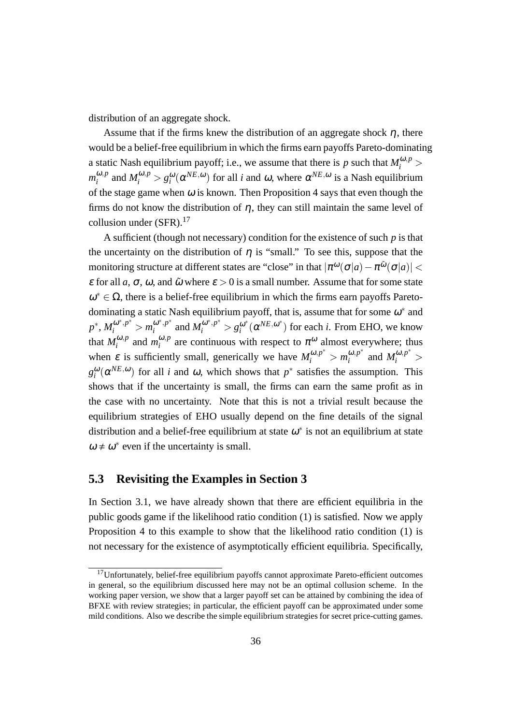distribution of an aggregate shock.

Assume that if the firms knew the distribution of an aggregate shock  $\eta$ , there would be a belief-free equilibrium in which the firms earn payoffs Pareto-dominating a static Nash equilibrium payoff; i.e., we assume that there is *p* such that  $M_i^{\omega,p}$ *m* <sup>ω</sup>,*p*  $\sum_i^{(\omega,p)}$  and  $M_i^{(\omega,p)} > g_i^{(\omega)}(\alpha^{NE,(\omega)})$  for all *i* and  $\omega$ , where  $\alpha^{NE,(\omega)}$  is a Nash equilibrium of the stage game when  $\omega$  is known. Then Proposition 4 says that even though the firms do not know the distribution of  $\eta$ , they can still maintain the same level of collusion under  $(SFR)$ .<sup>17</sup>

A sufficient (though not necessary) condition for the existence of such *p* is that the uncertainty on the distribution of  $\eta$  is "small." To see this, suppose that the monitoring structure at different states are "close" in that  $|\pi^{\omega}(\sigma|a) - \pi^{\tilde{\omega}}(\sigma|a)| <$  $\epsilon$  for all *a*,  $\sigma$ ,  $\omega$ , and  $\tilde{\omega}$  where  $\epsilon > 0$  is a small number. Assume that for some state  $\omega^* \in \Omega$ , there is a belief-free equilibrium in which the firms earn payoffs Paretodominating a static Nash equilibrium payoff, that is, assume that for some  $\omega^*$  and  $p^*$ ,  $M_i^{\omega^*, p^*} > m_i^{\omega^*, p^*}$  $\sum_{i}^{\omega^*, p^*}$  and  $M_i^{\omega^*, p^*} > g_i^{\omega^*}$  $\int_{i}^{\omega^*} (\alpha^{NE,\omega^*})$  for each *i*. From EHO, we know that  $M_i^{\omega,p}$  $\sum_{i}^{\omega,p}$  and  $m_i^{\omega,p}$  $\psi_i^{(\omega, p)}$  are continuous with respect to  $\pi^{\omega}$  almost everywhere; thus when  $\varepsilon$  is sufficiently small, generically we have  $M_i^{\omega, p^*} > m_i^{\omega, p^*}$  $\sum_{i=1}^{a} a_i p^*$  and  $M_i^{a} p^*$  >  $g_i^{\omega}(\alpha^{NE,\omega})$  for all *i* and  $\omega$ , which shows that  $p^*$  satisfies the assumption. This shows that if the uncertainty is small, the firms can earn the same profit as in the case with no uncertainty. Note that this is not a trivial result because the equilibrium strategies of EHO usually depend on the fine details of the signal distribution and a belief-free equilibrium at state  $\omega^*$  is not an equilibrium at state  $\omega \neq \omega^*$  even if the uncertainty is small.

## **5.3 Revisiting the Examples in Section 3**

In Section 3.1, we have already shown that there are efficient equilibria in the public goods game if the likelihood ratio condition (1) is satisfied. Now we apply Proposition 4 to this example to show that the likelihood ratio condition (1) is not necessary for the existence of asymptotically efficient equilibria. Specifically,

 $17$ Unfortunately, belief-free equilibrium payoffs cannot approximate Pareto-efficient outcomes in general, so the equilibrium discussed here may not be an optimal collusion scheme. In the working paper version, we show that a larger payoff set can be attained by combining the idea of BFXE with review strategies; in particular, the efficient payoff can be approximated under some mild conditions. Also we describe the simple equilibrium strategies for secret price-cutting games.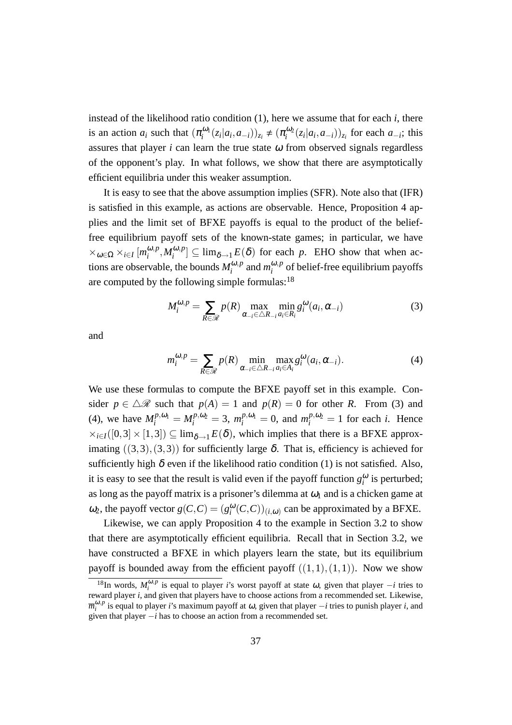instead of the likelihood ratio condition (1), here we assume that for each *i*, there is an action  $a_i$  such that  $(\pi_i^{\omega_1}(z_i|a_i, a_{-i}))_{z_i} \neq (\pi_i^{\omega_2}(z_i|a_i, a_{-i}))_{z_i}$  for each  $a_{-i}$ ; this assures that player  $i$  can learn the true state  $\omega$  from observed signals regardless of the opponent's play. In what follows, we show that there are asymptotically efficient equilibria under this weaker assumption.

It is easy to see that the above assumption implies (SFR). Note also that (IFR) is satisfied in this example, as actions are observable. Hence, Proposition 4 applies and the limit set of BFXE payoffs is equal to the product of the belieffree equilibrium payoff sets of the known-state games; in particular, we have  $\times_{\omega \in \Omega} \times_{i \in I} [m_i^{\omega, p}]$  $\sum_{i}^{\omega,p}$ ,  $M_i^{\omega,p}$  $\lim_{i}$   $\sum_{i}$   $\lim_{\delta \to 1}$   $E(\delta)$  for each *p*. EHO show that when actions are observable, the bounds  $M_i^{\omega,p}$  $\sum_{i}^{\omega,p}$  and  $m_i^{\omega,p}$  $\binom{w,p}{i}$  of belief-free equilibrium payoffs are computed by the following simple formulas: $18$ 

$$
M_i^{\omega, p} = \sum_{R \in \mathcal{R}} p(R) \max_{\alpha_{-i} \in \triangle R_{-i}} \min_{a_i \in R_i} g_i^{\omega}(a_i, \alpha_{-i})
$$
(3)

and

$$
m_i^{\omega, p} = \sum_{R \in \mathcal{R}} p(R) \min_{\alpha_{-i} \in \Delta R_{-i} a_i \in A_i} \max_{a_i} g_i^{\omega}(a_i, \alpha_{-i}).
$$
\n(4)

We use these formulas to compute the BFXE payoff set in this example. Consider  $p \in \Delta \mathcal{R}$  such that  $p(A) = 1$  and  $p(R) = 0$  for other *R*. From (3) and (4), we have  $M_i^{p, \omega_1} = M_i^{p, \omega_2} = 3$ ,  $m_i^{p, \omega_1} = 0$ , and  $m_i^{p, \omega_2} = 1$  for each *i*. Hence  $\times_{i\in I}([0,3]\times[1,3]) \subseteq \lim_{\delta\to 1}E(\delta)$ , which implies that there is a BFXE approximating  $((3,3),(3,3))$  for sufficiently large  $\delta$ . That is, efficiency is achieved for sufficiently high  $\delta$  even if the likelihood ratio condition (1) is not satisfied. Also, it is easy to see that the result is valid even if the payoff function  $g_i^{\omega}$  is perturbed; as long as the payoff matrix is a prisoner's dilemma at  $\omega_1$  and is a chicken game at  $\omega_2$ , the payoff vector  $g(C, C) = (g_i^{\omega}(C, C))_{(i,\omega)}$  can be approximated by a BFXE.

Likewise, we can apply Proposition 4 to the example in Section 3.2 to show that there are asymptotically efficient equilibria. Recall that in Section 3.2, we have constructed a BFXE in which players learn the state, but its equilibrium payoff is bounded away from the efficient payoff  $((1,1),(1,1))$ . Now we show

<sup>&</sup>lt;sup>18</sup>In words,  $M_i^{\omega, p}$  is equal to player *i*'s worst payoff at state  $\omega$ , given that player  $-i$  tries to reward player *i*, and given that players have to choose actions from a recommended set. Likewise,  $\overline{m}_i^{\omega,p}$  is equal to player *i*'s maximum payoff at  $\omega$ , given that player −*i* tries to punish player *i*, and given that player −*i* has to choose an action from a recommended set.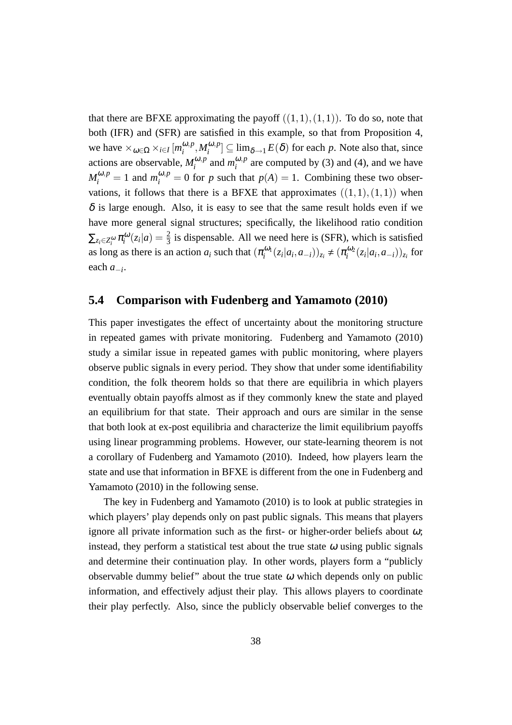that there are BFXE approximating the payoff  $((1,1),(1,1))$ . To do so, note that both (IFR) and (SFR) are satisfied in this example, so that from Proposition 4, we have  $\times_{\omega \in \Omega} \times_{i \in I} [m_i^{\omega, p}]$  $_{i}^{\omega,p}$ ,  $M_{i}^{\omega,p}$  $\binom{a}{i}$ ,  $\binom{b}{i}$   $\subseteq$   $\lim_{\delta \to 1} E(\delta)$  for each *p*. Note also that, since actions are observable,  $M_i^{\omega,p}$  $\sum_{i}^{\omega,p}$  and  $m_i^{\omega,p}$  $\binom{w,p}{i}$  are computed by (3) and (4), and we have  $M_i^{\omega, p} = 1$  and  $m_i^{\omega, p} = 0$  for *p* such that  $p(A) = 1$ . Combining these two observations, it follows that there is a BFXE that approximates  $((1,1),(1,1))$  when  $\delta$  is large enough. Also, it is easy to see that the same result holds even if we have more general signal structures; specifically, the likelihood ratio condition  $\sum_{z_i \in Z_i^{\omega}} \pi_i^{\omega}(z_i|a) = \frac{2}{3}$  is dispensable. All we need here is (SFR), which is satisfied as long as there is an action  $a_i$  such that  $(\pi_i^{\omega_1}(z_i|a_i, a_{-i}))_{z_i} \neq (\pi_i^{\omega_2}(z_i|a_i, a_{-i}))_{z_i}$  for each *a*−*<sup>i</sup>* .

### **5.4 Comparison with Fudenberg and Yamamoto (2010)**

This paper investigates the effect of uncertainty about the monitoring structure in repeated games with private monitoring. Fudenberg and Yamamoto (2010) study a similar issue in repeated games with public monitoring, where players observe public signals in every period. They show that under some identifiability condition, the folk theorem holds so that there are equilibria in which players eventually obtain payoffs almost as if they commonly knew the state and played an equilibrium for that state. Their approach and ours are similar in the sense that both look at ex-post equilibria and characterize the limit equilibrium payoffs using linear programming problems. However, our state-learning theorem is not a corollary of Fudenberg and Yamamoto (2010). Indeed, how players learn the state and use that information in BFXE is different from the one in Fudenberg and Yamamoto (2010) in the following sense.

The key in Fudenberg and Yamamoto (2010) is to look at public strategies in which players' play depends only on past public signals. This means that players ignore all private information such as the first- or higher-order beliefs about  $\omega$ ; instead, they perform a statistical test about the true state  $\omega$  using public signals and determine their continuation play. In other words, players form a "publicly observable dummy belief" about the true state  $\omega$  which depends only on public information, and effectively adjust their play. This allows players to coordinate their play perfectly. Also, since the publicly observable belief converges to the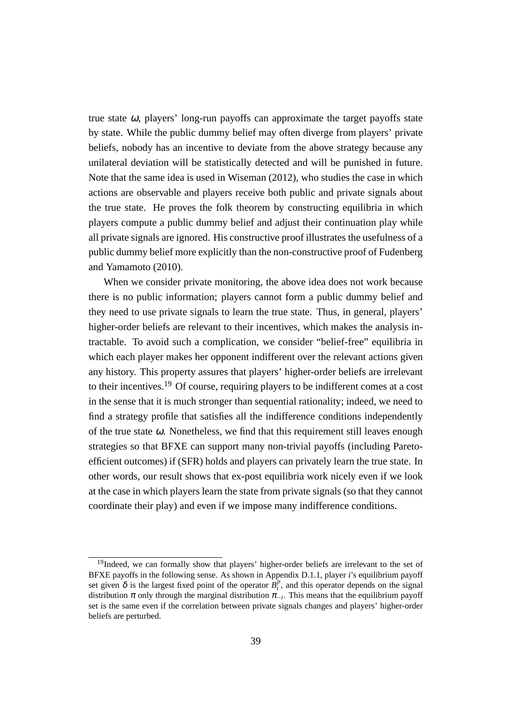true state  $\omega$ , players' long-run payoffs can approximate the target payoffs state by state. While the public dummy belief may often diverge from players' private beliefs, nobody has an incentive to deviate from the above strategy because any unilateral deviation will be statistically detected and will be punished in future. Note that the same idea is used in Wiseman (2012), who studies the case in which actions are observable and players receive both public and private signals about the true state. He proves the folk theorem by constructing equilibria in which players compute a public dummy belief and adjust their continuation play while all private signals are ignored. His constructive proof illustrates the usefulness of a public dummy belief more explicitly than the non-constructive proof of Fudenberg and Yamamoto (2010).

When we consider private monitoring, the above idea does not work because there is no public information; players cannot form a public dummy belief and they need to use private signals to learn the true state. Thus, in general, players' higher-order beliefs are relevant to their incentives, which makes the analysis intractable. To avoid such a complication, we consider "belief-free" equilibria in which each player makes her opponent indifferent over the relevant actions given any history. This property assures that players' higher-order beliefs are irrelevant to their incentives.<sup>19</sup> Of course, requiring players to be indifferent comes at a cost in the sense that it is much stronger than sequential rationality; indeed, we need to find a strategy profile that satisfies all the indifference conditions independently of the true state  $\omega$ . Nonetheless, we find that this requirement still leaves enough strategies so that BFXE can support many non-trivial payoffs (including Paretoefficient outcomes) if (SFR) holds and players can privately learn the true state. In other words, our result shows that ex-post equilibria work nicely even if we look at the case in which players learn the state from private signals (so that they cannot coordinate their play) and even if we impose many indifference conditions.

<sup>&</sup>lt;sup>19</sup>Indeed, we can formally show that players' higher-order beliefs are irrelevant to the set of BFXE payoffs in the following sense. As shown in Appendix D.1.1, player *i*'s equilibrium payoff set given  $\delta$  is the largest fixed point of the operator  $B_i^p$ , and this operator depends on the signal distribution <sup>π</sup> only through the marginal distribution <sup>π</sup>−*<sup>i</sup>* . This means that the equilibrium payoff set is the same even if the correlation between private signals changes and players' higher-order beliefs are perturbed.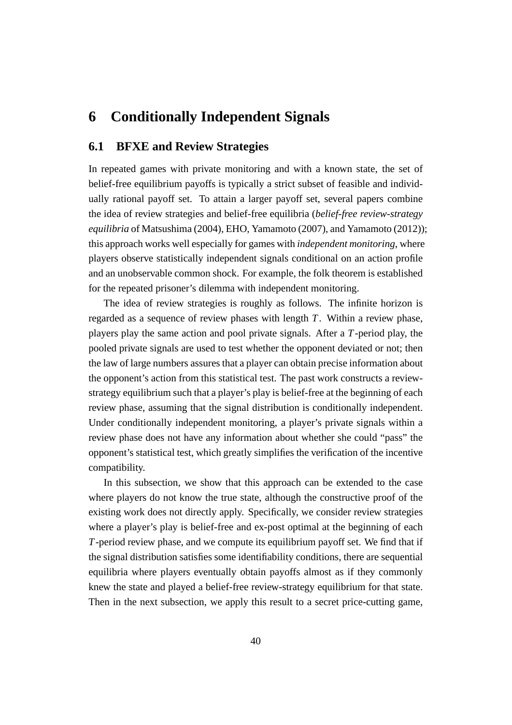## **6 Conditionally Independent Signals**

### **6.1 BFXE and Review Strategies**

In repeated games with private monitoring and with a known state, the set of belief-free equilibrium payoffs is typically a strict subset of feasible and individually rational payoff set. To attain a larger payoff set, several papers combine the idea of review strategies and belief-free equilibria (*belief-free review-strategy equilibria* of Matsushima (2004), EHO, Yamamoto (2007), and Yamamoto (2012)); this approach works well especially for games with *independent monitoring*, where players observe statistically independent signals conditional on an action profile and an unobservable common shock. For example, the folk theorem is established for the repeated prisoner's dilemma with independent monitoring.

The idea of review strategies is roughly as follows. The infinite horizon is regarded as a sequence of review phases with length *T*. Within a review phase, players play the same action and pool private signals. After a *T*-period play, the pooled private signals are used to test whether the opponent deviated or not; then the law of large numbers assures that a player can obtain precise information about the opponent's action from this statistical test. The past work constructs a reviewstrategy equilibrium such that a player's play is belief-free at the beginning of each review phase, assuming that the signal distribution is conditionally independent. Under conditionally independent monitoring, a player's private signals within a review phase does not have any information about whether she could "pass" the opponent's statistical test, which greatly simplifies the verification of the incentive compatibility.

In this subsection, we show that this approach can be extended to the case where players do not know the true state, although the constructive proof of the existing work does not directly apply. Specifically, we consider review strategies where a player's play is belief-free and ex-post optimal at the beginning of each *T*-period review phase, and we compute its equilibrium payoff set. We find that if the signal distribution satisfies some identifiability conditions, there are sequential equilibria where players eventually obtain payoffs almost as if they commonly knew the state and played a belief-free review-strategy equilibrium for that state. Then in the next subsection, we apply this result to a secret price-cutting game,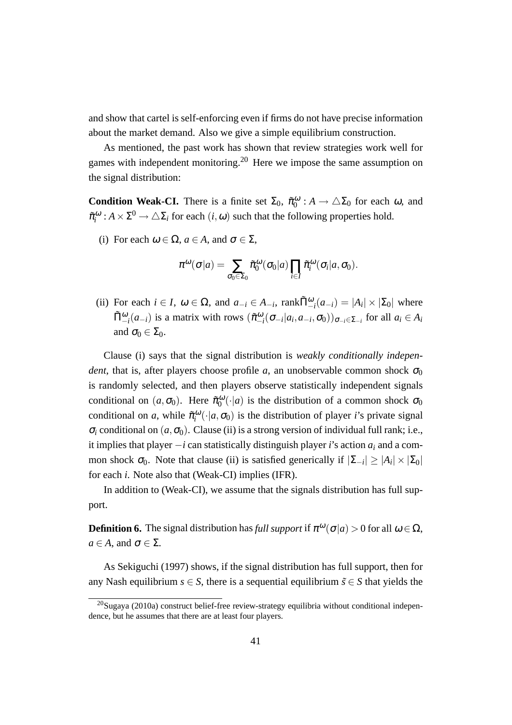and show that cartel is self-enforcing even if firms do not have precise information about the market demand. Also we give a simple equilibrium construction.

As mentioned, the past work has shown that review strategies work well for games with independent monitoring.<sup>20</sup> Here we impose the same assumption on the signal distribution:

**Condition Weak-CI.** There is a finite set  $\Sigma_0$ ,  $\tilde{\pi}_0^{\omega}$  :  $A \to \Delta \Sigma_0$  for each  $\omega$ , and  $\tilde{\pi}_i^{\omega}: A \times \Sigma^0 \to \triangle \Sigma_i$  for each  $(i, \omega)$  such that the following properties hold.

(i) For each  $\omega \in \Omega$ ,  $a \in A$ , and  $\sigma \in \Sigma$ ,

$$
\pi^{\omega}(\sigma|a) = \sum_{\sigma_0 \in \Sigma_0} \tilde{\pi}_0^{\omega}(\sigma_0|a) \prod_{i \in I} \tilde{\pi}_i^{\omega}(\sigma_i|a, \sigma_0).
$$

(ii) For each  $i \in I$ ,  $\omega \in \Omega$ , and  $a_{-i} \in A_{-i}$ ,  $\text{rank} \tilde{\Pi}_{-i}^{\omega}(a_{-i}) = |A_i| \times |\Sigma_0|$  where  $\tilde{\Pi}_{-i}^{\omega}(a_{-i})$  is a matrix with rows  $(\tilde{\pi}_{-i}^{\omega}(\sigma_{-i}|a_i, a_{-i}, \sigma_0))_{\sigma_{-i} \in \Sigma_{-i}}$  for all  $a_i \in A_i$ and  $\sigma_0 \in \Sigma_0$ .

Clause (i) says that the signal distribution is *weakly conditionally independent*, that is, after players choose profile *a*, an unobservable common shock  $\sigma_0$ is randomly selected, and then players observe statistically independent signals conditional on  $(a, \sigma_0)$ . Here  $\tilde{\pi}_0^{\omega}(\cdot | a)$  is the distribution of a common shock  $\sigma_0$ conditional on *a*, while  $\tilde{\pi}_i^{\omega}(\cdot|a,\sigma_0)$  is the distribution of player *i*'s private signal  $\sigma_i$  conditional on  $(a, \sigma_0)$ . Clause (ii) is a strong version of individual full rank; i.e., it implies that player −*i* can statistically distinguish player *i*'s action *a<sup>i</sup>* and a common shock  $\sigma_0$ . Note that clause (ii) is satisfied generically if  $|\Sigma_{-i}| \ge |A_i| \times |\Sigma_0|$ for each *i*. Note also that (Weak-CI) implies (IFR).

In addition to (Weak-CI), we assume that the signals distribution has full support.

**Definition 6.** The signal distribution has *full support* if  $\pi^{\omega}(\sigma|a) > 0$  for all  $\omega \in \Omega$ ,  $a \in A$ , and  $\sigma \in \Sigma$ .

As Sekiguchi (1997) shows, if the signal distribution has full support, then for any Nash equilibrium  $s \in S$ , there is a sequential equilibrium  $\tilde{s} \in S$  that yields the

 $^{20}$ Sugaya (2010a) construct belief-free review-strategy equilibria without conditional independence, but he assumes that there are at least four players.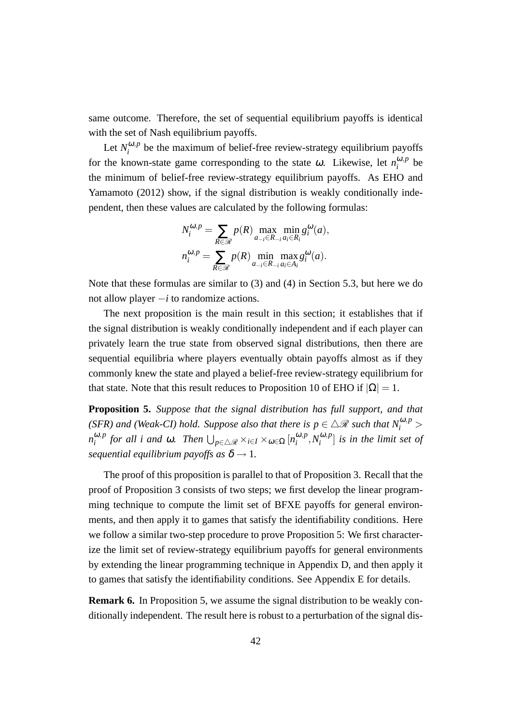same outcome. Therefore, the set of sequential equilibrium payoffs is identical with the set of Nash equilibrium payoffs.

Let  $N_i^{\omega,p}$  $\binom{w,p}{i}$  be the maximum of belief-free review-strategy equilibrium payoffs for the known-state game corresponding to the state  $\omega$ . Likewise, let  $n_i^{\omega, p}$  $\binom{w,p}{i}$  be the minimum of belief-free review-strategy equilibrium payoffs. As EHO and Yamamoto (2012) show, if the signal distribution is weakly conditionally independent, then these values are calculated by the following formulas:

$$
N_i^{\omega, p} = \sum_{R \in \mathcal{R}} p(R) \max_{a_{-i} \in R_{-i}} \min_{a_i \in R_i} g_i^{\omega}(a),
$$
  

$$
n_i^{\omega, p} = \sum_{R \in \mathcal{R}} p(R) \min_{a_{-i} \in R_{-i}} \max_{a_i \in A_i} g_i^{\omega}(a).
$$

Note that these formulas are similar to (3) and (4) in Section 5.3, but here we do not allow player −*i* to randomize actions.

The next proposition is the main result in this section; it establishes that if the signal distribution is weakly conditionally independent and if each player can privately learn the true state from observed signal distributions, then there are sequential equilibria where players eventually obtain payoffs almost as if they commonly knew the state and played a belief-free review-strategy equilibrium for that state. Note that this result reduces to Proposition 10 of EHO if  $|\Omega| = 1$ .

**Proposition 5.** *Suppose that the signal distribution has full support, and that (SFR) and (Weak-CI) hold. Suppose also that there is*  $p \in \triangle \mathscr{R}$  *such that*  $N_i^{\omega, p}$  > *n* <sup>ω</sup>,*p*  $\int_{i}^{\omega, p}$  *for all i and ω. Then*  $\bigcup_{p \in \triangle \mathcal{R}} \times_{i \in I} \times_{\omega \in \Omega} [n_i^{\omega, p}]$  $_{i}^{\omega,p}$ ,  $N_i^{\omega,p}$ *i* ] *is in the limit set of sequential equilibrium payoffs as*  $\delta \rightarrow 1$ *.* 

The proof of this proposition is parallel to that of Proposition 3. Recall that the proof of Proposition 3 consists of two steps; we first develop the linear programming technique to compute the limit set of BFXE payoffs for general environments, and then apply it to games that satisfy the identifiability conditions. Here we follow a similar two-step procedure to prove Proposition 5: We first characterize the limit set of review-strategy equilibrium payoffs for general environments by extending the linear programming technique in Appendix D, and then apply it to games that satisfy the identifiability conditions. See Appendix E for details.

**Remark 6.** In Proposition 5, we assume the signal distribution to be weakly conditionally independent. The result here is robust to a perturbation of the signal dis-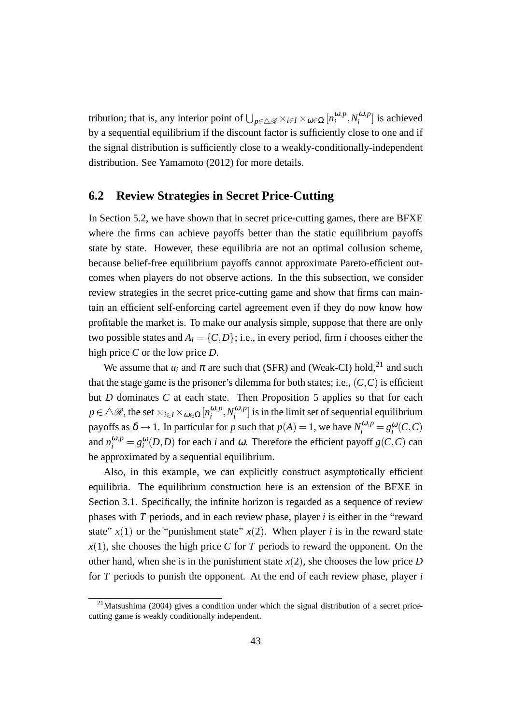tribution; that is, any interior point of  $\bigcup_{p \in \triangle \mathcal{R}} \times_{i \in I} \times_{\omega \in \Omega} [n_i^{\omega, p}]$  $_{i}^{\omega,p}$ ,  $N_i^{\omega,p}$  $\binom{w,p}{i}$  is achieved by a sequential equilibrium if the discount factor is sufficiently close to one and if the signal distribution is sufficiently close to a weakly-conditionally-independent distribution. See Yamamoto (2012) for more details.

### **6.2 Review Strategies in Secret Price-Cutting**

In Section 5.2, we have shown that in secret price-cutting games, there are BFXE where the firms can achieve payoffs better than the static equilibrium payoffs state by state. However, these equilibria are not an optimal collusion scheme, because belief-free equilibrium payoffs cannot approximate Pareto-efficient outcomes when players do not observe actions. In the this subsection, we consider review strategies in the secret price-cutting game and show that firms can maintain an efficient self-enforcing cartel agreement even if they do now know how profitable the market is. To make our analysis simple, suppose that there are only two possible states and  $A_i = \{C, D\}$ ; i.e., in every period, firm *i* chooses either the high price *C* or the low price *D*.

We assume that  $u_i$  and  $\pi$  are such that (SFR) and (Weak-CI) hold,<sup>21</sup> and such that the stage game is the prisoner's dilemma for both states; i.e.,  $(C, C)$  is efficient but *D* dominates *C* at each state. Then Proposition 5 applies so that for each  $p \in \triangle \mathscr{R}$ , the set  $\times_{i \in I} \times_{\omega \in \Omega} [n_i^{\omega, p}]$  $_{i}^{\omega,p}$ ,  $N_i^{\omega,p}$  $\binom{a}{i}$  is in the limit set of sequential equilibrium payoffs as  $\delta \to 1$ . In particular for *p* such that  $p(A) = 1$ , we have  $N_i^{\omega, p} = g_i^{\omega}(C, C)$ and  $n_i^{\omega,p} = g_i^{\omega}(D,D)$  for each *i* and  $\omega$ . Therefore the efficient payoff  $g(C, C)$  can be approximated by a sequential equilibrium.

Also, in this example, we can explicitly construct asymptotically efficient equilibria. The equilibrium construction here is an extension of the BFXE in Section 3.1. Specifically, the infinite horizon is regarded as a sequence of review phases with *T* periods, and in each review phase, player *i* is either in the "reward state"  $x(1)$  or the "punishment state"  $x(2)$ . When player *i* is in the reward state  $x(1)$ , she chooses the high price *C* for *T* periods to reward the opponent. On the other hand, when she is in the punishment state  $x(2)$ , she chooses the low price *D* for *T* periods to punish the opponent. At the end of each review phase, player *i*

 $21$ Matsushima (2004) gives a condition under which the signal distribution of a secret pricecutting game is weakly conditionally independent.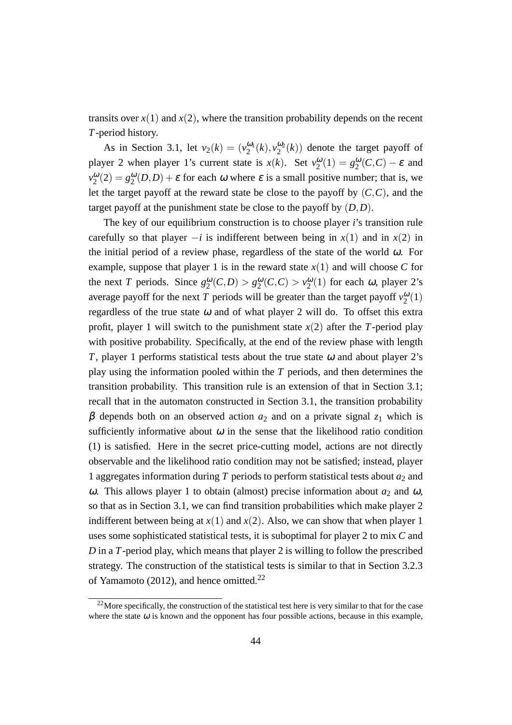transits over  $x(1)$  and  $x(2)$ , where the transition probability depends on the recent *T*-period history.

As in Section 3.1, let  $v_2(k) = (v_2^{\omega_1}(k), v_2^{\omega_2}(k))$  denote the target payoff of player 2 when player 1's current state is  $x(k)$ . Set  $v_2^{\omega}(1) = g_2^{\omega}(C, C) - \varepsilon$  and  $v_2^{\omega}(2) = g_2^{\omega}(D,D) + \varepsilon$  for each  $\omega$  where  $\varepsilon$  is a small positive number; that is, we let the target payoff at the reward state be close to the payoff by  $(C, C)$ , and the target payoff at the punishment state be close to the payoff by (*D*,*D*).

The key of our equilibrium construction is to choose player *i*'s transition rule carefully so that player  $-i$  is indifferent between being in  $x(1)$  and in  $x(2)$  in the initial period of a review phase, regardless of the state of the world  $\omega$ . For example, suppose that player 1 is in the reward state  $x(1)$  and will choose C for the next *T* periods. Since  $g_2^{\omega}(C,D) > g_2^{\omega}(C,C) > v_2^{\omega}(1)$  for each  $\omega$ , player 2's average payoff for the next *T* periods will be greater than the target payoff  $v_2^{\omega}(1)$ regardless of the true state  $\omega$  and of what player 2 will do. To offset this extra profit, player 1 will switch to the punishment state  $x(2)$  after the *T*-period play with positive probability. Specifically, at the end of the review phase with length *T*, player 1 performs statistical tests about the true state  $\omega$  and about player 2's play using the information pooled within the *T* periods, and then determines the transition probability. This transition rule is an extension of that in Section 3.1; recall that in the automaton constructed in Section 3.1, the transition probability β depends both on an observed action  $a_2$  and on a private signal  $z_1$  which is sufficiently informative about  $\omega$  in the sense that the likelihood ratio condition (1) is satisfied. Here in the secret price-cutting model, actions are not directly observable and the likelihood ratio condition may not be satisfied; instead, player 1 aggregates information during  $T$  periods to perform statistical tests about  $a_2$  and ω. This allows player 1 to obtain (almost) precise information about  $a_2$  and ω, so that as in Section 3.1, we can find transition probabilities which make player 2 indifferent between being at  $x(1)$  and  $x(2)$ . Also, we can show that when player 1 uses some sophisticated statistical tests, it is suboptimal for player 2 to mix *C* and *D* in a *T*-period play, which means that player 2 is willing to follow the prescribed strategy. The construction of the statistical tests is similar to that in Section 3.2.3 of Yamamoto (2012), and hence omitted.<sup>22</sup>

<sup>&</sup>lt;sup>22</sup>More specifically, the construction of the statistical test here is very similar to that for the case where the state  $\omega$  is known and the opponent has four possible actions, because in this example,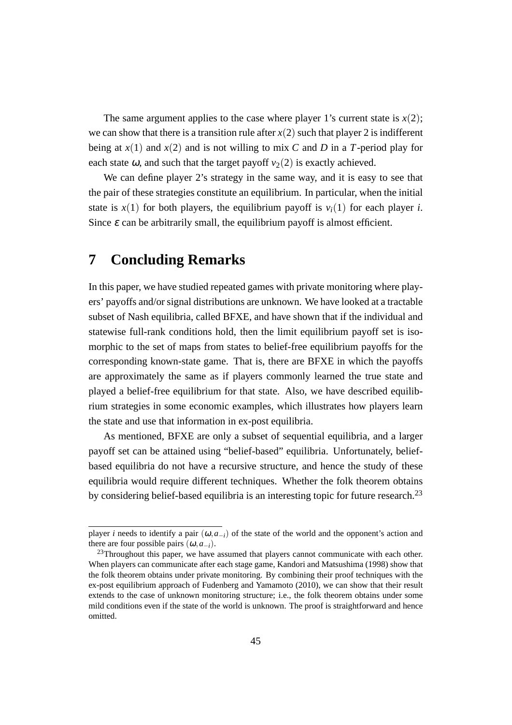The same argument applies to the case where player 1's current state is  $x(2)$ ; we can show that there is a transition rule after  $x(2)$  such that player 2 is indifferent being at  $x(1)$  and  $x(2)$  and is not willing to mix *C* and *D* in a *T*-period play for each state  $\omega$ , and such that the target payoff  $v_2(2)$  is exactly achieved.

We can define player 2's strategy in the same way, and it is easy to see that the pair of these strategies constitute an equilibrium. In particular, when the initial state is  $x(1)$  for both players, the equilibrium payoff is  $v_i(1)$  for each player *i*. Since  $\varepsilon$  can be arbitrarily small, the equilibrium payoff is almost efficient.

# **7 Concluding Remarks**

In this paper, we have studied repeated games with private monitoring where players' payoffs and/or signal distributions are unknown. We have looked at a tractable subset of Nash equilibria, called BFXE, and have shown that if the individual and statewise full-rank conditions hold, then the limit equilibrium payoff set is isomorphic to the set of maps from states to belief-free equilibrium payoffs for the corresponding known-state game. That is, there are BFXE in which the payoffs are approximately the same as if players commonly learned the true state and played a belief-free equilibrium for that state. Also, we have described equilibrium strategies in some economic examples, which illustrates how players learn the state and use that information in ex-post equilibria.

As mentioned, BFXE are only a subset of sequential equilibria, and a larger payoff set can be attained using "belief-based" equilibria. Unfortunately, beliefbased equilibria do not have a recursive structure, and hence the study of these equilibria would require different techniques. Whether the folk theorem obtains by considering belief-based equilibria is an interesting topic for future research.<sup>23</sup>

player *i* needs to identify a pair  $(\omega, a_{-i})$  of the state of the world and the opponent's action and there are four possible pairs  $(\omega, a_{-i})$ .

 $^{23}$ Throughout this paper, we have assumed that players cannot communicate with each other. When players can communicate after each stage game, Kandori and Matsushima (1998) show that the folk theorem obtains under private monitoring. By combining their proof techniques with the ex-post equilibrium approach of Fudenberg and Yamamoto (2010), we can show that their result extends to the case of unknown monitoring structure; i.e., the folk theorem obtains under some mild conditions even if the state of the world is unknown. The proof is straightforward and hence omitted.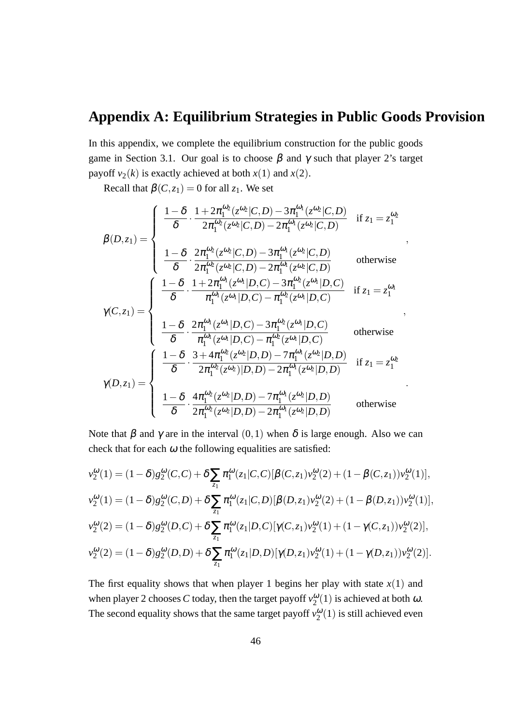## **Appendix A: Equilibrium Strategies in Public Goods Provision**

In this appendix, we complete the equilibrium construction for the public goods game in Section 3.1. Our goal is to choose  $\beta$  and  $\gamma$  such that player 2's target payoff  $v_2(k)$  is exactly achieved at both  $x(1)$  and  $x(2)$ .

Recall that  $\beta(C, z_1) = 0$  for all  $z_1$ . We set

$$
\beta(D,z_1) = \begin{cases}\n\frac{1-\delta}{\delta} \cdot \frac{1+2\pi_1^{\omega_2}(z^{\omega_2}|C,D)-3\pi_1^{\omega_1}(z^{\omega_2}|C,D)}{2\pi_1^{\omega_2}(z^{\omega_2}|C,D)-2\pi_1^{\omega_1}(z^{\omega_2}|C,D)} & \text{if } z_1 = z_1^{\omega_2} \\
\frac{1-\delta}{\delta} \cdot \frac{2\pi_1^{\omega_2}(z^{\omega_2}|C,D)-3\pi_1^{\omega_1}(z^{\omega_2}|C,D)}{2\pi_1^{\omega_2}(z^{\omega_2}|C,D)-2\pi_1^{\omega_1}(z^{\omega_2}|C,D)} & \text{otherwise} \\
\gamma(C,z_1) = \begin{cases}\n\frac{1-\delta}{\delta} \cdot \frac{1+2\pi_1^{\omega_1}(z^{\omega_1}|D,C)-3\pi_1^{\omega_2}(z^{\omega_1}|D,C)}{\pi_1^{\omega_1}(z^{\omega_1}|D,C)-\pi_1^{\omega_2}(z^{\omega_1}|D,C)} & \text{if } z_1 = z_1^{\omega_1} \\
\frac{1-\delta}{\delta} \cdot \frac{2\pi_1^{\omega_1}(z^{\omega_1}|D,C)-3\pi_1^{\omega_2}(z^{\omega_1}|D,C)}{\pi_1^{\omega_1}(z^{\omega_1}|D,C)-\pi_1^{\omega_2}(z^{\omega_1}|D,C)} & \text{otherwise} \\
\frac{1-\delta}{\delta} \cdot \frac{3+4\pi_1^{\omega_2}(z^{\omega_2}|D,D)-7\pi_1^{\omega_1}(z^{\omega_2}|D,D)}{2\pi_1^{\omega_2}(z^{\omega_2})|D,D)-2\pi_1^{\omega_1}(z^{\omega_2}|D,D)} & \text{if } z_1 = z_1^{\omega_2} \\
\frac{1-\delta}{\delta} \cdot \frac{4\pi_1^{\omega_2}(z^{\omega_2}|D,D)-7\pi_1^{\omega_1}(z^{\omega_2}|D,D)}{2\pi_1^{\omega_2}(z^{\omega_2}|D,D)-2\pi_1^{\omega_1}(z^{\omega_2}|D,D)} & \text{otherwise}\n\end{cases}
$$

Note that  $\beta$  and  $\gamma$  are in the interval  $(0,1)$  when  $\delta$  is large enough. Also we can check that for each  $\omega$  the following equalities are satisfied:

$$
v_2^{\omega}(1) = (1 - \delta)g_2^{\omega}(C, C) + \delta \sum_{z_1} \pi_1^{\omega}(z_1|C, C) [\beta(C, z_1)v_2^{\omega}(2) + (1 - \beta(C, z_1))v_2^{\omega}(1)],
$$
  
\n
$$
v_2^{\omega}(1) = (1 - \delta)g_2^{\omega}(C, D) + \delta \sum_{z_1} \pi_1^{\omega}(z_1|C, D) [\beta(D, z_1)v_2^{\omega}(2) + (1 - \beta(D, z_1))v_2^{\omega}(1)],
$$
  
\n
$$
v_2^{\omega}(2) = (1 - \delta)g_2^{\omega}(D, C) + \delta \sum_{z_1} \pi_1^{\omega}(z_1|D, C) [\gamma(C, z_1)v_2^{\omega}(1) + (1 - \gamma(C, z_1))v_2^{\omega}(2)],
$$
  
\n
$$
v_2^{\omega}(2) = (1 - \delta)g_2^{\omega}(D, D) + \delta \sum_{z_1} \pi_1^{\omega}(z_1|D, D) [\gamma(D, z_1)v_2^{\omega}(1) + (1 - \gamma(D, z_1))v_2^{\omega}(2)].
$$

The first equality shows that when player 1 begins her play with state  $x(1)$  and when player 2 chooses *C* today, then the target payoff  $v_2^{\omega}(1)$  is achieved at both  $\omega$ . The second equality shows that the same target payoff  $v_2^{\omega}(1)$  is still achieved even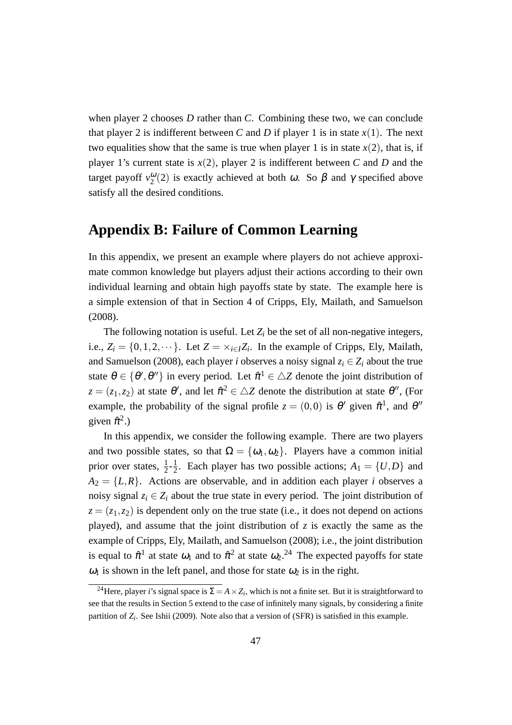when player 2 chooses *D* rather than *C*. Combining these two, we can conclude that player 2 is indifferent between *C* and *D* if player 1 is in state  $x(1)$ . The next two equalities show that the same is true when player 1 is in state  $x(2)$ , that is, if player 1's current state is *x*(2), player 2 is indifferent between *C* and *D* and the target payoff  $v_2^{\omega}(2)$  is exactly achieved at both  $\omega$ . So  $\beta$  and  $\gamma$  specified above satisfy all the desired conditions.

## **Appendix B: Failure of Common Learning**

In this appendix, we present an example where players do not achieve approximate common knowledge but players adjust their actions according to their own individual learning and obtain high payoffs state by state. The example here is a simple extension of that in Section 4 of Cripps, Ely, Mailath, and Samuelson (2008).

The following notation is useful. Let  $Z_i$  be the set of all non-negative integers, i.e.,  $Z_i = \{0, 1, 2, \dots\}$ . Let  $Z = \times_{i \in I} Z_i$ . In the example of Cripps, Ely, Mailath, and Samuelson (2008), each player *i* observes a noisy signal  $z_i \in Z_i$  about the true state  $\theta \in {\theta', \theta''}$  in every period. Let  $\hat{\pi}^1 \in \triangle Z$  denote the joint distribution of  $z = (z_1, z_2)$  at state  $\theta'$ , and let  $\hat{\pi}^2 \in \triangle Z$  denote the distribution at state  $\theta''$ , (For example, the probability of the signal profile  $z = (0,0)$  is  $\theta'$  given  $\hat{\pi}^1$ , and  $\theta''$ given  $\hat{\pi}^2$ .)

In this appendix, we consider the following example. There are two players and two possible states, so that  $\Omega = {\omega_1, \omega_2}$ . Players have a common initial prior over states,  $\frac{1}{2}$ - $\frac{1}{2}$  $\frac{1}{2}$ . Each player has two possible actions;  $A_1 = \{U, D\}$  and  $A_2 = \{L, R\}$ . Actions are observable, and in addition each player *i* observes a noisy signal  $z_i \in Z_i$  about the true state in every period. The joint distribution of  $z = (z_1, z_2)$  is dependent only on the true state (i.e., it does not depend on actions played), and assume that the joint distribution of *z* is exactly the same as the example of Cripps, Ely, Mailath, and Samuelson (2008); i.e., the joint distribution is equal to  $\hat{\pi}^1$  at state  $\omega_1$  and to  $\hat{\pi}^2$  at state  $\omega_2$ .<sup>24</sup> The expected payoffs for state  $\omega_1$  is shown in the left panel, and those for state  $\omega_2$  is in the right.

<sup>&</sup>lt;sup>24</sup>Here, player *i*'s signal space is  $\Sigma = A \times Z_i$ , which is not a finite set. But it is straightforward to see that the results in Section 5 extend to the case of infinitely many signals, by considering a finite partition of *Z<sup>i</sup>* . See Ishii (2009). Note also that a version of (SFR) is satisfied in this example.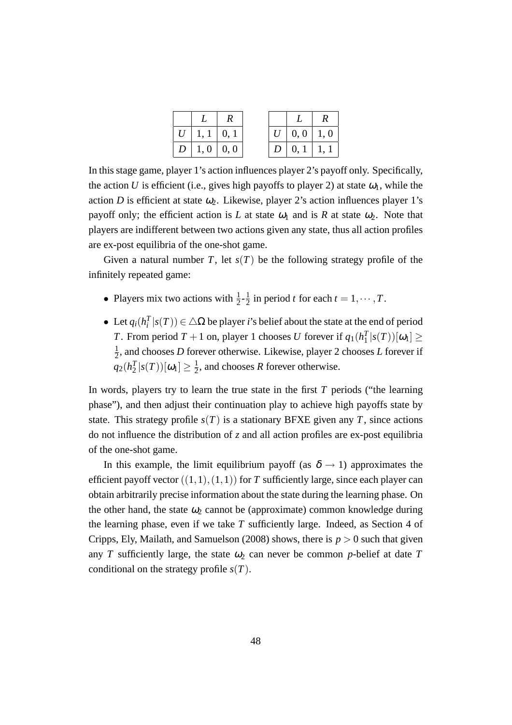| $U \mid 1, 1 \mid 0, 1$ |  | $U \, \, 0, 0 \, \, 1, 0$ |  |
|-------------------------|--|---------------------------|--|
| D   1, 0   0, 0         |  | $D \mid 0, 1 \mid 1, 1$   |  |

In this stage game, player 1's action influences player 2's payoff only. Specifically, the action *U* is efficient (i.e., gives high payoffs to player 2) at state  $\omega_1$ , while the action *D* is efficient at state  $\omega_2$ . Likewise, player 2's action influences player 1's payoff only; the efficient action is *L* at state  $\omega_1$  and is *R* at state  $\omega_2$ . Note that players are indifferent between two actions given any state, thus all action profiles are ex-post equilibria of the one-shot game.

Given a natural number *T*, let  $s(T)$  be the following strategy profile of the infinitely repeated game:

- Players mix two actions with  $\frac{1}{2}$ - $\frac{1}{2}$  $\frac{1}{2}$  in period *t* for each  $t = 1, \dots, T$ .
- Let  $q_i(h_i^T | s(T)) \in \Delta \Omega$  be player *i*'s belief about the state at the end of period *T*. From period *T* + 1 on, player 1 chooses *U* forever if  $q_1(h_1^T|s(T))[\omega_1] \ge$ 1  $\frac{1}{2}$ , and chooses *D* forever otherwise. Likewise, player 2 chooses *L* forever if  $q_2(h_2^T | s(T))[\omega_1] \geq \frac{1}{2}$  $\frac{1}{2}$ , and chooses *R* forever otherwise.

In words, players try to learn the true state in the first *T* periods ("the learning phase"), and then adjust their continuation play to achieve high payoffs state by state. This strategy profile  $s(T)$  is a stationary BFXE given any T, since actions do not influence the distribution of *z* and all action profiles are ex-post equilibria of the one-shot game.

In this example, the limit equilibrium payoff (as  $\delta \rightarrow 1$ ) approximates the efficient payoff vector  $((1,1),(1,1))$  for *T* sufficiently large, since each player can obtain arbitrarily precise information about the state during the learning phase. On the other hand, the state  $\omega_2$  cannot be (approximate) common knowledge during the learning phase, even if we take *T* sufficiently large. Indeed, as Section 4 of Cripps, Ely, Mailath, and Samuelson (2008) shows, there is  $p > 0$  such that given any *T* sufficiently large, the state  $\omega_2$  can never be common *p*-belief at date *T* conditional on the strategy profile  $s(T)$ .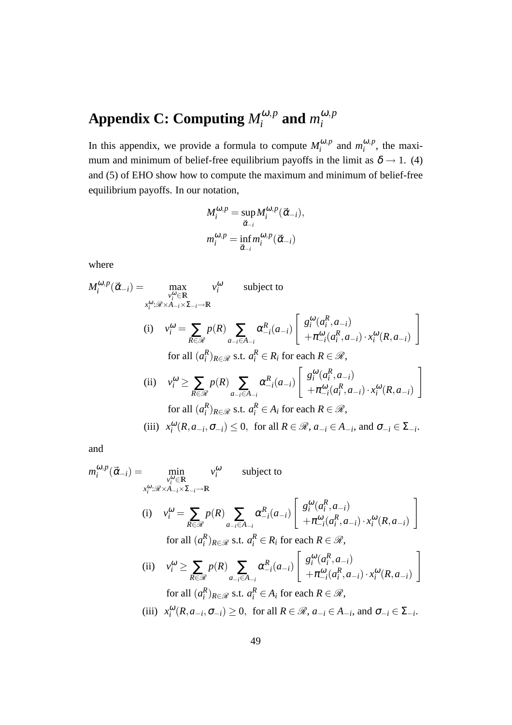#### **Appendix C: Computing** *M* <sup>ω</sup>,*p*  $m_i^{\omega,p}$  and  $m_i^{\omega,p}$ *i*

In this appendix, we provide a formula to compute  $M_i^{\omega,p}$  $\sum_{i=1}^{a}$  and  $m_i^{a}$  $i^{\omega,p}$ , the maximum and minimum of belief-free equilibrium payoffs in the limit as  $\delta \rightarrow 1$ . (4) and (5) of EHO show how to compute the maximum and minimum of belief-free equilibrium payoffs. In our notation,

$$
M_i^{\omega, p} = \sup_{\vec{\alpha}_{-i}} M_i^{\omega, p}(\vec{\alpha}_{-i}),
$$
  

$$
m_i^{\omega, p} = \inf_{\vec{\alpha}_{-i}} m_i^{\omega, p}(\vec{\alpha}_{-i})
$$

where

$$
M_{i}^{\omega,p}(\vec{\alpha}_{-i}) = \max_{\substack{v_{i}^{\omega} \in \mathbb{R} \\ x_{i}^{\omega} : \mathcal{R} \times A_{-i} \times \Sigma_{-i} \to \mathbb{R}}} v_{i}^{\omega} \quad \text{subject to}
$$
  
\n(i) 
$$
v_{i}^{\omega} = \sum_{R \in \mathcal{R}} p(R) \sum_{a_{-i} \in A_{-i}} \alpha_{-i}^{R}(a_{-i}) \left[ \frac{g_{i}^{\omega}(a_{i}^{R}, a_{-i})}{+\pi_{-i}^{\omega}(a_{i}^{R}, a_{-i})} \cdot x_{i}^{\omega}(R, a_{-i})} \right]
$$
  
\nfor all  $(a_{i}^{R})_{R \in \mathcal{R}}$  s.t.  $a_{i}^{R} \in R_{i}$  for each  $R \in \mathcal{R}$ ,  
\n(ii) 
$$
v_{i}^{\omega} \ge \sum_{R \in \mathcal{R}} p(R) \sum_{a_{-i} \in A_{-i}} \alpha_{-i}^{R}(a_{-i}) \left[ \frac{g_{i}^{\omega}(a_{i}^{R}, a_{-i})}{+\pi_{-i}^{\omega}(a_{i}^{R}, a_{-i})} \cdot x_{i}^{\omega}(R, a_{-i})} \right]
$$
  
\nfor all  $(a_{i}^{R})_{R \in \mathcal{R}}$  s.t.  $a_{i}^{R} \in A_{i}$  for each  $R \in \mathcal{R}$ ,  
\n(iii) 
$$
x_{i}^{\omega}(R, a_{-i}, \sigma_{-i}) \le 0
$$
, for all  $R \in \mathcal{R}$ ,  $a_{-i} \in A_{-i}$ , and  $\sigma_{-i} \in \Sigma_{-i}$ .

and

$$
m_i^{\omega, p}(\vec{\alpha}_{-i}) = \min_{\substack{v_i^{\omega} \in \mathbb{R} \\ x_i^{\omega} : \mathcal{R} \times A_{-i} \times \Sigma_{-i} \to \mathbb{R}}} v_i^{\omega} \quad \text{subject to}
$$
\n
$$
(i) \quad v_i^{\omega} = \sum_{R \in \mathcal{R}} p(R) \sum_{a_{-i} \in A_{-i}} \alpha_{-i}^{R}(a_{-i}) \left[ \begin{array}{c} g_i^{\omega}(a_i^{R}, a_{-i}) \\ + \pi_{-i}^{\omega}(a_i^{R}, a_{-i}) \cdot x_i^{\omega}(R, a_{-i}) \end{array} \right]
$$
\nfor all  $(a_i^R)_{R \in \mathcal{R}}$  s.t.  $a_i^R \in R_i$  for each  $R \in \mathcal{R}$ ,\n
$$
(ii) \quad v_i^{\omega} \ge \sum_{R \in \mathcal{R}} p(R) \sum_{a_{-i} \in A_{-i}} \alpha_{-i}^{R}(a_{-i}) \left[ \begin{array}{c} g_i^{\omega}(a_i^{R}, a_{-i}) \\ + \pi_{-i}^{\omega}(a_i^{R}, a_{-i}) \cdot x_i^{\omega}(R, a_{-i}) \end{array} \right]
$$
\nfor all  $(a_i^R)_{R \in \mathcal{R}}$  s.t.  $a_i^R \in A_i$  for each  $R \in \mathcal{R}$ ,\n
$$
(iii) \quad x_i^{\omega}(R, a_{-i}, \sigma_{-i}) \ge 0, \text{ for all } R \in \mathcal{R}, a_{-i} \in A_{-i}, \text{ and } \sigma_{-i} \in \Sigma_{-i}.
$$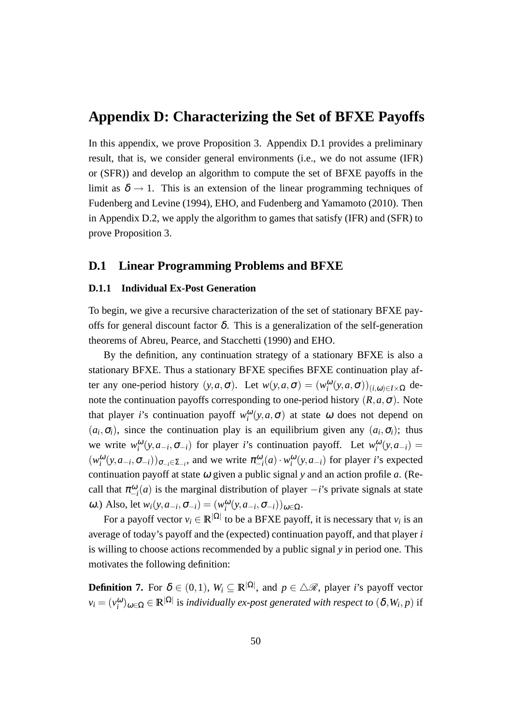## **Appendix D: Characterizing the Set of BFXE Payoffs**

In this appendix, we prove Proposition 3. Appendix D.1 provides a preliminary result, that is, we consider general environments (i.e., we do not assume (IFR) or (SFR)) and develop an algorithm to compute the set of BFXE payoffs in the limit as  $\delta \rightarrow 1$ . This is an extension of the linear programming techniques of Fudenberg and Levine (1994), EHO, and Fudenberg and Yamamoto (2010). Then in Appendix D.2, we apply the algorithm to games that satisfy (IFR) and (SFR) to prove Proposition 3.

#### **D.1 Linear Programming Problems and BFXE**

### **D.1.1 Individual Ex-Post Generation**

To begin, we give a recursive characterization of the set of stationary BFXE payoffs for general discount factor  $\delta$ . This is a generalization of the self-generation theorems of Abreu, Pearce, and Stacchetti (1990) and EHO.

By the definition, any continuation strategy of a stationary BFXE is also a stationary BFXE. Thus a stationary BFXE specifies BFXE continuation play after any one-period history  $(y, a, \sigma)$ . Let  $w(y, a, \sigma) = (w_i^{\omega}(y, a, \sigma))_{(i, \omega) \in I \times \Omega}$  denote the continuation payoffs corresponding to one-period history  $(R, a, \sigma)$ . Note that player *i*'s continuation payoff  $w_i^{\omega}(y, a, \sigma)$  at state  $\omega$  does not depend on  $(a_i, \sigma_i)$ , since the continuation play is an equilibrium given any  $(a_i, \sigma_i)$ ; thus we write  $w_i^{\omega}(y, a_{-i}, \sigma_{-i})$  for player *i*'s continuation payoff. Let  $w_i^{\omega}(y, a_{-i}) =$  $(w_i^{\omega}(y, a_{-i}, \sigma_{-i}))_{\sigma_{-i} \in \Sigma_{-i}}$ , and we write  $\pi_{-i}^{\omega}(a) \cdot w_i^{\omega}(y, a_{-i})$  for player *i*'s expected continuation payoff at state <sup>ω</sup> given a public signal *y* and an action profile *a*. (Recall that  $\pi_{-i}^{\omega}(a)$  is the marginal distribution of player  $-i$ 's private signals at state  $ω$ .) Also, let  $w_i(y, a_{-i}, σ_{-i}) = (w_i^ω(y, a_{-i}, σ_{-i}))_{ω \in Ω}$ .

For a payoff vector  $v_i \in \mathbb{R}^{|\Omega|}$  to be a BFXE payoff, it is necessary that  $v_i$  is an average of today's payoff and the (expected) continuation payoff, and that player *i* is willing to choose actions recommended by a public signal *y* in period one. This motivates the following definition:

**Definition 7.** For  $\delta \in (0,1)$ ,  $W_i \subseteq \mathbb{R}^{|\Omega|}$ , and  $p \in \triangle \mathcal{R}$ , player *i*'s payoff vector  $v_i = (v_i^{\omega})_{\omega \in \Omega} \in \mathbb{R}^{|\Omega|}$  is *individually ex-post generated with respect to*  $(\delta, W_i, p)$  if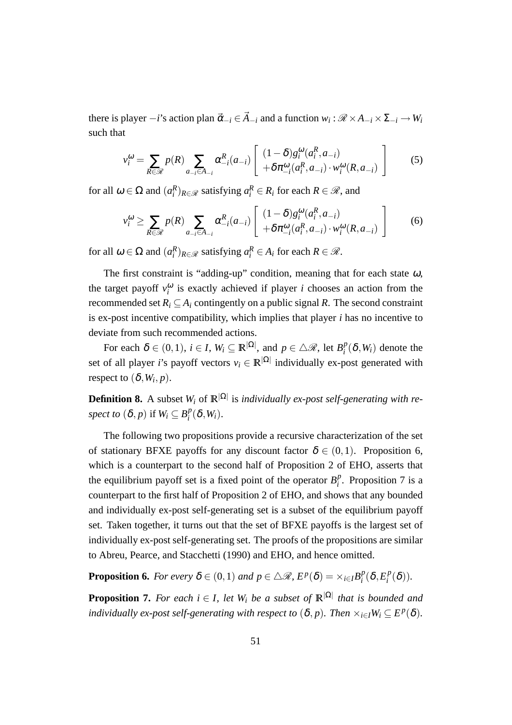there is player  $-i$ 's action plan  $\vec{\alpha}_{-i} \in \vec{A}_{-i}$  and a function  $w_i : \mathscr{R} \times A_{-i} \times \Sigma_{-i} \to W_i$ such that

$$
v_i^{\omega} = \sum_{R \in \mathcal{R}} p(R) \sum_{a_{-i} \in A_{-i}} \alpha_{-i}^R (a_{-i}) \begin{bmatrix} (1 - \delta) g_i^{\omega}(a_i^R, a_{-i}) \\ + \delta \pi_{-i}^{\omega}(a_i^R, a_{-i}) \cdot w_i^{\omega}(R, a_{-i}) \end{bmatrix}
$$
(5)

for all  $\omega \in \Omega$  and  $(a_i^R)_{R \in \mathcal{R}}$  satisfying  $a_i^R \in R_i$  for each  $R \in \mathcal{R}$ , and .<br>-

$$
v_i^{\omega} \ge \sum_{R \in \mathcal{R}} p(R) \sum_{a_{-i} \in A_{-i}} \alpha_{-i}^R (a_{-i}) \left[ \begin{array}{c} (1 - \delta) g_i^{\omega}(a_i^R, a_{-i}) \\ + \delta \pi_{-i}^{\omega}(a_i^R, a_{-i}) \cdot w_i^{\omega}(R, a_{-i}) \end{array} \right] \tag{6}
$$

for all  $\omega \in \Omega$  and  $(a_i^R)_{R \in \mathcal{R}}$  satisfying  $a_i^R \in A_i$  for each  $R \in \mathcal{R}$ .

The first constraint is "adding-up" condition, meaning that for each state  $\omega$ , the target payoff  $v_i^{\omega}$  is exactly achieved if player *i* chooses an action from the recommended set  $R_i \subseteq A_i$  contingently on a public signal R. The second constraint is ex-post incentive compatibility, which implies that player *i* has no incentive to deviate from such recommended actions.

For each  $\delta \in (0,1)$ ,  $i \in I$ ,  $W_i \subseteq \mathbb{R}^{|\Omega|}$ , and  $p \in \triangle \mathcal{R}$ , let  $B_i^p$  $i^p_i(\delta, W_i)$  denote the set of all player *i*'s payoff vectors  $v_i \in \mathbb{R}^{|\Omega|}$  individually ex-post generated with respect to  $(\delta, W_i, p)$ .

**Definition 8.** A subset  $W_i$  of  $\mathbb{R}^{|\Omega|}$  is *individually ex-post self-generating with respect to*  $(\delta, p)$  if  $W_i \subseteq B_i^p$  $_i^p(\delta, W_i)$ .

The following two propositions provide a recursive characterization of the set of stationary BFXE payoffs for any discount factor  $\delta \in (0,1)$ . Proposition 6, which is a counterpart to the second half of Proposition 2 of EHO, asserts that the equilibrium payoff set is a fixed point of the operator  $B_i^p$  $i<sup>p</sup>$ . Proposition 7 is a counterpart to the first half of Proposition 2 of EHO, and shows that any bounded and individually ex-post self-generating set is a subset of the equilibrium payoff set. Taken together, it turns out that the set of BFXE payoffs is the largest set of individually ex-post self-generating set. The proofs of the propositions are similar to Abreu, Pearce, and Stacchetti (1990) and EHO, and hence omitted.

**Proposition 6.** *For every*  $\delta \in (0,1)$  *and*  $p \in \Delta \mathscr{R}$ ,  $E^p(\delta) = \times_{i \in I} B_i^p$  $_i^p(\delta, E_i^p)$  $_i^p(\delta)$ ).

**Proposition 7.** For each  $i \in I$ , let  $W_i$  be a subset of  $\mathbb{R}^{|\Omega|}$  that is bounded and *individually ex-post self-generating with respect to*  $(\delta, p)$ *. Then*  $\times_{i \in I} W_i \subseteq E^p(\delta)$ *.*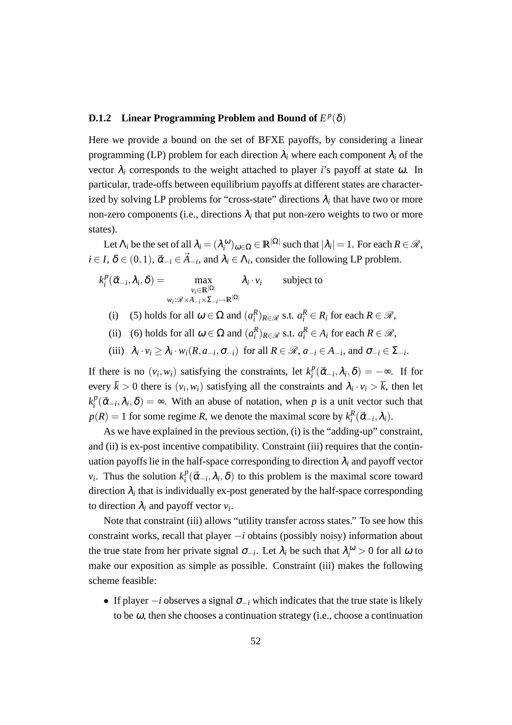## **D.1.2** Linear Programming Problem and Bound of  $E^p(\delta)$

Here we provide a bound on the set of BFXE payoffs, by considering a linear programming (LP) problem for each direction  $\lambda_i$  where each component  $\lambda_i$  of the vector  $\lambda_i$  corresponds to the weight attached to player *i*'s payoff at state  $\omega$ . In particular, trade-offs between equilibrium payoffs at different states are characterized by solving LP problems for "cross-state" directions  $\lambda_i$  that have two or more non-zero components (i.e., directions  $\lambda_i$  that put non-zero weights to two or more states).

Let  $\Lambda_i$  be the set of all  $\lambda_i = (\lambda_i^{\omega})_{\omega \in \Omega} \in \mathbb{R}^{|\Omega|}$  such that  $|\lambda_i| = 1$ . For each  $R \in \mathcal{R}$ ,  $i \in I$ ,  $\delta \in (0,1)$ ,  $\vec{\alpha}_{-i} \in \vec{A}_{-i}$ , and  $\lambda_i \in \Lambda_i$ , consider the following LP problem.

- *k p*  $\prod_{i}^{p}(\vec{\alpha}_{-i},\lambda_i,\delta) = \max_{\mathbf{a} \in \mathbb{R}^n}$  $v_i \in \mathbb{R}^{|\Omega|}$ *wi* :R×*A*−*i*×Σ−*i*→|Ω<sup>|</sup>  $\lambda_i \cdot v_i$  subject to
	- (i) (5) holds for all  $\omega \in \Omega$  and  $(a_i^R)_{R \in \mathcal{R}}$  s.t.  $a_i^R \in R_i$  for each  $R \in \mathcal{R}$ ,
	- (ii) (6) holds for all  $\omega \in \Omega$  and  $(a_i^R)_{R \in \mathcal{R}}$  s.t.  $a_i^R \in A_i$  for each  $R \in \mathcal{R}$ ,
	- (iii)  $\lambda_i \cdot v_i \geq \lambda_i \cdot w_i(R, a_{-i}, \sigma_{-i})$  for all  $R \in \mathcal{R}$ ,  $a_{-i} \in A_{-i}$ , and  $\sigma_{-i} \in \Sigma_{-i}$ .

If there is no  $(v_i, w_i)$  satisfying the constraints, let  $k_i^p$  ${}_{i}^{p}(\vec{\alpha}_{-i},\lambda_{i},\delta) = -\infty$ . If for every  $\bar{k} > 0$  there is  $(v_i, w_i)$  satisfying all the constraints and  $\lambda_i \cdot v_i > \bar{k}$ , then let *k p*  $i^p$  ( $\vec{\alpha}_{-i}$ ,  $\lambda_i$ ,  $\delta$ ) =  $\infty$ . With an abuse of notation, when *p* is a unit vector such that  $p(R) = 1$  for some regime *R*, we denote the maximal score by  $k_i^R(\vec{\alpha}_{-i}, \lambda_i)$ .

As we have explained in the previous section, (i) is the "adding-up" constraint, and (ii) is ex-post incentive compatibility. Constraint (iii) requires that the continuation payoffs lie in the half-space corresponding to direction  $\lambda_i$  and payoff vector  $v_i$ . Thus the solution  $k_i^p$  $_{i}^{p}$ ( $\vec{\alpha}_{-i}$ , $\lambda_i$ , $\delta$ ) to this problem is the maximal score toward direction  $\lambda_i$  that is individually ex-post generated by the half-space corresponding to direction  $\lambda_i$  and payoff vector  $v_i$ .

Note that constraint (iii) allows "utility transfer across states." To see how this constraint works, recall that player −*i* obtains (possibly noisy) information about the true state from her private signal  $\sigma_{-i}$ . Let  $\lambda_i$  be such that  $\lambda_i^{\omega} > 0$  for all  $\omega$  to make our exposition as simple as possible. Constraint (iii) makes the following scheme feasible:

• If player  $-i$  observes a signal  $\sigma_{-i}$  which indicates that the true state is likely to be  $\omega$ , then she chooses a continuation strategy (i.e., choose a continuation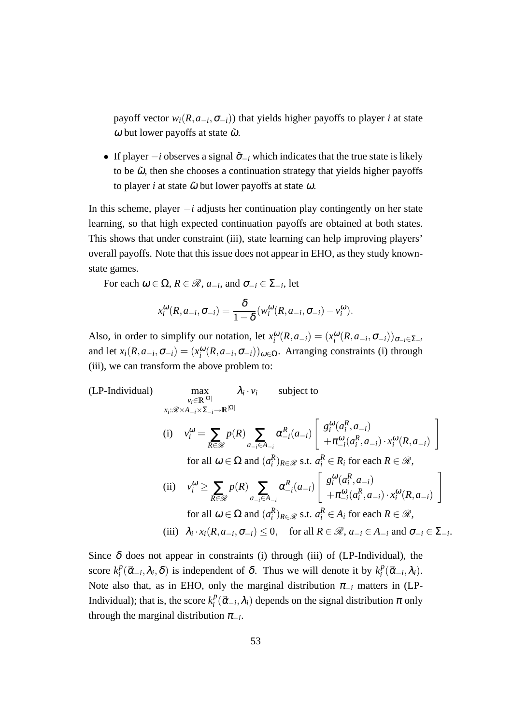payoff vector *wi*(*R*,*a*−*<sup>i</sup>* ,<sup>σ</sup>−*i*)) that yields higher payoffs to player *i* at state  $\omega$  but lower payoffs at state  $\tilde{\omega}$ .

• If player  $-i$  observes a signal  $\tilde{\sigma}_{-i}$  which indicates that the true state is likely to be  $\tilde{\omega}$ , then she chooses a continuation strategy that yields higher payoffs to player *i* at state  $\tilde{\omega}$  but lower payoffs at state  $ω$ .

In this scheme, player −*i* adjusts her continuation play contingently on her state learning, so that high expected continuation payoffs are obtained at both states. This shows that under constraint (iii), state learning can help improving players' overall payoffs. Note that this issue does not appear in EHO, as they study knownstate games.

For each  $\omega \in \Omega$ ,  $R \in \mathscr{R}$ ,  $a_{-i}$ , and  $\sigma_{-i} \in \Sigma_{-i}$ , let

$$
x_i^{\omega}(R, a_{-i}, \sigma_{-i}) = \frac{\delta}{1-\delta}(w_i^{\omega}(R, a_{-i}, \sigma_{-i}) - v_i^{\omega}).
$$

Also, in order to simplify our notation, let  $x_i^{\omega}(R, a_{-i}) = (x_i^{\omega}(R, a_{-i}, \sigma_{-i}))_{\sigma_{-i} \in \Sigma_{-i}}$ and let  $x_i(R, a_{-i}, \sigma_{-i}) = (x_i^{\omega}(R, a_{-i}, \sigma_{-i}))_{\omega \in \Omega}$ . Arranging constraints (i) through (iii), we can transform the above problem to:

$$
\begin{array}{ll}\n\text{(LP-Individual)} & \max_{v_i \in \mathbb{R}^{|\Omega|}} & \lambda_i \cdot v_i & \text{subject to} \\
& x_i : \mathcal{R} \times A_{-i} \times \Sigma_{-i} \to \mathbb{R}^{|\Omega|} \\
\text{(i)} & v_i^{\omega} = \sum_{R \in \mathcal{R}} p(R) \sum_{a_{-i} \in A_{-i}} \alpha_{-i}^{R}(a_{-i}) \left[ \begin{array}{c} g_i^{\omega}(a_i^{R}, a_{-i}) \\
+ \pi_{-i}^{\omega}(a_i^{R}, a_{-i}) \cdot x_i^{\omega}(R, a_{-i}) \end{array} \right] \\
\text{for all } \omega \in \Omega \text{ and } (a_i^{R})_{R \in \mathcal{R}} \text{ s.t. } a_i^{R} \in R_i \text{ for each } R \in \mathcal{R}, \\
\text{(ii)} & v_i^{\omega} \ge \sum_{R \in \mathcal{R}} p(R) \sum_{a_{-i} \in A_{-i}} \alpha_{-i}^{R}(a_{-i}) \left[ \begin{array}{c} g_i^{\omega}(a_i^{R}, a_{-i}) \\
+ \pi_{-i}^{\omega}(a_i^{R}, a_{-i}) \cdot x_i^{\omega}(R, a_{-i}) \end{array} \right] \\
\text{for all } \omega \in \Omega \text{ and } (a_i^{R})_{R \in \mathcal{R}} \text{ s.t. } a_i^{R} \in A_i \text{ for each } R \in \mathcal{R}, \\
\text{(iii)} & \lambda_i \cdot x_i(R, a_{-i}, \sigma_{-i}) \le 0, \quad \text{for all } R \in \mathcal{R}, a_{-i} \in A_{-i} \text{ and } \sigma_{-i} \in \Sigma_{-i}\n\end{array}
$$

.

Since  $\delta$  does not appear in constraints (i) through (iii) of (LP-Individual), the score  $k_i^p$  $\int_i^p$  $(\vec{\alpha}_{-i}, \lambda_i, \delta)$  is independent of  $\delta$ . Thus we will denote it by  $k_i^p$  $_{i}^{p}$  $(\vec{\alpha}_{-i},\lambda_{i}).$ Note also that, as in EHO, only the marginal distribution  $\pi_{-i}$  matters in (LP-Individual); that is, the score  $k_i^p$  $_{i}^{p}(\vec{\alpha}_{-i},\lambda_{i})$  depends on the signal distribution  $\pi$  only through the marginal distribution  $\pi_{-i}$ .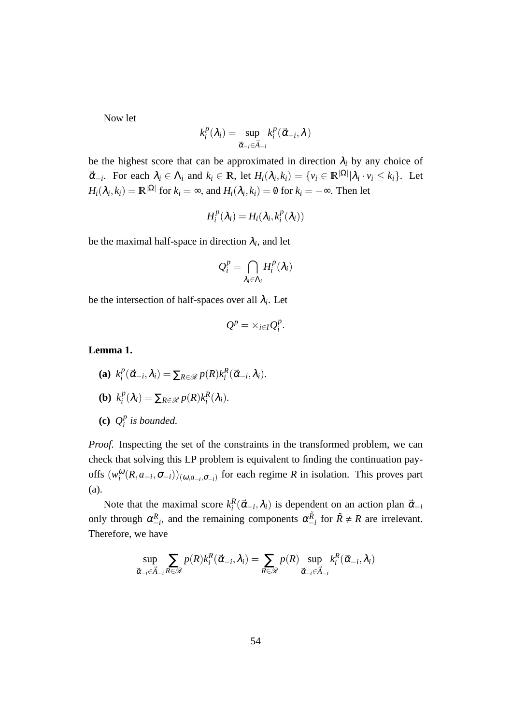Now let

$$
k_i^p(\lambda_i) = \sup_{\vec{\alpha}_{-i} \in \vec{A}_{-i}} k_i^p(\vec{\alpha}_{-i}, \lambda)
$$

be the highest score that can be approximated in direction  $\lambda_i$  by any choice of  $\vec{\alpha}_{-i}$ . For each  $\lambda_i \in \Lambda_i$  and  $k_i \in \mathbb{R}$ , let  $H_i(\lambda_i, k_i) = \{v_i \in \mathbb{R}^{|\Omega|} | \lambda_i \cdot v_i \leq k_i\}$ . Let  $H_i(\lambda_i, k_i) = \mathbb{R}^{|\Omega|}$  for  $k_i = \infty$ , and  $H_i(\lambda_i, k_i) = \emptyset$  for  $k_i = -\infty$ . Then let

$$
H_i^p(\lambda_i) = H_i(\lambda_i, k_i^p(\lambda_i))
$$

be the maximal half-space in direction  $\lambda_i$ , and let

$$
Q_i^p = \bigcap_{\lambda_i \in \Lambda_i} H_i^p(\lambda_i)
$$

be the intersection of half-spaces over all  $\lambda_i$ . Let

$$
Q^p = \times_{i \in I} Q_i^p.
$$

**Lemma 1.**

- $(k_i^p)$   $k_i^p$  $\sum_{i}^{p}(\vec{\alpha}_{-i},\lambda_i) = \sum_{R \in \mathcal{R}} p(R)k_i^R(\vec{\alpha}_{-i},\lambda_i).$ **(b)**  $k_i^p$  $\sum_{i}^{p}(\lambda_{i})=\sum_{R\in\mathscr{R}}p(R)k_{i}^{R}(\lambda_{i}).$
- 
- (c)  $Q_i^p$ *i is bounded.*

*Proof.* Inspecting the set of the constraints in the transformed problem, we can check that solving this LP problem is equivalent to finding the continuation payoffs  $(w_i^{\omega}(R, a_{-i}, \sigma_{-i}))_{(\omega, a_{-i}, \sigma_{-i})}$  for each regime *R* in isolation. This proves part (a).

Note that the maximal score  $k_i^R(\vec{\alpha}_{-i}, \lambda_i)$  is dependent on an action plan  $\vec{\alpha}_{-i}$ only through  $\alpha_{-i}^R$ , and the remaining components  $\alpha_{-i}^{\tilde{R}}$  for  $\tilde{R} \neq R$  are irrelevant. Therefore, we have

$$
\sup_{\vec{\alpha}_{-i}\in\vec{A}_{-i}}\sum_{R\in\mathscr{R}}p(R)k_i^R(\vec{\alpha}_{-i},\lambda_i)=\sum_{R\in\mathscr{R}}p(R)\sup_{\vec{\alpha}_{-i}\in\vec{A}_{-i}}k_i^R(\vec{\alpha}_{-i},\lambda_i)
$$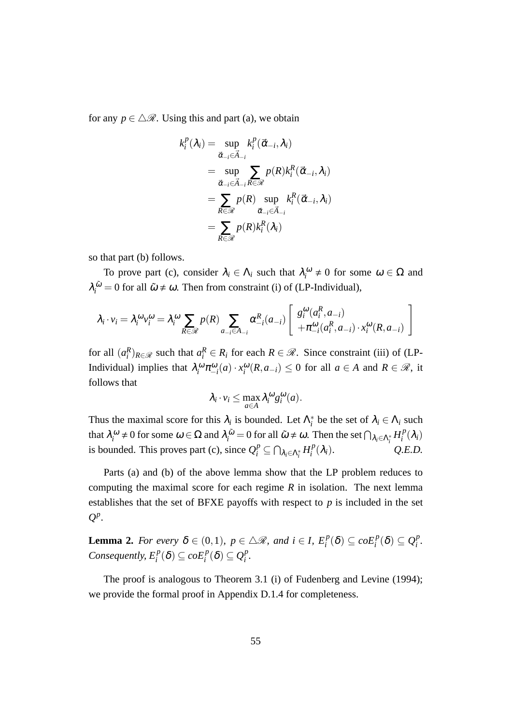for any  $p \in \Delta \mathcal{R}$ . Using this and part (a), we obtain

$$
k_i^p(\lambda_i) = \sup_{\vec{\alpha}_{-i} \in \vec{A}_{-i}} k_i^p(\vec{\alpha}_{-i}, \lambda_i)
$$
  
\n
$$
= \sup_{\vec{\alpha}_{-i} \in \vec{A}_{-i}} \sum_{R \in \mathcal{R}} p(R) k_i^R(\vec{\alpha}_{-i}, \lambda_i)
$$
  
\n
$$
= \sum_{R \in \mathcal{R}} p(R) \sup_{\vec{\alpha}_{-i} \in \vec{A}_{-i}} k_i^R(\vec{\alpha}_{-i}, \lambda_i)
$$
  
\n
$$
= \sum_{R \in \mathcal{R}} p(R) k_i^R(\lambda_i)
$$

so that part (b) follows.

To prove part (c), consider  $\lambda_i \in \Lambda_i$  such that  $\lambda_i^{\omega} \neq 0$  for some  $\omega \in \Omega$  and  $\lambda_i^{\tilde{\omega}} = 0$  for all  $\tilde{\omega} \neq \omega$ . Then from constraint (i) of (LP-Individual),

$$
\lambda_i \cdot v_i = \lambda_i^{\omega} v_i^{\omega} = \lambda_i^{\omega} \sum_{R \in \mathcal{R}} p(R) \sum_{a_{-i} \in A_{-i}} \alpha_{-i}^{R}(a_{-i}) \begin{bmatrix} g_i^{\omega}(a_i^{R}, a_{-i}) \\ + \pi_{-i}^{\omega}(a_i^{R}, a_{-i}) \cdot x_i^{\omega}(R, a_{-i}) \end{bmatrix}
$$

for all  $(a_i^R)_{R \in \mathcal{R}}$  such that  $a_i^R \in R_i$  for each  $R \in \mathcal{R}$ . Since constraint (iii) of (LP-Individual) implies that  $\lambda_i^{\omega} \pi_{-i}^{\omega}(a) \cdot x_i^{\omega}(R, a_{-i}) \leq 0$  for all  $a \in A$  and  $R \in \mathcal{R}$ , it follows that

$$
\lambda_i \cdot v_i \leq \max_{a \in A} \lambda_i^{\omega} g_i^{\omega}(a).
$$

Thus the maximal score for this  $\lambda_i$  is bounded. Let  $\Lambda_i^*$  $\lambda_i^*$  be the set of  $\lambda_i \in \Lambda_i$  such that  $\lambda_i^{\omega} \neq 0$  for some  $\omega \in \Omega$  and  $\lambda_i^{\tilde{\omega}} = 0$  for all  $\tilde{\omega} \neq \omega$ . Then the set  $\bigcap_{\lambda_i \in \Lambda_i^*} H_i^{\rho}$  $\binom{p}{i}(\lambda_i)$ is bounded. This proves part (c), since  $Q_i^p \subseteq \bigcap$  $\lambda_i \in \wedge_i^* H_i^p$ *i* (λ*i*). *Q.E.D.*

Parts (a) and (b) of the above lemma show that the LP problem reduces to computing the maximal score for each regime *R* in isolation. The next lemma establishes that the set of BFXE payoffs with respect to  $p$  is included in the set *Q p* .

**Lemma 2.** *For every*  $\delta \in (0,1)$ *,*  $p \in \Delta \mathcal{R}$ *, and*  $i \in I$ *, E<sub>i</sub>*  $\mathcal{C}_i^p(\delta) \subseteq \mathit{coE}_i^p$  $Q_i^p(\delta) \subseteq Q_i^p$ *i . Consequently,*  $E_i^p$  $\sum_{i}^{p}(\delta) \subseteq coE_{i}^{p}$  $Q_i^p(\delta) \subseteq Q_i^p$ *i .*

The proof is analogous to Theorem 3.1 (i) of Fudenberg and Levine (1994); we provide the formal proof in Appendix D.1.4 for completeness.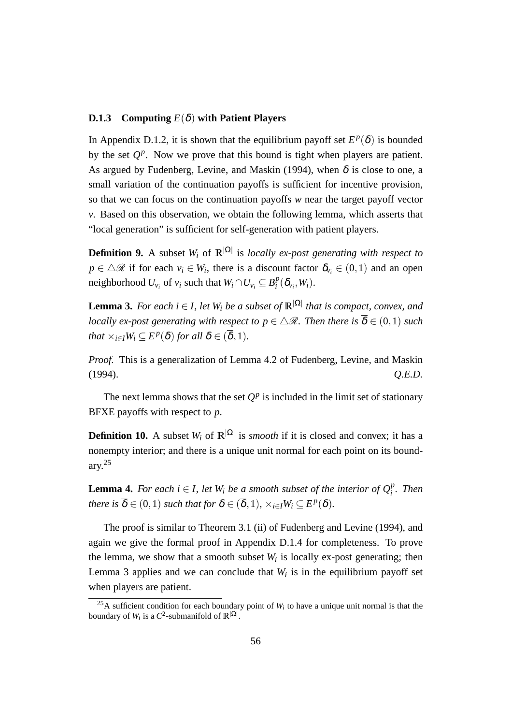#### **D.1.3** Computing  $E(\delta)$  with Patient Players

In Appendix D.1.2, it is shown that the equilibrium payoff set  $E^p(\delta)$  is bounded by the set  $Q^p$ . Now we prove that this bound is tight when players are patient. As argued by Fudenberg, Levine, and Maskin (1994), when  $\delta$  is close to one, a small variation of the continuation payoffs is sufficient for incentive provision, so that we can focus on the continuation payoffs *w* near the target payoff vector *v*. Based on this observation, we obtain the following lemma, which asserts that "local generation" is sufficient for self-generation with patient players.

**Definition 9.** A subset  $W_i$  of  $\mathbb{R}^{|\Omega|}$  is *locally ex-post generating with respect to*  $p \in \Delta \mathscr{R}$  if for each  $v_i \in W_i$ , there is a discount factor  $\delta_{v_i} \in (0,1)$  and an open neighborhood  $U_{\nu_i}$  of  $\nu_i$  such that  $W_i \cap U_{\nu_i} \subseteq B_i^p$  $_i^p(\delta_{v_i}, W_i)$ .

**Lemma 3.** *For each*  $i \in I$ , let  $W_i$  be a subset of  $\mathbb{R}^{|\Omega|}$  that is compact, convex, and *locally ex-post generating with respect to*  $p \in \Delta \mathcal{R}$ *. Then there is*  $\overline{\delta} \in (0,1)$  *such that*  $\times_{i \in I} W_i \subseteq E^p(\delta)$  *for all*  $\delta \in (\overline{\delta}, 1)$ *.* 

*Proof.* This is a generalization of Lemma 4.2 of Fudenberg, Levine, and Maskin (1994). *Q.E.D.*

The next lemma shows that the set  $Q^p$  is included in the limit set of stationary BFXE payoffs with respect to *p*.

**Definition 10.** A subset  $W_i$  of  $\mathbb{R}^{|\Omega|}$  is *smooth* if it is closed and convex; it has a nonempty interior; and there is a unique unit normal for each point on its boundary. $25$ 

**Lemma 4.** For each  $i \in I$ , let  $W_i$  be a smooth subset of the interior of  $Q_i^p$ *i . Then there is*  $\overline{\delta} \in (0,1)$  *such that for*  $\delta \in (\overline{\delta},1)$ *,*  $\times_{i\in I}W_i \subseteq E^p(\delta)$ *.* 

The proof is similar to Theorem 3.1 (ii) of Fudenberg and Levine (1994), and again we give the formal proof in Appendix D.1.4 for completeness. To prove the lemma, we show that a smooth subset  $W_i$  is locally ex-post generating; then Lemma 3 applies and we can conclude that  $W_i$  is in the equilibrium payoff set when players are patient.

<sup>&</sup>lt;sup>25</sup>A sufficient condition for each boundary point of  $W_i$  to have a unique unit normal is that the boundary of  $W_i$  is a  $C^2$ -submanifold of  $\mathbb{R}^{|\Omega|}$ .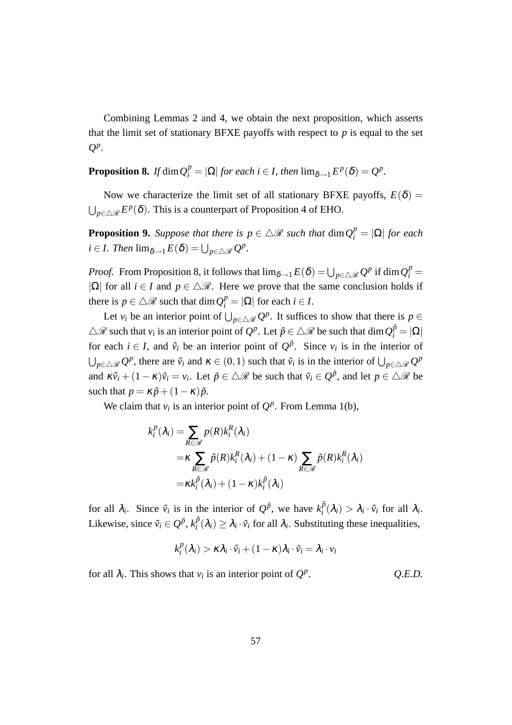Combining Lemmas 2 and 4, we obtain the next proposition, which asserts that the limit set of stationary BFXE payoffs with respect to  $p$  is equal to the set *Q p* .

**Proposition 8.** *If* dim  $Q_i^p = |\Omega|$  *for each*  $i \in I$ *, then*  $\lim_{\delta \to 1} E^p(\delta) = Q^p$ *.* 

Now we characterize the limit set of all stationary BFXE payoffs,  $E(\delta)$  =  $\bigcup_{p \in \triangle \mathcal{R}} E^p(\delta)$ . This is a counterpart of Proposition 4 of EHO.

**Proposition 9.** *Suppose that there is*  $p \in \triangle \mathcal{R}$  *such that*  $\dim Q_i^p = |\Omega|$  *for each*  $i \in I$ . Then  $\lim_{\delta \to 1} E(\delta) = \bigcup_{p \in \triangle \mathcal{R}} Q^p$ .

*Proof.* From Proposition 8, it follows that  $\lim_{\delta \to 1} E(\delta) = \bigcup_{p \in \triangle \mathcal{R}} Q^p$  if  $\dim Q_i^p =$ |Ω| for all  $i \in I$  and  $p \in \Delta \mathcal{R}$ . Here we prove that the same conclusion holds if there is  $p \in \triangle \mathcal{R}$  such that  $\dim Q_i^p = |\Omega|$  for each  $i \in I$ .

Let  $v_i$  be an interior point of  $\bigcup_{p \in \triangle \mathcal{R}} Q^p$ . It suffices to show that there is  $p \in$  $\triangle \mathscr{R}$  such that  $v_i$  is an interior point of  $Q^p$ . Let  $\hat{p} \in \triangle \mathscr{R}$  be such that  $\dim Q_i^{\hat{p}} = |\Omega|$ for each  $i \in I$ , and  $\hat{v}_i$  be an interior point of  $Q^{\hat{p}}$ . Since  $v_i$  is in the interior of  $\bigcup_{p \in \triangle \mathcal{R}} Q^p$ , there are  $\tilde{v}_i$  and  $\kappa \in (0,1)$  such that  $\tilde{v}_i$  is in the interior of  $\bigcup_{p \in \triangle \mathcal{R}} Q^p$ and  $\kappa \hat{v}_i + (1 - \kappa)\tilde{v}_i = v_i$ . Let  $\tilde{p} \in \triangle \mathcal{R}$  be such that  $\tilde{v}_i \in Q^{\tilde{p}}$ , and let  $p \in \triangle \mathcal{R}$  be such that  $p = \kappa \hat{p} + (1 - \kappa) \tilde{p}$ .

We claim that  $v_i$  is an interior point of  $Q^p$ . From Lemma 1(b),

$$
k_i^p(\lambda_i) = \sum_{R \in \mathcal{R}} p(R)k_i^R(\lambda_i)
$$
  
= $\kappa \sum_{R \in \mathcal{R}} \hat{p}(R)k_i^R(\lambda_i) + (1 - \kappa) \sum_{R \in \mathcal{R}} \tilde{p}(R)k_i^R(\lambda_i)$   
= $\kappa k_i^{\hat{p}}(\lambda_i) + (1 - \kappa)k_i^{\tilde{p}}(\lambda_i)$ 

for all  $\lambda_i$ . Since  $\hat{v}_i$  is in the interior of  $Q^{\hat{p}}$ , we have  $k_i^{\hat{p}}$  $\lambda_i^p(\lambda_i) > \lambda_i \cdot \hat{v}_i$  for all  $\lambda_i$ . Likewise, since  $\tilde{v}_i \in Q^{\tilde{p}}$ ,  $k_i^{\tilde{p}}$  $\hat{h}_i^p(\lambda_i) \geq \lambda_i \cdot \tilde{v}_i$  for all  $\lambda_i$ . Substituting these inequalities,

$$
k_i^p(\lambda_i) > \kappa \lambda_i \cdot \hat{v}_i + (1 - \kappa) \lambda_i \cdot \tilde{v}_i = \lambda_i \cdot v_i
$$

for all  $\lambda_i$ . This shows that  $v_i$  is an interior point of  $Q^p$ . *Q.E.D.*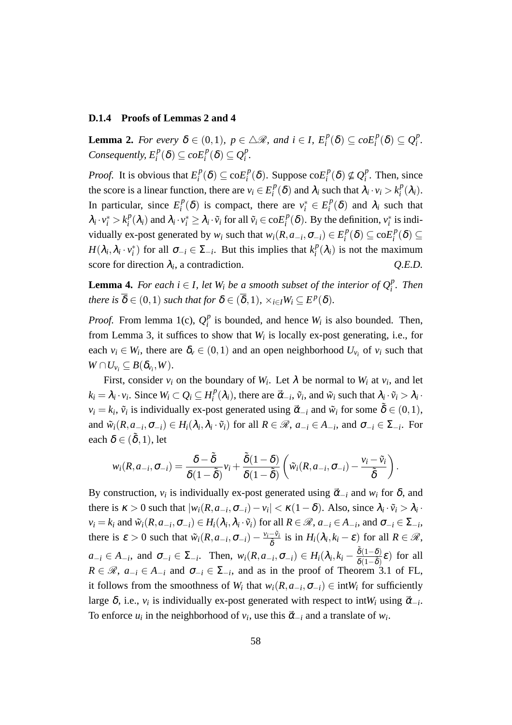#### **D.1.4 Proofs of Lemmas 2 and 4**

**Lemma 2.** *For every*  $\delta \in (0,1)$ *,*  $p \in \Delta \mathcal{R}$ *, and*  $i \in I$ *, E<sub>i</sub>*  $\mathcal{C}_i^p(\delta) \subseteq \mathit{coE}_i^p$  $Q_i^p(\delta) \subseteq Q_i^p$ *i . Consequently,*  $E_i^p$  $c_i^p(\delta) \subseteq \mathop{co}\nolimits F_i^p$  $Q_i^p(\delta) \subseteq Q_i^p$ *i .*

*Proof.* It is obvious that  $E_i^p$  $\sum_i^p(\delta) \subseteq \mathrm{co} E_i^p$  $\int_i^p (\delta)$ . Suppose  $\mathrm{co} E_i^p$  $Q_i^p(\delta) \nsubseteq Q_i^p$  $i<sup>p</sup>$ . Then, since the score is a linear function, there are  $v_i \in E_i^p$  $\lambda_i^p(\delta)$  and  $\lambda_i$  such that  $\lambda_i \cdot v_i > k_i^p$  $_i^p(\lambda_i)$ . In particular, since  $E_i^p$  $i^p_i(\delta)$  is compact, there are  $v_i^* \in E_i^p$  $\lambda_i^p(\delta)$  and  $\lambda_i$  such that  $\lambda_i \cdot v_i^* > k_i^p$  $\sum_{i}^{p}(\lambda_{i})$  and  $\lambda_{i}\cdot v_{i}^{*} \geq \lambda_{i}\cdot\tilde{v}_{i}$  for all  $\tilde{v}_{i} \in \text{co}E_{i}^{p}$  $v_i^p(\delta)$ . By the definition,  $v_i^*$  $i$ <sup>\*</sup> is individually ex-post generated by  $w_i$  such that  $w_i(R, a_{-i}, \sigma_{-i}) \in E_i^p$  $\mathfrak{c}_i^p(\delta) \subseteq \mathrm{co} E_i^p$  $\int\limits_i^p (\delta) \subseteq$  $H(\lambda_i, \lambda_i \cdot v_i^*)$  $\sigma_i^*$ ) for all  $\sigma_{-i} \in \Sigma_{-i}$ . But this implies that  $k_i^p$  $i^p(\lambda_i)$  is not the maximum score for direction  $\lambda_i$ , a contradiction.  $Q.E.D.$ 

**Lemma 4.** For each  $i \in I$ , let  $W_i$  be a smooth subset of the interior of  $Q_i^p$ *i . Then there is*  $\overline{\delta} \in (0,1)$  *such that for*  $\delta \in (\overline{\delta},1)$ *,*  $\times_{i\in I}W_i \subseteq E^p(\delta)$ *.* 

*Proof.* From lemma 1(c),  $Q_i^p$  $i$ <sup>*p*</sup> is bounded, and hence *W<sub>i</sub>* is also bounded. Then, from Lemma 3, it suffices to show that  $W_i$  is locally ex-post generating, i.e., for each  $v_i \in W_i$ , there are  $\delta_v \in (0,1)$  and an open neighborhood  $U_{v_i}$  of  $v_i$  such that  $W \cap U_{\nu_i} \subseteq B(\delta_{\nu_i}, W)$ .

First, consider  $v_i$  on the boundary of  $W_i$ . Let  $\lambda$  be normal to  $W_i$  at  $v_i$ , and let  $k_i = \lambda_i \cdot v_i$ . Since  $W_i \subset Q_i \subseteq H_i^p$  $\int_i^p (\lambda_i)$ , there are  $\vec{\alpha}_{-i}$ ,  $\tilde{v}_i$ , and  $\tilde{w}_i$  such that  $\lambda_i \cdot \tilde{v}_i > \lambda_i \cdot \tilde{v}_i$  $v_i = k_i$ ,  $\tilde{v}_i$  is individually ex-post generated using  $\vec{\alpha}_{-i}$  and  $\tilde{w}_i$  for some  $\tilde{\delta} \in (0,1)$ , and  $\tilde{w}_i(R, a_{-i}, \sigma_{-i}) \in H_i(\lambda_i, \lambda_i \cdot \tilde{v}_i)$  for all  $R \in \mathcal{R}$ ,  $a_{-i} \in A_{-i}$ , and  $\sigma_{-i} \in \Sigma_{-i}$ . For each  $\delta \in (\tilde{\delta}, 1)$ , let

$$
w_i(R, a_{-i}, \sigma_{-i}) = \frac{\delta - \tilde{\delta}}{\delta(1 - \tilde{\delta})} v_i + \frac{\tilde{\delta}(1 - \delta)}{\delta(1 - \tilde{\delta})} \left( \tilde{w}_i(R, a_{-i}, \sigma_{-i}) - \frac{v_i - \tilde{v}_i}{\tilde{\delta}} \right).
$$

By construction,  $v_i$  is individually ex-post generated using  $\vec{\alpha}_{-i}$  and  $w_i$  for  $\delta$ , and there is  $\kappa > 0$  such that  $|w_i(R, a_{-i}, \sigma_{-i}) - v_i| < \kappa(1-\delta)$ . Also, since  $\lambda_i \cdot \tilde{v}_i > \lambda_i$ .  $v_i = k_i$  and  $\tilde{w}_i(R, a_{-i}, \sigma_{-i}) \in H_i(\lambda_i, \lambda_i \cdot \tilde{v}_i)$  for all  $R \in \mathcal{R}$ ,  $a_{-i} \in A_{-i}$ , and  $\sigma_{-i} \in \Sigma_{-i}$ , there is  $\varepsilon > 0$  such that  $\tilde{w}_i(R, a_{-i}, \sigma_{-i}) - \frac{v_i - \tilde{v}_i}{\tilde{s}}$  $\frac{-v_i}{\tilde{\delta}}$  is in  $H_i(\lambda_i, k_i - \varepsilon)$  for all  $R \in \mathscr{R}$ ,  $a_{-i} \in A_{-i}$ , and  $\sigma_{-i} \in \Sigma_{-i}$ . Then,  $w_i(R, a_{-i}, \sigma_{-i}) \in H_i(\lambda_i, k_i - \frac{\tilde{\delta}(1-\delta)}{\delta(1-\tilde{\delta})}$  $\frac{\partial (1-\delta)}{\partial (1-\tilde{\delta})}\varepsilon$  for all  $R \in \mathcal{R}$ ,  $a_{-i} \in A_{-i}$  and  $\sigma_{-i} \in \Sigma_{-i}$ , and as in the proof of Theorem 3.1 of FL, it follows from the smoothness of  $W_i$  that  $w_i(R, a_{-i}, \sigma_{-i}) \in \text{int}W_i$  for sufficiently large  $\delta$ , i.e.,  $v_i$  is individually ex-post generated with respect to intW<sub>*i*</sub> using  $\vec{\alpha}_{-i}$ . To enforce  $u_i$  in the neighborhood of  $v_i$ , use this  $\vec{\alpha}_{-i}$  and a translate of  $w_i$ .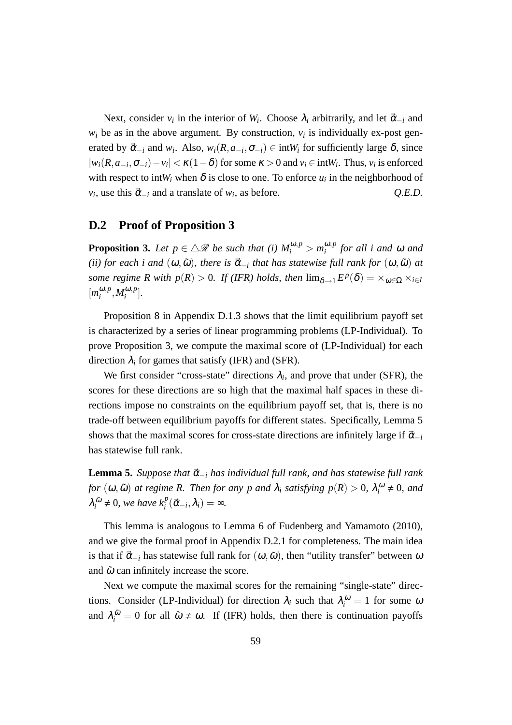Next, consider  $v_i$  in the interior of  $W_i$ . Choose  $\lambda_i$  arbitrarily, and let  $\vec{\alpha}_{-i}$  and  $w_i$  be as in the above argument. By construction,  $v_i$  is individually ex-post generated by  $\vec{\alpha}_{-i}$  and  $w_i$ . Also,  $w_i(R, a_{-i}, \sigma_{-i}) \in \text{int}W_i$  for sufficiently large  $\delta$ , since  $|w_i(R, a_{-i}, \sigma_{-i}) - v_i| < \kappa(1-\delta)$  for some  $\kappa > 0$  and  $v_i \in \text{int}W_i$ . Thus,  $v_i$  is enforced with respect to int $W_i$  when  $\delta$  is close to one. To enforce  $u_i$  in the neighborhood of  $v_i$ , use this  $\vec{\alpha}_{-i}$  and a translate of  $w_i$ , as before.  $Q.E.D.$ 

### **D.2 Proof of Proposition 3**

**Proposition 3.** Let  $p \in \triangle \mathcal{R}$  be such that (i)  $M_i^{\omega, p} > m_i^{\omega, p}$ *i for all i and* <sup>ω</sup> *and*  $(iii)$  for each *i* and  $(\omega, \tilde{\omega})$ , there is  $\vec{\alpha}_{-i}$  that has statewise full rank for  $(\omega, \tilde{\omega})$  at *some regime R with*  $p(R) > 0$ *. If (IFR) holds, then*  $\lim_{\delta \to 1} E^p(\delta) = \times_{\omega \in \Omega} \times_{i \in I}$  $[m_i^{\omega,p}]$  $_{i}^{\omega,p}$ ,  $M_{i}^{\omega,p}$  $\binom{\omega, p}{i}$ .

Proposition 8 in Appendix D.1.3 shows that the limit equilibrium payoff set is characterized by a series of linear programming problems (LP-Individual). To prove Proposition 3, we compute the maximal score of (LP-Individual) for each direction  $\lambda_i$  for games that satisfy (IFR) and (SFR).

We first consider "cross-state" directions  $\lambda_i$ , and prove that under (SFR), the scores for these directions are so high that the maximal half spaces in these directions impose no constraints on the equilibrium payoff set, that is, there is no trade-off between equilibrium payoffs for different states. Specifically, Lemma 5 shows that the maximal scores for cross-state directions are infinitely large if  $\vec{\alpha}_{-i}$ has statewise full rank.

**Lemma 5.** Suppose that  $\vec{\alpha}_{-i}$  has individual full rank, and has statewise full rank *for*  $(\omega, \tilde{\omega})$  *at regime R. Then for any p and*  $\lambda_i$  *satisfying*  $p(R) > 0$ ,  $\lambda_i^{\omega} \neq 0$ , and  $\lambda_i^{\tilde{\omega}} \neq 0$ , we have  $k_i^p$  $i^p(\vec{\alpha}_{-i}, \lambda_i) = \infty$ .

This lemma is analogous to Lemma 6 of Fudenberg and Yamamoto (2010), and we give the formal proof in Appendix D.2.1 for completeness. The main idea is that if  $\vec{\alpha}_{-i}$  has statewise full rank for  $(\omega, \tilde{\omega})$ , then "utility transfer" between  $\omega$ and  $\tilde{\omega}$  can infinitely increase the score.

Next we compute the maximal scores for the remaining "single-state" directions. Consider (LP-Individual) for direction  $\lambda_i$  such that  $\lambda_i^{\omega} = 1$  for some  $\omega$ and  $\lambda_i^{\tilde{\omega}} = 0$  for all  $\tilde{\omega} \neq \omega$ . If (IFR) holds, then there is continuation payoffs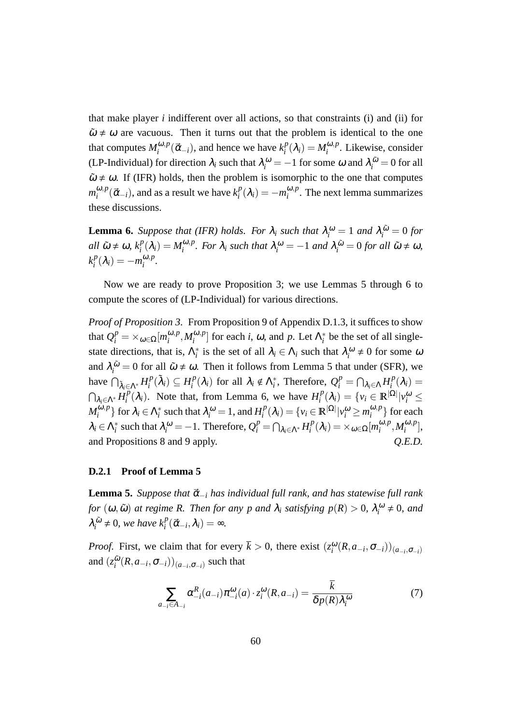that make player *i* indifferent over all actions, so that constraints (i) and (ii) for  $\tilde{\omega} \neq \omega$  are vacuous. Then it turns out that the problem is identical to the one that computes  $M_i^{\omega,p}$  $\vec{a}^{(0,p)}(\vec{\alpha}_{-i})$ , and hence we have  $k_i^p$  $\binom{p}{i}$   $\left(\lambda_i\right)$  =  $M_i^{\omega,p}$ <sup>*w*.*p*</sup>. Likewise, consider (LP-Individual) for direction  $\lambda_i$  such that  $\lambda_i^{\omega} = -1$  for some  $\omega$  and  $\lambda_i^{\tilde{\omega}} = 0$  for all  $\tilde{\omega} \neq \omega$ . If (IFR) holds, then the problem is isomorphic to the one that computes *m* <sup>ω</sup>,*p*  $_{i}^{\omega,p}(\vec{\alpha}_{-i})$ , and as a result we have  $k_{i}^{p}$  $i^p(\lambda_i) = -m_i^{\omega, p}$  $i^{(\omega, p)}$ . The next lemma summarizes these discussions.

**Lemma 6.** *Suppose that (IFR) holds. For*  $\lambda_i$  *such that*  $\lambda_i^{\omega} = 1$  *and*  $\lambda_i^{\tilde{\omega}} = 0$  *for*  $all \ \tilde{\omega} \neq \omega, k_i^p$  $\binom{p}{i}$   $\binom{p}{i}$  $\hat{\lambda}_i^{(0,p)}$ . For  $\lambda_i$  such that  $\lambda_i^{(0)} = -1$  and  $\lambda_i^{(0)} = 0$  for all  $\tilde{\omega} \neq \omega$ , *k p*  $i^p_i(\lambda_i) = -m_i^{\omega, p}$  $\frac{\omega,p}{i}$ .

Now we are ready to prove Proposition 3; we use Lemmas 5 through 6 to compute the scores of (LP-Individual) for various directions.

*Proof of Proposition 3.* From Proposition 9 of Appendix D.1.3, it suffices to show that  $Q_i^p = \times_{\omega \in \Omega} [m_i^{\omega, p}]$  $\sum_{i}^{\omega,p}$ ,  $M_i^{\omega,p}$  $\binom{a}{i}$  for each *i*,  $\omega$ , and *p*. Let  $\Lambda_i^*$  $i$ <sup>\*</sup> be the set of all singlestate directions, that is,  $\Lambda_i^*$ <sup>\*</sup>/<sub>*i*</sub> is the set of all  $\lambda_i \in \Lambda_i$  such that  $\lambda_i^{\omega} \neq 0$  for some  $\omega$ and  $\lambda_i^{\tilde{\omega}} = 0$  for all  $\tilde{\omega} \neq \omega$ . Then it follows from Lemma 5 that under (SFR), we have  $\bigcap_{\tilde{\lambda}_i \in \Lambda^*} H_i^p$  $H_i^p(\tilde{\lambda}_i) \subseteq H_i^p$  $\lambda_i^p(\lambda_i)$  for all  $\lambda_i \notin \Lambda_i^*$ <sup>\*</sup>, Therefore,  $Q_i^p = \bigcap_{\lambda_i \in \Lambda} H_i^p$  $\iota_i^p(\lambda_i) =$  $∩<sub>λ<sub>i</sub></sub>∈<sub>Λ</sub>∗ H<sub>i</sub><sup>p</sup>$  $\overline{P}_i^{\overline{P}}(\lambda_i)$ . Note that, from Lemma 6, we have  $H_i^{\overline{P}}$  $V_i^p(\lambda_i) = \{v_i \in \mathbb{R}^{|\Omega|} | v_i^{\omega} \leq \lambda_i\}$  $M_i^{\omega,p}$  $\{a, p\}}$  for  $\lambda_i \in \Lambda_i^*$  $\lambda_i^*$  such that  $\lambda_i^{\omega} = 1$ , and  $H_i^{\omega}$  $E_i^p(\lambda_i) = \{v_i \in \mathbb{R}^{|\Omega|} | v_i^{\omega} \geq m_i^{\omega, p}\}$  $\{a,p\}}_i$  for each  $\lambda_i \in \Lambda_i^*$ <sup>\*</sup><sub>*i*</sub> such that  $\lambda_i^{\omega} = -1$ . Therefore,  $Q_i^p = \bigcap_{\lambda_i \in \Lambda^*} H_i^p$  $\sum_{i}^{p} (\lambda_i) = \times_{\omega \in \Omega} [m_i^{\omega, p}]$  $\sum_i^{\omega,p}$ ,  $M_i^{\omega,p}$  $\binom{\omega,p}{i}$ , and Propositions 8 and 9 apply. *Q.E.D.*

#### **D.2.1 Proof of Lemma 5**

**Lemma 5.** *Suppose that*  $\vec{\alpha}_{-i}$  *has individual full rank, and has statewise full rank for*  $(\omega, \tilde{\omega})$  *at regime R. Then for any p and*  $\lambda_i$  *satisfying*  $p(R) > 0$ ,  $\lambda_i^{\omega} \neq 0$ , and  $\lambda_i^{\tilde{\omega}} \neq 0$ , we have  $k_i^p$  $i^p(\vec{\alpha}_{-i}, \lambda_i) = \infty$ .

*Proof.* First, we claim that for every  $\bar{k} > 0$ , there exist  $(z_i^{\omega}(R, a_{-i}, \sigma_{-i}))_{(a_{-i}, \sigma_{-i})}$ and  $(z_i^{\tilde{\omega}})$  $_{i}^{\omega}(R,a_{-i},\sigma_{-i}))_{(a_{-i},\sigma_{-i})}$  such that

$$
\sum_{a_{-i}\in A_{-i}} \alpha_{-i}^{R}(a_{-i})\pi_{-i}^{\omega}(a) \cdot z_i^{\omega}(R, a_{-i}) = \frac{k}{\delta p(R)\lambda_i^{\omega}}
$$
(7)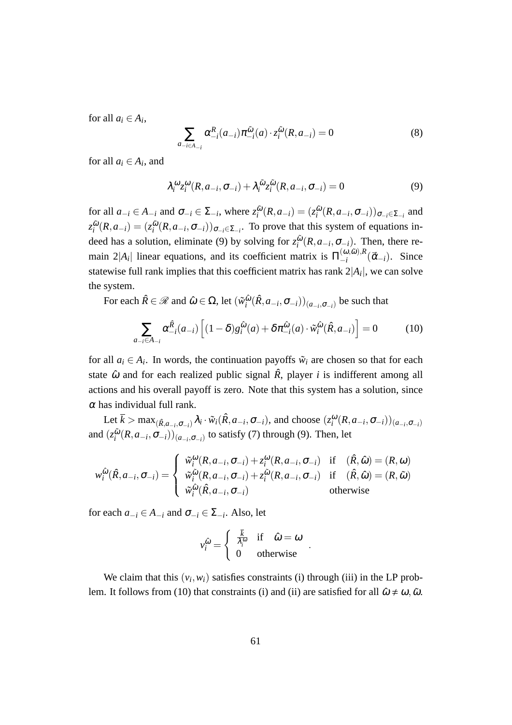for all  $a_i \in A_i$ ,

$$
\sum_{a_{-i \in A_{-i}}} \alpha_{-i}^{R} (a_{-i}) \pi_{-i}^{\tilde{\omega}}(a) \cdot z_i^{\tilde{\omega}}(R, a_{-i}) = 0 \tag{8}
$$

for all  $a_i \in A_i$ , and

$$
\lambda_i^{\omega} z_i^{\omega}(R, a_{-i}, \sigma_{-i}) + \lambda_i^{\tilde{\omega}} z_i^{\tilde{\omega}}(R, a_{-i}, \sigma_{-i}) = 0 \tag{9}
$$

for all  $a_{-i} \in A_{-i}$  and  $\sigma_{-i} \in \Sigma_{-i}$ , where  $z_i^{\tilde{\omega}}$  $\tilde{a}^{\tilde{\omega}}(R, a_{-i}) = (z_i^{\tilde{\omega}})$  $\binom{\tilde{\omega}}{i}(R, a_{-i}, \sigma_{-i})\}_{\sigma_{-i}\in \Sigma_{-i}}$  and  $z_i^{\tilde{\omega}}$  $\tilde{a}^{\tilde{\omega}}(R, a_{-i}) = (z_i^{\tilde{\omega}})$  $\binom{\omega}{i}(R, a_{-i}, \sigma_{-i})\}_{\sigma_{-i} \in \Sigma_{-i}}$ . To prove that this system of equations indeed has a solution, eliminate (9) by solving for  $z_i^{\bar{\omega}}$  $\frac{\omega}{i}(R, a_{-i}, \sigma_{-i})$ . Then, there remain  $2|A_i|$  linear equations, and its coefficient matrix is  $\Pi_{-i}^{(\omega,\tilde{\omega}),R}$  $(\vec{\omega}, \omega)$ , $\kappa$  ( $\vec{\alpha}_{-i}$ ). Since statewise full rank implies that this coefficient matrix has rank  $2|A_i|$ , we can solve the system.

For each  $\hat{R} \in \mathscr{R}$  and  $\hat{\omega} \in \Omega$ , let  $(\tilde{w}^{\hat{\omega}}_i)$  $(\hat{\mathcal{R}}_i(\hat{R}, a_{-i}, \sigma_{-i}))_{(a_{-i}, \sigma_{-i})}$  be such that

$$
\sum_{a_{-i} \in A_{-i}} \alpha^{\hat{R}}_{-i}(a_{-i}) \left[ (1 - \delta) g_i^{\hat{\omega}}(a) + \delta \pi^{\hat{\omega}}_{-i}(a) \cdot \tilde{w}_i^{\hat{\omega}}(\hat{R}, a_{-i}) \right] = 0 \tag{10}
$$

for all  $a_i \in A_i$ . In words, the continuation payoffs  $\tilde{w}_i$  are chosen so that for each state  $\hat{\omega}$  and for each realized public signal  $\hat{R}$ , player *i* is indifferent among all actions and his overall payoff is zero. Note that this system has a solution, since  $\alpha$  has individual full rank.

Let  $\bar{k} > \max_{(\hat{R},a_{-i},\sigma_{-i})} \lambda_i \cdot \tilde{w}_i(\hat{R}, a_{-i},\sigma_{-i})$ , and choose  $(z_i^{\omega}(R, a_{-i},\sigma_{-i}))_{(a_{-i},\sigma_{-i})}$ and  $(z_i^{\tilde{\omega}})$  $\binom{\tilde{\omega}}{i}(R, a_{-i}, \sigma_{-i})_{(a_{-i}, \sigma_{-i})}$  to satisfy (7) through (9). Then, let

$$
w_i^{\hat{\omega}}(\hat{R}, a_{-i}, \sigma_{-i}) = \begin{cases} \tilde{w}_i^{\omega}(R, a_{-i}, \sigma_{-i}) + z_i^{\omega}(R, a_{-i}, \sigma_{-i}) & \text{if } (\hat{R}, \hat{\omega}) = (R, \omega) \\ \tilde{w}_i^{\tilde{\omega}}(R, a_{-i}, \sigma_{-i}) + z_i^{\tilde{\omega}}(R, a_{-i}, \sigma_{-i}) & \text{if } (\hat{R}, \hat{\omega}) = (R, \tilde{\omega}) \\ \tilde{w}_i^{\hat{\omega}}(\hat{R}, a_{-i}, \sigma_{-i}) & \text{otherwise} \end{cases}
$$

for each  $a_{-i} \in A_{-i}$  and  $\sigma_{-i} \in \Sigma_{-i}$ . Also, let

$$
v_i^{\hat{\omega}} = \begin{cases} \frac{\overline{k}}{\lambda_i^{\omega}} & \text{if } \hat{\omega} = \omega \\ 0 & \text{otherwise} \end{cases}
$$

.

We claim that this  $(v_i, w_i)$  satisfies constraints (i) through (iii) in the LP problem. It follows from (10) that constraints (i) and (ii) are satisfied for all  $\hat{\omega} \neq \omega, \tilde{\omega}$ .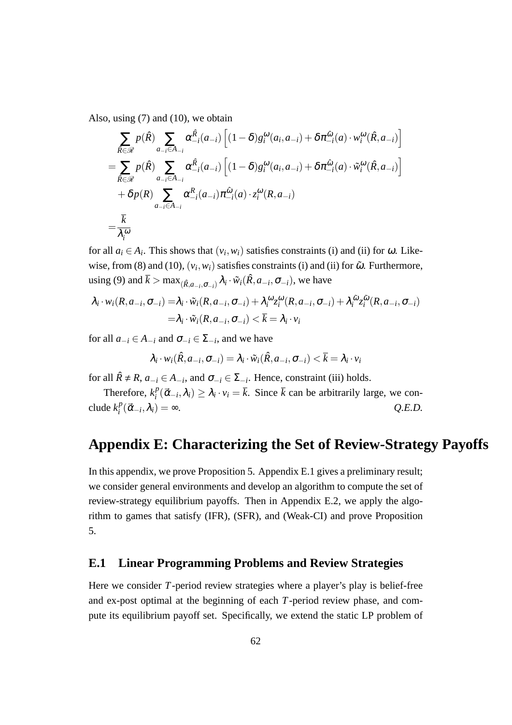Also, using (7) and (10), we obtain

$$
\sum_{\hat{R}\in\mathcal{R}} p(\hat{R}) \sum_{a_{-i}\in A_{-i}} \alpha^{\hat{R}}_{-i}(a_{-i}) \left[ (1-\delta)g_i^{\omega}(a_i, a_{-i}) + \delta\pi^{\hat{\omega}}_{-i}(a)\cdot w_i^{\omega}(\hat{R}, a_{-i}) \right]
$$
\n
$$
= \sum_{\hat{R}\in\mathcal{R}} p(\hat{R}) \sum_{a_{-i}\in A_{-i}} \alpha^{\hat{R}}_{-i}(a_{-i}) \left[ (1-\delta)g_i^{\omega}(a_i, a_{-i}) + \delta\pi^{\hat{\omega}}_{-i}(a)\cdot\tilde{w}_i^{\omega}(\hat{R}, a_{-i}) \right]
$$
\n
$$
+ \delta p(R) \sum_{a_{-i}\in A_{-i}} \alpha^{\hat{R}}_{-i}(a_{-i})\pi^{\hat{\omega}}_{-i}(a)\cdot z_i^{\omega}(R, a_{-i})
$$
\n
$$
= \frac{\bar{k}}{\lambda_i^{\omega}}
$$

for all  $a_i \in A_i$ . This shows that  $(v_i, w_i)$  satisfies constraints (i) and (ii) for  $\omega$ . Likewise, from (8) and (10),  $(v_i, w_i)$  satisfies constraints (i) and (ii) for  $\tilde{\omega}$ . Furthermore, using (9) and  $\bar{k} > \max_{(\hat{R}, a_{-i}, \sigma_{-i})} \lambda_i \cdot \tilde{w}_i(\hat{R}, a_{-i}, \sigma_{-i})$ , we have

$$
\lambda_i \cdot w_i(R, a_{-i}, \sigma_{-i}) = \lambda_i \cdot \tilde{w}_i(R, a_{-i}, \sigma_{-i}) + \lambda_i^{\omega} z_i^{\omega}(R, a_{-i}, \sigma_{-i}) + \lambda_i^{\tilde{\omega}} z_i^{\tilde{\omega}}(R, a_{-i}, \sigma_{-i})
$$
  
=  $\lambda_i \cdot \tilde{w}_i(R, a_{-i}, \sigma_{-i}) < \bar{k} = \lambda_i \cdot v_i$ 

for all  $a_{-i} \in A_{-i}$  and  $\sigma_{-i} \in \Sigma_{-i}$ , and we have

$$
\lambda_i \cdot w_i(\hat{R}, a_{-i}, \sigma_{-i}) = \lambda_i \cdot \tilde{w}_i(\hat{R}, a_{-i}, \sigma_{-i}) < \bar{k} = \lambda_i \cdot v_i
$$

for all  $\hat{R} \neq R$ ,  $a_{-i} \in A_{-i}$ , and  $\sigma_{-i} \in \Sigma_{-i}$ . Hence, constraint (iii) holds.

Therefore,  $k_i^p$  $\hat{i}^p$  $(\vec{\alpha}_{-i}, \lambda_i) \geq \lambda_i \cdot v_i = \overline{k}$ . Since  $\overline{k}$  can be arbitrarily large, we conclude  $k_i^p$  ${}_{i}^{p}(\vec{\alpha}_{-i},\lambda_i) = \infty.$  *Q.E.D.* 

## **Appendix E: Characterizing the Set of Review-Strategy Payoffs**

In this appendix, we prove Proposition 5. Appendix E.1 gives a preliminary result; we consider general environments and develop an algorithm to compute the set of review-strategy equilibrium payoffs. Then in Appendix E.2, we apply the algorithm to games that satisfy (IFR), (SFR), and (Weak-CI) and prove Proposition 5.

### **E.1 Linear Programming Problems and Review Strategies**

Here we consider *T*-period review strategies where a player's play is belief-free and ex-post optimal at the beginning of each *T*-period review phase, and compute its equilibrium payoff set. Specifically, we extend the static LP problem of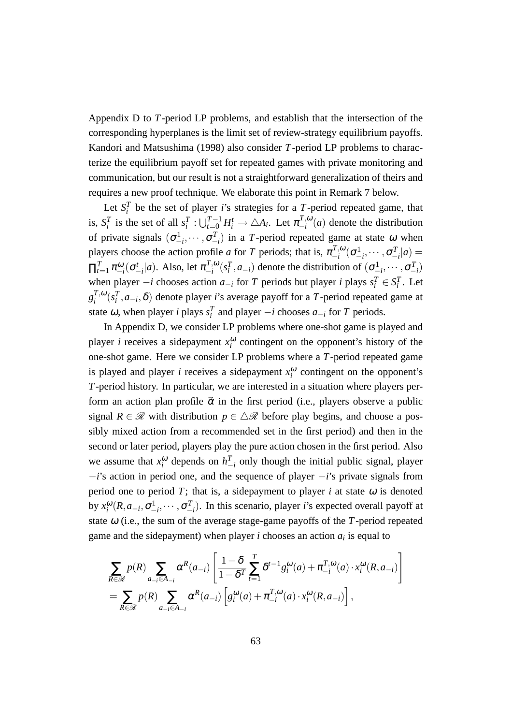Appendix D to *T*-period LP problems, and establish that the intersection of the corresponding hyperplanes is the limit set of review-strategy equilibrium payoffs. Kandori and Matsushima (1998) also consider *T*-period LP problems to characterize the equilibrium payoff set for repeated games with private monitoring and communication, but our result is not a straightforward generalization of theirs and requires a new proof technique. We elaborate this point in Remark 7 below.

Let  $S_i^T$  be the set of player *i*'s strategies for a *T*-period repeated game, that is,  $S_i^T$  is the set of all  $s_i^T: \bigcup_{t=0}^{T-1} H_i^t \to \triangle A_i$ . Let  $\pi_{-i}^{T, \omega}$  $L^{I,\omega}(a)$  denote the distribution of private signals  $(\sigma_{-i}^1, \dots, \sigma_{-i}^T)$  in a *T*-period repeated game at state  $\omega$  when players choose the action profile *a* for *T* periods; that is,  $\pi^{T,\omega}_{-i}$  $\sigma_{-i}^{T,\omega}(\sigma_{-i}^1,\cdots,\sigma_{-i}^T|a) =$  $\prod_{t=1}^{T} \pi_{-i}^{\omega}(\sigma_{-i}^{t}|a)$ . Also, let  $\pi_{-i}^{T,\omega}$  $\int_{-i}^{T,\omega} (s_i^T, a_{-i})$  denote the distribution of  $(\sigma^1_{-i}, \cdots, \sigma^T_{-i})$ when player  $-i$  chooses action  $a_{-i}$  for *T* periods but player *i* plays  $s_i^T \in S_i^T$ . Let  $g_i^{T,\omega}$  $T_i^{\mu}$ , $\omega$ <sub>*i*</sub><sup>*T*</sup>, $a_{-i}$ , $\delta$ ) denote player *i*'s average payoff for a *T*-period repeated game at state  $\omega$ , when player *i* plays  $s_i^T$  and player  $-i$  chooses  $a_{-i}$  for  $T$  periods.

In Appendix D, we consider LP problems where one-shot game is played and player *i* receives a sidepayment  $x_i^{\omega}$  contingent on the opponent's history of the one-shot game. Here we consider LP problems where a *T*-period repeated game is played and player *i* receives a sidepayment  $x_i^{\omega}$  contingent on the opponent's *T*-period history. In particular, we are interested in a situation where players perform an action plan profile  $\vec{\alpha}$  in the first period (i.e., players observe a public signal  $R \in \mathcal{R}$  with distribution  $p \in \Delta \mathcal{R}$  before play begins, and choose a possibly mixed action from a recommended set in the first period) and then in the second or later period, players play the pure action chosen in the first period. Also we assume that  $x_i^{\omega}$  depends on  $h_{-i}^T$  only though the initial public signal, player −*i*'s action in period one, and the sequence of player −*i*'s private signals from period one to period  $T$ ; that is, a sidepayment to player *i* at state  $\omega$  is denoted by  $x_i^{\omega}(R, a_{-i}, \sigma_{-i}^1, \dots, \sigma_{-i}^T)$ . In this scenario, player *i*'s expected overall payoff at state  $\omega$  (i.e., the sum of the average stage-game payoffs of the  $T$ -period repeated game and the sidepayment) when player  $i$  chooses an action  $a_i$  is equal to

$$
\sum_{R \in \mathcal{R}} p(R) \sum_{a_{-i} \in A_{-i}} \alpha^R(a_{-i}) \left[ \frac{1 - \delta}{1 - \delta^T} \sum_{t=1}^T \delta^{t-1} g_i^{\omega}(a) + \pi_{-i}^{T,\omega}(a) \cdot x_i^{\omega}(R, a_{-i}) \right]
$$
  
= 
$$
\sum_{R \in \mathcal{R}} p(R) \sum_{a_{-i} \in A_{-i}} \alpha^R(a_{-i}) \left[ g_i^{\omega}(a) + \pi_{-i}^{T,\omega}(a) \cdot x_i^{\omega}(R, a_{-i}) \right],
$$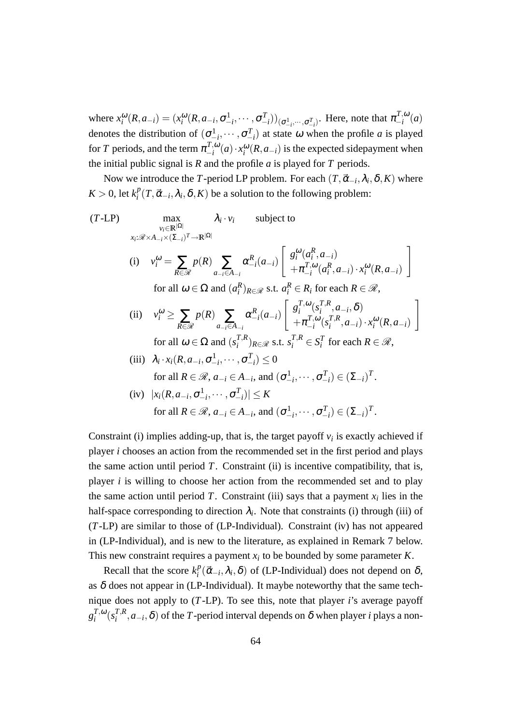where  $x_i^{\omega}(R, a_{-i}) = (x_i^{\omega}(R, a_{-i}, \sigma_{-i}^1, \cdots, \sigma_{-i}^T))_{(\sigma_{-i}^1, \cdots, \sigma_{-i}^T)}$ . Here, note that  $\pi_{-i}^{T, \omega}$ −*i* (*a*) denotes the distribution of  $(\sigma_{-i}^1, \dots, \sigma_{-i}^T)$  at state  $\omega$  when the profile *a* is played for *T* periods, and the term  $\pi^{T,\omega}_{-i}$  $\int_{-i}^{I,\omega}(a) \cdot x_i^{\omega}(R, a_{-i})$  is the expected sidepayment when the initial public signal is  $R$  and the profile  $a$  is played for  $T$  periods.

Now we introduce the *T*-period LP problem. For each  $(T, \vec{\alpha}_{-i}, \lambda_i, \delta, K)$  where  $K > 0$ , let  $k_i^p$  $\int_{i}^{p}(T, \vec{\alpha}_{-i}, \lambda_i, \delta, K)$  be a solution to the following problem:

$$
(T-LP) \max_{v_i \in \mathbb{R}^{|\Omega|}} \lambda_i \cdot v_i \quad \text{subject to}
$$
\n
$$
x_i : \mathcal{R} \times A_{-i} \times (\Sigma_{-i})^T \to \mathbb{R}^{|\Omega|}
$$
\n
$$
(i) \quad v_i^{\omega} = \sum_{R \in \mathcal{R}} p(R) \sum_{a_{-i} \in A_{-i}} \alpha_{-i}^{R} (a_{-i}) \left[ \begin{array}{c} g_i^{\omega}(a_i^{R}, a_{-i}) \\ + \pi_{-i}^{T, \omega}(a_i^{R}, a_{-i}) \cdot x_i^{\omega}(R, a_{-i}) \end{array} \right]
$$
\n
$$
\text{for all } \omega \in \Omega \text{ and } (a_i^{R})_{R \in \mathcal{R}} \text{ s.t. } a_i^{R} \in R_i \text{ for each } R \in \mathcal{R},
$$
\n
$$
(ii) \quad v_i^{\omega} \ge \sum_{R \in \mathcal{R}} p(R) \sum_{a_{-i} \in A_{-i}} \alpha_{-i}^{R} (a_{-i}) \left[ \begin{array}{c} g_i^{T, \omega}(s_i^{T,R}, a_{-i}, \delta) \\ + \pi_{-i}^{T, \omega}(s_i^{T,R}, a_{-i}) \cdot x_i^{\omega}(R, a_{-i}) \end{array} \right]
$$
\n
$$
\text{for all } \omega \in \Omega \text{ and } (s_i^{T,R})_{R \in \mathcal{R}} \text{ s.t. } s_i^{T,R} \in S_i^T \text{ for each } R \in \mathcal{R},
$$
\n
$$
(iii) \quad \lambda_i \cdot x_i(R, a_{-i}, \sigma_{-i}^1, \dots, \sigma_{-i}^T) \le 0
$$
\n
$$
\text{for all } R \in \mathcal{R}, a_{-i} \in A_{-i}, \text{ and } (\sigma_{-i}^1, \dots, \sigma_{-i}^T) \in (\Sigma_{-i})^T.
$$
\n
$$
(iv) \quad |x_i(R, a_{-i}, \sigma_{-i}^1, \dots, \sigma_{-i}^T)| \le K
$$
\n
$$
\text{for all } R \in \mathcal{R}, a_{-i} \in A_{-i}, \text{ and } (\sigma_{-i}^1, \dots, \sigma_{-i}^T) \in (\Sigma_{-
$$

Constraint (i) implies adding-up, that is, the target payoff  $v_i$  is exactly achieved if player *i* chooses an action from the recommended set in the first period and plays the same action until period  $T$ . Constraint (ii) is incentive compatibility, that is, player *i* is willing to choose her action from the recommended set and to play the same action until period  $T$ . Constraint (iii) says that a payment  $x_i$  lies in the half-space corresponding to direction  $\lambda_i$ . Note that constraints (i) through (iii) of (*T*-LP) are similar to those of (LP-Individual). Constraint (iv) has not appeared in (LP-Individual), and is new to the literature, as explained in Remark 7 below. This new constraint requires a payment  $x_i$  to be bounded by some parameter  $K$ .

Recall that the score  $k_i^p$  $_{i}^{p}$ ( $\vec{\alpha}_{-i}$ , $\lambda_i$ , $\delta$ ) of (LP-Individual) does not depend on  $\delta$ , as  $\delta$  does not appear in (LP-Individual). It maybe noteworthy that the same technique does not apply to (*T*-LP). To see this, note that player *i*'s average payoff  $g_i^{T,\omega}$  $\int_i^{T,\omega} (s_i^T)^R$  $\hat{a}^{I,K}(a_{-i},\delta)$  of the *T*-period interval depends on  $\delta$  when player *i* plays a non-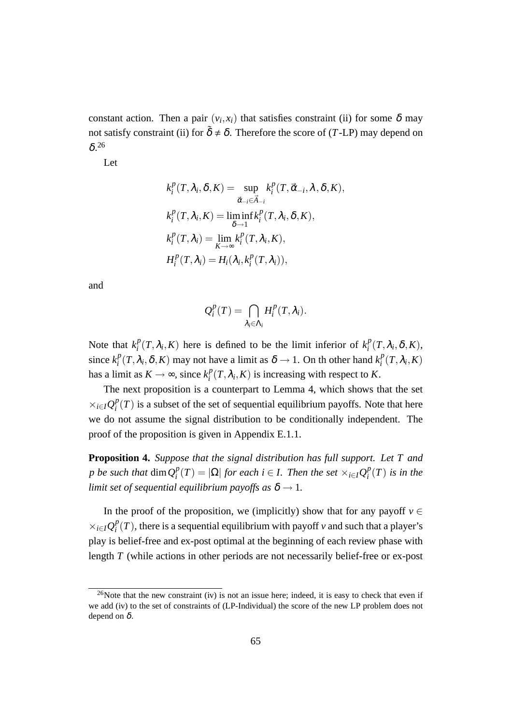constant action. Then a pair  $(v_i, x_i)$  that satisfies constraint (ii) for some  $\delta$  may not satisfy constraint (ii) for  $\tilde{\delta} \neq \delta$ . Therefore the score of (*T*-LP) may depend on  $\delta^{.26}$ 

Let

$$
k_i^p(T, \lambda_i, \delta, K) = \sup_{\vec{\alpha}_{-i} \in \vec{A}_{-i}} k_i^p(T, \vec{\alpha}_{-i}, \lambda, \delta, K),
$$
  
\n
$$
k_i^p(T, \lambda_i, K) = \liminf_{\delta \to 1} k_i^p(T, \lambda_i, \delta, K),
$$
  
\n
$$
k_i^p(T, \lambda_i) = \lim_{K \to \infty} k_i^p(T, \lambda_i, K),
$$
  
\n
$$
H_i^p(T, \lambda_i) = H_i(\lambda_i, k_i^p(T, \lambda_i)),
$$

and

$$
Q_i^p(T) = \bigcap_{\lambda_i \in \Lambda_i} H_i^p(T, \lambda_i).
$$

Note that  $k_i^p$  $\int_i^p (T, \lambda_i, K)$  here is defined to be the limit inferior of  $k_i^p$  $\int_i^p(T,\lambda_i,\delta,K),$ since  $k_i^p$  $\int_a^p (T, \lambda_i, \delta, K)$  may not have a limit as  $\delta \to 1$ . On th other hand  $k_i^p$  $\int_i^p(T,\lambda_i,K)$ has a limit as  $K \to \infty$ , since  $k_i^p$  $i^p(T, \lambda_i, K)$  is increasing with respect to *K*.

The next proposition is a counterpart to Lemma 4, which shows that the set  $\times_{i\in I} Q_i^p$  $i(T)$  is a subset of the set of sequential equilibrium payoffs. Note that here we do not assume the signal distribution to be conditionally independent. The proof of the proposition is given in Appendix E.1.1.

**Proposition 4.** *Suppose that the signal distribution has full support. Let T and p be such that*  $\dim Q_i^p$  $\sum_{i=1}^{p} (T) = |\Omega|$  *for each*  $i \in I$ *. Then the set*  $\times_{i \in I} Q_{i}^{p}$  $i_l^p(T)$  *is in the limit set of sequential equilibrium payoffs as*  $\delta \rightarrow 1$ *.* 

In the proof of the proposition, we (implicitly) show that for any payoff  $v \in$  $\times_{i\in I} Q_i^p$  $i_l^p(T)$ , there is a sequential equilibrium with payoff *v* and such that a player's play is belief-free and ex-post optimal at the beginning of each review phase with length *T* (while actions in other periods are not necessarily belief-free or ex-post

 $26$ Note that the new constraint (iv) is not an issue here; indeed, it is easy to check that even if we add (iv) to the set of constraints of (LP-Individual) the score of the new LP problem does not depend on  $\delta$ .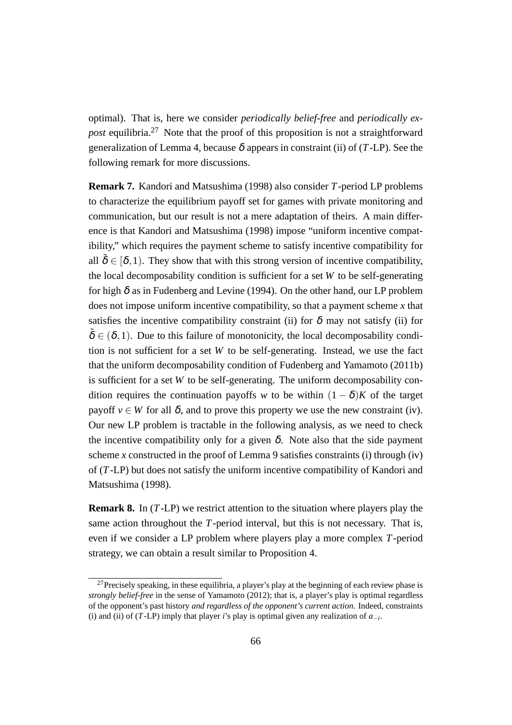optimal). That is, here we consider *periodically belief-free* and *periodically expost* equilibria.<sup>27</sup> Note that the proof of this proposition is not a straightforward generalization of Lemma 4, because  $\delta$  appears in constraint (ii) of (*T*-LP). See the following remark for more discussions.

**Remark 7.** Kandori and Matsushima (1998) also consider *T*-period LP problems to characterize the equilibrium payoff set for games with private monitoring and communication, but our result is not a mere adaptation of theirs. A main difference is that Kandori and Matsushima (1998) impose "uniform incentive compatibility," which requires the payment scheme to satisfy incentive compatibility for all  $\tilde{\delta} \in [\delta, 1]$ . They show that with this strong version of incentive compatibility, the local decomposability condition is sufficient for a set *W* to be self-generating for high  $\delta$  as in Fudenberg and Levine (1994). On the other hand, our LP problem does not impose uniform incentive compatibility, so that a payment scheme *x* that satisfies the incentive compatibility constraint (ii) for  $\delta$  may not satisfy (ii) for  $\tilde{\delta} \in (\delta, 1)$ . Due to this failure of monotonicity, the local decomposability condition is not sufficient for a set *W* to be self-generating. Instead, we use the fact that the uniform decomposability condition of Fudenberg and Yamamoto (2011b) is sufficient for a set *W* to be self-generating. The uniform decomposability condition requires the continuation payoffs *w* to be within  $(1 - \delta)K$  of the target payoff  $v \in W$  for all  $\delta$ , and to prove this property we use the new constraint (iv). Our new LP problem is tractable in the following analysis, as we need to check the incentive compatibility only for a given  $\delta$ . Note also that the side payment scheme *x* constructed in the proof of Lemma 9 satisfies constraints (i) through (iv) of (*T*-LP) but does not satisfy the uniform incentive compatibility of Kandori and Matsushima (1998).

**Remark 8.** In (*T*-LP) we restrict attention to the situation where players play the same action throughout the *T*-period interval, but this is not necessary. That is, even if we consider a LP problem where players play a more complex *T*-period strategy, we can obtain a result similar to Proposition 4.

<sup>&</sup>lt;sup>27</sup> Precisely speaking, in these equilibria, a player's play at the beginning of each review phase is *strongly belief-free* in the sense of Yamamoto (2012); that is, a player's play is optimal regardless of the opponent's past history *and regardless of the opponent's current action*. Indeed, constraints (i) and (ii) of (*T*-LP) imply that player *i*'s play is optimal given any realization of  $a_{-i}$ .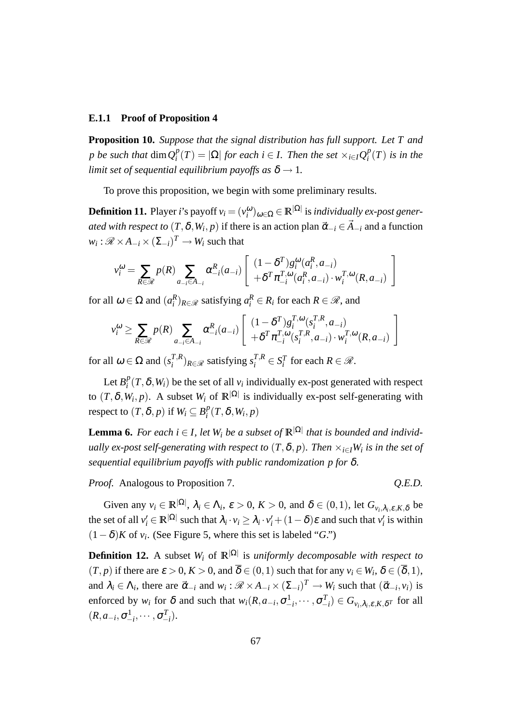#### **E.1.1 Proof of Proposition 4**

**Proposition 10.** *Suppose that the signal distribution has full support. Let T and p be such that*  $\dim Q_i^p$  $\sum_i^p(T) = |\Omega|$  *for each*  $i \in I$ *. Then the set*  $\times_{i \in I} Q_i^p$  $i_l^p(T)$  *is in the limit set of sequential equilibrium payoffs as*  $\delta \rightarrow 1$ *.* 

To prove this proposition, we begin with some preliminary results.

**Definition 11.** Player *i*'s payoff  $v_i = (v_i^{\omega})_{\omega \in \Omega} \in \mathbb{R}^{|\Omega|}$  is *individually ex-post generated with respect to*  $(T, \delta, W_i, p)$  *if there is an action plan*  $\vec{\alpha}_{-i} \in \vec{A}_{-i}$  *and a function*  $w_i: \mathscr{R} \times A_{-i} \times (\Sigma_{-i})^T \to W_i$  such that

$$
v_i^{\omega} = \sum_{R \in \mathcal{R}} p(R) \sum_{a_{-i} \in A_{-i}} \alpha_{-i}^{R} (a_{-i}) \begin{bmatrix} (1 - \delta^T) g_i^{\omega}(a_i^R, a_{-i}) \\ + \delta^T \pi_{-i}^{T, \omega}(a_i^R, a_{-i}) \cdot w_i^{T, \omega}(R, a_{-i}) \end{bmatrix}
$$

for all  $\omega \in \Omega$  and  $(a_i^R)_{R \in \mathcal{R}}$  satisfying  $a_i^R \in R_i$  for each  $R \in \mathcal{R}$ , and

$$
v_i^{\omega} \ge \sum_{R \in \mathcal{R}} p(R) \sum_{a_{-i} \in A_{-i}} \alpha_{-i}^R(a_{-i}) \left[ \begin{array}{c} (1 - \delta^T) g_i^{T,\omega}(s_i^{T,R}, a_{-i}) \\ + \delta^T \pi_{-i}^{T,\omega}(s_i^{T,R}, a_{-i}) \cdot w_i^{T,\omega}(R, a_{-i}) \end{array} \right]
$$

for all  $\omega \in \Omega$  and  $(s_i^{T,R})$  $\sum_{i}^{T,R}$ ) $_{R \in \mathcal{R}}$  satisfying  $s_i^{T,R} \in S_i^T$  for each  $R \in \mathcal{R}$ .

Let  $B_i^p$  $i^p(T, \delta, W_i)$  be the set of all  $v_i$  individually ex-post generated with respect to  $(T, \delta, W_i, p)$ . A subset  $W_i$  of  $\mathbb{R}^{|\Omega|}$  is individually ex-post self-generating with respect to  $(T, \delta, p)$  if  $W_i \subseteq B_i^p$  $\int_i^p(T,\delta,W_i,p)$ 

**Lemma 6.** *For each*  $i \in I$ , let  $W_i$  be a subset of  $\mathbb{R}^{|\Omega|}$  that is bounded and individ*ually ex-post self-generating with respect to*  $(T, \delta, p)$ *. Then*  $\times_{i \in I} W_i$  is in the set of *sequential equilibrium payoffs with public randomization p for* δ *.*

*Proof.* Analogous to Proposition 7.

$$
Q.E.D.
$$

Given any  $v_i \in \mathbb{R}^{|\Omega|}$ ,  $\lambda_i \in \Lambda_i$ ,  $\varepsilon > 0$ ,  $K > 0$ , and  $\delta \in (0,1)$ , let  $G_{v_i, \lambda_i, \varepsilon, K, \delta}$  be the set of all  $v'_i \in \mathbb{R}^{|\Omega|}$  such that  $\lambda_i \cdot v_i \geq \lambda_i \cdot v'_i + (1 - \delta)\varepsilon$  and such that  $v'_i$  $i$ <sub>i</sub> is within  $(1-\delta)K$  of  $v_i$ . (See Figure 5, where this set is labeled "*G*.")

**Definition 12.** A subset  $W_i$  of  $\mathbb{R}^{|\Omega|}$  is *uniformly decomposable with respect to*  $(T, p)$  if there are  $\varepsilon > 0$ ,  $K > 0$ , and  $\delta \in (0, 1)$  such that for any  $v_i \in W_i$ ,  $\delta \in (\delta, 1)$ , and  $\lambda_i \in \Lambda_i$ , there are  $\vec{\alpha}_{-i}$  and  $w_i : \mathcal{R} \times A_{-i} \times (\Sigma_{-i})^T \to W_i$  such that  $(\vec{\alpha}_{-i}, v_i)$  is enforced by  $w_i$  for  $\delta$  and such that  $w_i(R, a_{-i}, \sigma_{-i}^1, \dots, \sigma_{-i}^T) \in G_{v_i, \lambda_i, \varepsilon, K, \delta^T}$  for all  $(R, a_{-i}, \sigma^1_{-i}, \cdots, \sigma^T_{-i}).$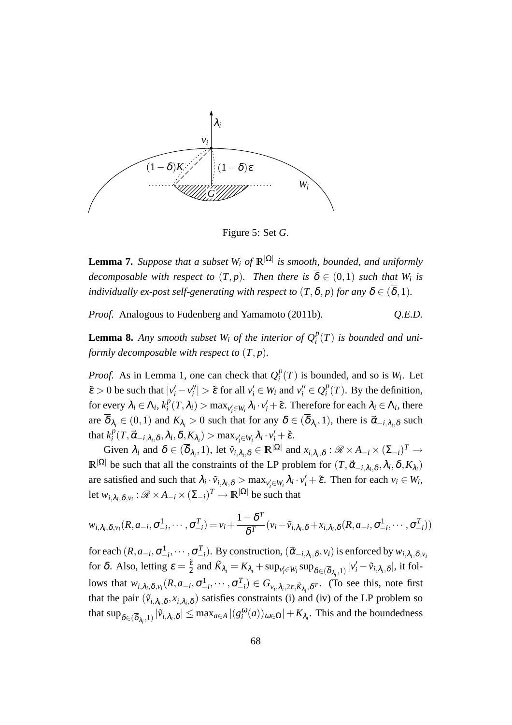

Figure 5: Set *G*.

**Lemma 7.** *Suppose that a subset*  $W_i$  *of*  $\mathbb{R}^{|\Omega|}$  *is smooth, bounded, and uniformly decomposable with respect to*  $(T, p)$ *. Then there is*  $\delta \in (0, 1)$  *such that*  $W_i$  *is individually ex-post self-generating with respect to*  $(T, \delta, p)$  *for any*  $\delta \in (\overline{\delta}, 1)$ *.* 

*Proof.* Analogous to Fudenberg and Yamamoto (2011b). *Q.E.D.*

**Lemma 8.** Any smooth subset  $W_i$  of the interior of  $Q_i^p$ *i* (*T*) *is bounded and uniformly decomposable with respect to*  $(T, p)$ *.* 

*Proof.* As in Lemma 1, one can check that  $Q_i^p$  $i^p(T)$  is bounded, and so is  $W_i$ . Let  $\tilde{\varepsilon} > 0$  be such that  $|v'_i - v''_i|$  $|v_i''| > \tilde{\varepsilon}$  for all  $v_i' \in W_i$  and  $v_i'' \in Q_i^p$  $i<sup>p</sup>(T)$ . By the definition, for every  $\lambda_i \in \Lambda_i$ ,  $k_i^p$  $\int_i^p (T, \lambda_i) > \max_{\nu_i' \in W_i} \lambda_i \cdot \nu_i' + \tilde{\varepsilon}$ . Therefore for each  $\lambda_i \in \Lambda_i$ , there are  $\overline{\delta}_{\lambda_i} \in (0,1)$  and  $K_{\lambda_i} > 0$  such that for any  $\delta \in (\overline{\delta}_{\lambda_i}, 1)$ , there is  $\vec{\alpha}_{-i,\lambda_i,\delta}$  such that  $k_i^p$  $\int_i^p (T, \vec{\alpha}_{-i, \lambda_i, \delta}, \lambda_i, \delta, K_{\lambda_i}) > \max_{v'_i \in W_i} \lambda_i \cdot v'_i + \tilde{\epsilon}.$ 

Given  $\lambda_i$  and  $\delta \in (\overline{\delta}_{\lambda_i}, 1)$ , let  $\tilde{v}_{i, \lambda_i, \delta} \in \mathbb{R}^{|\Omega|}$  and  $x_{i, \lambda_i, \delta} : \mathscr{R} \times A_{-i} \times (\Sigma_{-i})^T \to$  $\mathbb{R}^{|\Omega|}$  be such that all the constraints of the LP problem for  $(T, \vec{\alpha}_{-i,\lambda_i,\delta}, \lambda_i, \delta, K_{\lambda_i})$ are satisfied and such that  $\lambda_i \cdot \tilde{v}_{i,\lambda_i,\delta} > \max_{v'_i \in W_i} \lambda_i \cdot v'_i + \tilde{\varepsilon}$ . Then for each  $v_i \in W_i$ , let  $w_{i,\lambda_i,\delta,v_i}: \mathscr{R} \times A_{-i} \times (\Sigma_{-i})^T \to \mathbb{R}^{|\Omega|}$  be such that

$$
w_{i,\lambda_i,\delta,\nu_i}(R,a_{-i},\sigma_{-i}^1,\cdots,\sigma_{-i}^T)=v_i+\frac{1-\delta^T}{\delta^T}(v_i-\tilde{v}_{i,\lambda_i,\delta}+x_{i,\lambda_i,\delta}(R,a_{-i},\sigma_{-i}^1,\cdots,\sigma_{-i}^T))
$$

for each  $(R, a_{-i}, \sigma_{-i}^1, \cdots, \sigma_{-i}^T)$ . By construction,  $(\vec{\alpha}_{-i, \lambda_i, \delta}, v_i)$  is enforced by  $w_{i, \lambda_i, \delta, v_i}$ for  $\delta$ . Also, letting  $\varepsilon = \frac{\tilde{\varepsilon}}{2}$  $\frac{\tilde{\varepsilon}}{2}$  and  $\tilde{K}_{\lambda_i} = K_{\lambda_i} + \sup_{\nu'_i \in W_i} \sup_{\delta \in (\overline{\delta}_{\lambda_i}, 1)} | \nu'_i - \tilde{\nu}_{i, \lambda_i, \delta} |$ , it follows that  $w_{i,\lambda_i,\delta,v_i}(R,a_{-i},\sigma^1_{-i},\cdots,\sigma^T_{-i})\in G_{v_i,\lambda_i,2\epsilon,\tilde{K}_{\lambda_i},\delta^T}$ . (To see this, note first that the pair  $(\tilde{v}_{i,\lambda_i,\delta}, x_{i,\lambda_i,\delta})$  satisfies constraints (i) and (iv) of the LP problem so that  $\sup_{\delta \in (\overline{\delta}_{\lambda_i},1)} |\tilde{v}_{i,\lambda_i,\delta}| \le \max_{a \in A} |(g_i^{\omega}(a))_{\omega \in \Omega}| + K_{\lambda_i}$ . This and the boundedness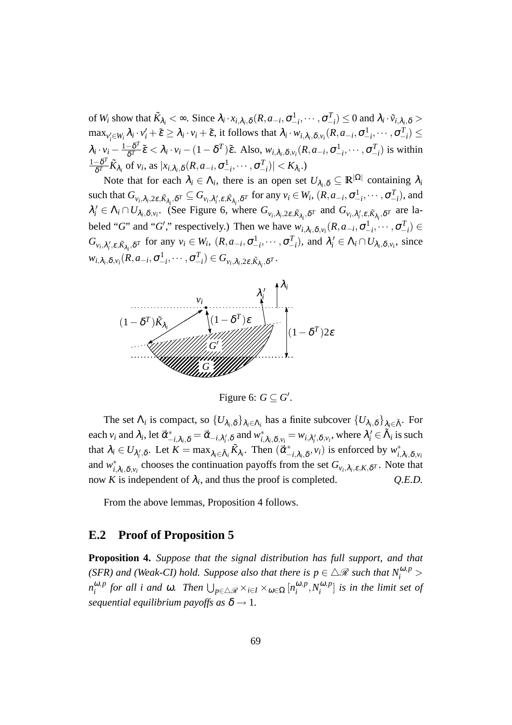of  $W_i$  show that  $\tilde{K}_{\lambda_i} < \infty$ . Since  $\lambda_i \cdot x_{i,\lambda_i,\delta}(R, a_{-i}, \sigma^1_{-i}, \cdots, \sigma^T_{-i}) \leq 0$  and  $\lambda_i \cdot \tilde{v}_{i,\lambda_i,\delta} >$  $\max_{v_i' \in W_i} \lambda_i \cdot v_i' + \tilde{\varepsilon} \geq \lambda_i \cdot v_i + \tilde{\varepsilon}$ , it follows that  $\lambda_i \cdot w_{i, \lambda_i, \delta, v_i}(R, a_{-i}, \sigma^1_{-i}, \cdots, \sigma^T_{-i}) \leq$  $\lambda_i \cdot v_i - \frac{1-\delta^T}{\delta^T}$  $\frac{-\delta^T}{\delta^T}\tilde{\epsilon} < \lambda_i \cdot v_i - (1-\delta^T)\tilde{\epsilon}$ . Also,  $w_{i,\lambda_i,\delta,v_i}(R,a_{-i},\sigma^1_{-i},\cdots,\sigma^T_{-i})$  is within  $1-\delta^T$  $\frac{-\delta^T}{\delta^T} \tilde{K}_{\lambda_i}$  of  $v_i$ , as  $|x_{i,\lambda_i,\delta}(R,a_{-i},\sigma^1_{-i},\cdots,\sigma^T_{-i})| < K_{\lambda_i}$ .)

Note that for each  $\lambda_i \in \Lambda_i$ , there is an open set  $U_{\lambda_i, \delta} \subseteq \mathbb{R}^{|\Omega|}$  containing  $\lambda_i$ such that  $G_{\nu_i,\lambda_i,2\epsilon,\tilde{K}_{\lambda_i},\delta^T} \subseteq G_{\nu_i,\lambda'_i,\epsilon,\tilde{K}_{\lambda_i},\delta^T}$  for any  $\nu_i \in W_i$ ,  $(R,a_{-i},\sigma_{-i}^1,\cdots,\sigma_{-i}^T)$ , and  $\lambda'_i \in \Lambda_i \cap U_{\lambda_i, \delta, v_i}$ . (See Figure 6, where  $G_{v_i, \lambda_i, 2\epsilon, \tilde{K}_{\lambda_i}, \delta^T}$  and  $G_{v_i, \lambda'_i, \epsilon, \tilde{K}_{\lambda_i}, \delta^T}$  are labeled "*G*" and "*G'*," respectively.) Then we have  $w_{i,\lambda_i,\delta,v_i}(R,a_{-i},\sigma_{-i}^1,\cdots,\sigma_{-i}^T) \in$  $G_{\nu_i,\lambda'_i,\varepsilon,\tilde{K}_{\lambda_i},\delta^T}$  for any  $\nu_i \in W_i$ ,  $(R, a_{-i}, \sigma^1_{-i}, \cdots, \sigma^T_{-i})$ , and  $\lambda'_i \in \Lambda_i \cap U_{\lambda_i,\delta,\nu_i}$ , since  $w_{i,\lambda_i,\delta,\nu_i}(R,a_{-i},\sigma_{-i}^1,\cdots,\sigma_{-i}^T) \in G_{\nu_i,\lambda_i,2\epsilon,\tilde{K}_{\lambda_i},\delta^T}.$ 



Figure 6:  $G \subseteq G'$ .

The set  $\Lambda_i$  is compact, so  $\{U_{\lambda_i,\delta}\}_{\lambda_i\in\Lambda_i}$  has a finite subcover  $\{U_{\lambda_i,\delta}\}_{\lambda_i\in\tilde{\Lambda}}$ . For each  $v_i$  and  $\lambda_i$ , let  $\vec{\alpha}_{-}^*$ <sup>\*</sup><sup>*i*</sup>−*i*,λ<sub>*i*</sub>,δ</sub> and *w*<sup>\*</sup><sub>*i*</sub>,  $\chi^*_{i,\lambda_i,\delta,\nu_i} = w_{i,\lambda'_i,\delta,\nu_i}$ , where  $\lambda'_i \in \tilde{\Lambda}_i$  is such that  $\lambda_i \in U_{\lambda'_i, \delta}$ . Let  $K = \max_{\lambda_i \in \tilde{\Lambda}_i} \tilde{K}_{\lambda_i}$ . Then  $(\vec{\alpha}_{-}^*)$ <sup>∗</sup> $-i,λ<sub>i</sub>,δ, v<sub>i</sub>$ ) is enforced by  $w<sub>i</sub><sup>*</sup>$ ,  $i, \lambda_i, \delta, v_i$ and  $w_i^*$ *i*, $\lambda_i$ , $\delta$ , $\nu_i$  chooses the continuation payoffs from the set  $G_{\nu_i,\lambda_i,\varepsilon,K,\delta^T}$ . Note that now *K* is independent of  $\lambda_i$ , and thus the proof is completed.  $Q.E.D.$ 

From the above lemmas, Proposition 4 follows.

#### **E.2 Proof of Proposition 5**

**Proposition 4.** *Suppose that the signal distribution has full support, and that (SFR) and (Weak-CI) hold. Suppose also that there is*  $p \in \triangle \mathscr{R}$  *such that*  $N_i^{\omega, p}$  > *n* <sup>ω</sup>,*p*  $\sum_{i=1}^{\infty}$  *for all i and ω. Then*  $\bigcup_{p \in \triangle \mathcal{R}} \times_{i \in I} \times_{\omega \in \Omega} [n_i^{\omega, p}]$  $\sum_i^{\omega,p}$ ,  $N_i^{\omega,p}$ *i* ] *is in the limit set of sequential equilibrium payoffs as*  $\delta \rightarrow 1$ *.*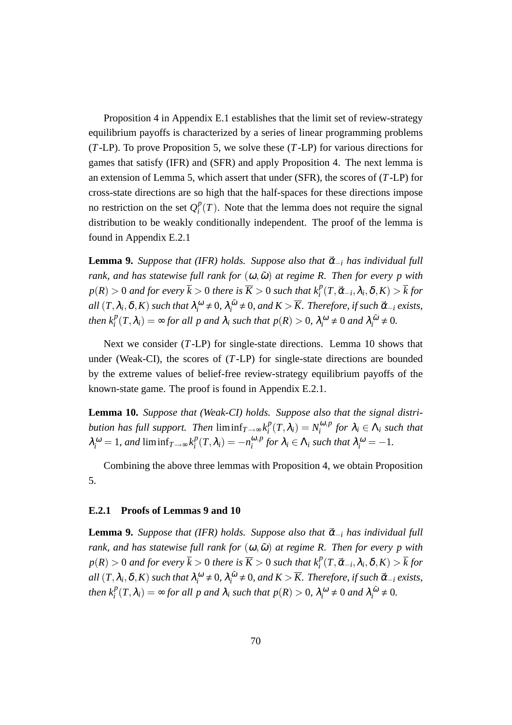Proposition 4 in Appendix E.1 establishes that the limit set of review-strategy equilibrium payoffs is characterized by a series of linear programming problems (*T*-LP). To prove Proposition 5, we solve these (*T*-LP) for various directions for games that satisfy (IFR) and (SFR) and apply Proposition 4. The next lemma is an extension of Lemma 5, which assert that under (SFR), the scores of (*T*-LP) for cross-state directions are so high that the half-spaces for these directions impose no restriction on the set  $Q_i^p$  $i<sup>p</sup>(T)$ . Note that the lemma does not require the signal distribution to be weakly conditionally independent. The proof of the lemma is found in Appendix E.2.1

**Lemma 9.** *Suppose that (IFR) holds. Suppose also that*  $\vec{\alpha}_{-i}$  *has individual full rank, and has statewise full rank for*  $(\omega, \tilde{\omega})$  *at regime R. Then for every p with*  $p(R) > 0$  *and for every*  $\bar{k} > 0$  *there is*  $\bar{K} > 0$  *such that*  $k_i^p$  $\int_i^p(T, \vec{\alpha}_{-i}, \lambda_i, \delta, K) > \bar{k}$  for  $all (T, \lambda_i, \delta, K)$  *such that*  $\lambda_i^{\omega} \neq 0$ ,  $\lambda_i^{\tilde{\omega}} \neq 0$ , and  $K > \overline{K}$ . Therefore, if such  $\vec{\alpha}_{-i}$  exists, *then*  $k_i^p$  $\int_a^p (T, \lambda_i) = \infty$  *for all p and*  $\lambda_i$  *such that*  $p(R) > 0$ ,  $\lambda_i^{\omega} \neq 0$  *and*  $\lambda_i^{\tilde{\omega}} \neq 0$ .

Next we consider (*T*-LP) for single-state directions. Lemma 10 shows that under (Weak-CI), the scores of (*T*-LP) for single-state directions are bounded by the extreme values of belief-free review-strategy equilibrium payoffs of the known-state game. The proof is found in Appendix E.2.1.

**Lemma 10.** *Suppose that (Weak-CI) holds. Suppose also that the signal distribution has full support. Then*  $\liminf_{T\to\infty} k_i^p$  $\sum_i^p(T, \lambda_i) = N_i^{\omega, p}$  $\hat{a}^{(0)}$ , *p* for  $\lambda_i \in \Lambda_i$  such that  $\lambda_i^{\omega} = 1$ *, and* liminf<sub>*T*→∞</sub>  $k_i^p$  $i^p(T, \lambda_i) = -n_i^{\omega, p}$  $\int_{i}^{\omega, p}$  for  $\lambda_i \in \Lambda_i$  such that  $\lambda_i^{\omega} = -1$ .

Combining the above three lemmas with Proposition 4, we obtain Proposition 5.

#### **E.2.1 Proofs of Lemmas 9 and 10**

**Lemma 9.** *Suppose that (IFR) holds. Suppose also that*  $\vec{\alpha}_{-i}$  *has individual full rank, and has statewise full rank for*  $(\omega, \tilde{\omega})$  *at regime R. Then for every p with*  $p(R) > 0$  *and for every*  $\bar{k} > 0$  *there is*  $\bar{K} > 0$  *such that*  $k_i^p$  $\int_i^p(T, \vec{\alpha}_{-i}, \lambda_i, \delta, K) > \bar{k}$  for  $all (T, \lambda_i, \delta, K)$  *such that*  $\lambda_i^{\omega} \neq 0$ ,  $\lambda_i^{\tilde{\omega}} \neq 0$ , and  $K > \overline{K}$ . Therefore, if such  $\vec{\alpha}_{-i}$  exists, *then*  $k_i^p$  $\int_a^p (T, \lambda_i) = \infty$  *for all p and*  $\lambda_i$  *such that*  $p(R) > 0$ ,  $\lambda_i^{\omega} \neq 0$  *and*  $\lambda_i^{\tilde{\omega}} \neq 0$ .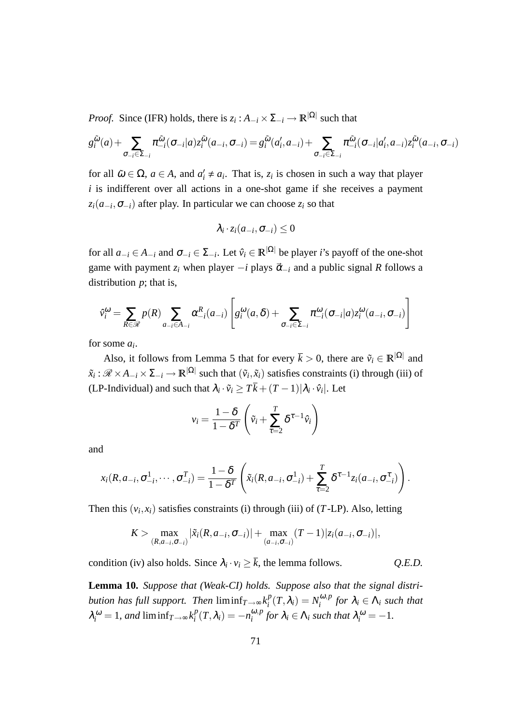*Proof.* Since (IFR) holds, there is  $z_i : A_{-i} \times \Sigma_{-i} \to \mathbb{R}^{|\Omega|}$  such that

$$
g_i^{\tilde{\omega}}(a) + \sum_{\sigma_{-i} \in \Sigma_{-i}} \pi_{-i}^{\tilde{\omega}}(\sigma_{-i}|a) z_i^{\tilde{\omega}}(a_{-i}, \sigma_{-i}) = g_i^{\tilde{\omega}}(a'_i, a_{-i}) + \sum_{\sigma_{-i} \in \Sigma_{-i}} \pi_{-i}^{\tilde{\omega}}(\sigma_{-i}|a'_i, a_{-i}) z_i^{\tilde{\omega}}(a_{-i}, \sigma_{-i})
$$

for all  $\tilde{\omega} \in \Omega$ ,  $a \in A$ , and  $a'_i \neq a_i$ . That is,  $z_i$  is chosen in such a way that player *i* is indifferent over all actions in a one-shot game if she receives a payment  $z_i(a_{-i}, \sigma_{-i})$  after play. In particular we can choose  $z_i$  so that

$$
\lambda_i \cdot z_i(a_{-i}, \sigma_{-i}) \leq 0
$$

for all  $a_{-i} \in A_{-i}$  and  $\sigma_{-i} \in \Sigma_{-i}$ . Let  $\hat{v}_i \in \mathbb{R}^{|\Omega|}$  be player *i*'s payoff of the one-shot game with payment  $z_i$  when player  $-i$  plays  $\vec{\alpha}_{-i}$  and a public signal *R* follows a distribution *p*; that is,

$$
\hat{v}_i^{\omega} = \sum_{R \in \mathcal{R}} p(R) \sum_{a_{-i} \in A_{-i}} \alpha_{-i}^R(a_{-i}) \left[ g_i^{\omega}(a, \delta) + \sum_{\sigma_{-i} \in \Sigma_{-i}} \pi_{-i}^{\omega}(\sigma_{-i}|a) z_i^{\omega}(a_{-i}, \sigma_{-i}) \right]
$$

for some *a<sup>i</sup>* .

Also, it follows from Lemma 5 that for every  $\bar{k} > 0$ , there are  $\tilde{v}_i \in \mathbb{R}^{|\Omega|}$  and  $\tilde{x}_i : \mathscr{R} \times A_{-i} \times \Sigma_{-i} \to \mathbb{R}^{|\Omega|}$  such that  $(\tilde{v}_i, \tilde{x}_i)$  satisfies constraints (i) through (iii) of (LP-Individual) and such that  $\lambda_i \cdot \tilde{v}_i \geq T\overline{k} + (T-1)|\lambda_i \cdot \hat{v}_i|$ . Let

$$
v_i = \frac{1 - \delta}{1 - \delta^T} \left( \tilde{v}_i + \sum_{\tau=2}^T \delta^{\tau-1} \hat{v}_i \right)
$$

and

$$
x_i(R, a_{-i}, \sigma_{-i}^1, \cdots, \sigma_{-i}^T) = \frac{1-\delta}{1-\delta^T}\left(\tilde{x}_i(R, a_{-i}, \sigma_{-i}^1) + \sum_{\tau=2}^T \delta^{\tau-1} z_i(a_{-i}, \sigma_{-i}^{\tau})\right).
$$

Then this  $(v_i, x_i)$  satisfies constraints (i) through (iii) of  $(T-LP)$ . Also, letting

$$
K > \max_{(R,a_{-i},\sigma_{-i})} |\tilde{x}_i(R,a_{-i},\sigma_{-i})| + \max_{(a_{-i},\sigma_{-i})} (T-1)|z_i(a_{-i},\sigma_{-i})|,
$$

condition (iv) also holds. Since  $\lambda_i \cdot v_i \ge \overline{k}$ , the lemma follows.  $Q.E.D.$ 

**Lemma 10.** *Suppose that (Weak-CI) holds. Suppose also that the signal distribution has full support. Then*  $\liminf_{T\to\infty} k_i^p$  $\sum_i^p(T,\lambda_i)=N_i^{\omega,p}$  $\hat{a}^{(0)}$ , *p* for  $\lambda_i \in \Lambda_i$  such that  $\lambda_i^{\omega} = 1$ *, and* liminf<sub>*T*→∞</sub>  $k_i^p$  $\binom{p}{i}(T,\lambda_i) = -n_i^{\omega,p}$  $\int_{i}^{\omega, p}$  for  $\lambda_i \in \Lambda_i$  such that  $\lambda_i^{\omega} = -1$ .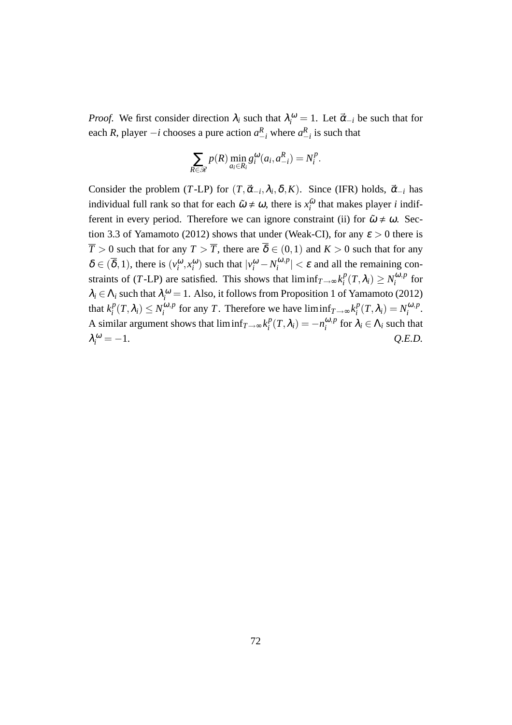*Proof.* We first consider direction  $\lambda_i$  such that  $\lambda_i^{\omega} = 1$ . Let  $\vec{\alpha}_{-i}$  be such that for each *R*, player  $-i$  chooses a pure action  $a_{-i}^R$  where  $a_{-i}^R$  is such that

$$
\sum_{R \in \mathcal{R}} p(R) \min_{a_i \in R_i} g_i^{\omega}(a_i, a_{-i}^R) = N_i^p.
$$

Consider the problem (*T*-LP) for  $(T, \vec{\alpha}_{-i}, \lambda_i, \delta, K)$ . Since (IFR) holds,  $\vec{\alpha}_{-i}$  has individual full rank so that for each  $\tilde{\omega} \neq \omega$ , there is  $x_i^{\tilde{\omega}}$  $\frac{a}{i}$  that makes player *i* indifferent in every period. Therefore we can ignore constraint (ii) for  $\tilde{\omega} \neq \omega$ . Section 3.3 of Yamamoto (2012) shows that under (Weak-CI), for any  $\varepsilon > 0$  there is  $\overline{T} > 0$  such that for any  $T > \overline{T}$ , there are  $\overline{\delta} \in (0,1)$  and  $K > 0$  such that for any  $\delta \in (\overline{\delta}, 1)$ , there is  $(v_i^{\omega}, x_i^{\omega})$  such that  $|v_i^{\omega} - N_i^{\omega, p}$  $|\mathcal{L}_{i}^{(0,p)}| < \varepsilon$  and all the remaining constraints of (*T*-LP) are satisfied. This shows that  $\liminf_{T \to \infty} k_i^p$  $\sum_{i}^{p}(T,\lambda_i) \geq N_i^{\omega,p}$  $\int_{i}^{\omega,p}$  for  $\lambda_i \in \Lambda_i$  such that  $\lambda_i^{\omega} = 1$ . Also, it follows from Proposition 1 of Yamamoto (2012) that  $k_i^p$  $\sum_{i}^{p}(T,\lambda_i) \leq N_i^{\omega,p}$  $f_i^{\omega, p}$  for any *T*. Therefore we have  $\liminf_{T \to \infty} k_i^p$  $\sum_i^p(T, \lambda_i) = N_i^{\omega, p}$  $i^{w,p}$ . A similar argument shows that  $\liminf_{T\to\infty} k_i^p$  $\binom{p}{i}(T,\lambda_i) = -n_i^{\omega,p}$  $\sum_{i}^{\omega,p}$  for  $\lambda_i \in \Lambda_i$  such that λ ω  $i_i^{\omega} = -1.$  *Q.E.D.*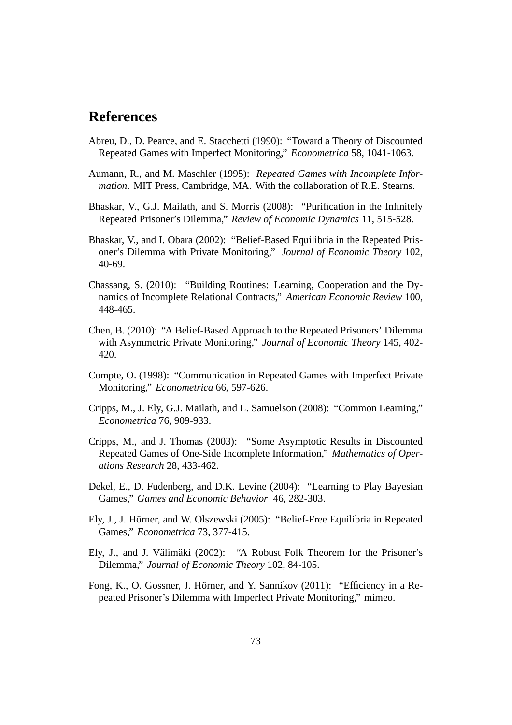## **References**

- Abreu, D., D. Pearce, and E. Stacchetti (1990): "Toward a Theory of Discounted Repeated Games with Imperfect Monitoring," *Econometrica* 58, 1041-1063.
- Aumann, R., and M. Maschler (1995): *Repeated Games with Incomplete Information*. MIT Press, Cambridge, MA. With the collaboration of R.E. Stearns.
- Bhaskar, V., G.J. Mailath, and S. Morris (2008): "Purification in the Infinitely Repeated Prisoner's Dilemma," *Review of Economic Dynamics* 11, 515-528.
- Bhaskar, V., and I. Obara (2002): "Belief-Based Equilibria in the Repeated Prisoner's Dilemma with Private Monitoring," *Journal of Economic Theory* 102, 40-69.
- Chassang, S. (2010): "Building Routines: Learning, Cooperation and the Dynamics of Incomplete Relational Contracts," *American Economic Review* 100, 448-465.
- Chen, B. (2010): "A Belief-Based Approach to the Repeated Prisoners' Dilemma with Asymmetric Private Monitoring," *Journal of Economic Theory* 145, 402- 420.
- Compte, O. (1998): "Communication in Repeated Games with Imperfect Private Monitoring," *Econometrica* 66, 597-626.
- Cripps, M., J. Ely, G.J. Mailath, and L. Samuelson (2008): "Common Learning," *Econometrica* 76, 909-933.
- Cripps, M., and J. Thomas (2003): "Some Asymptotic Results in Discounted Repeated Games of One-Side Incomplete Information," *Mathematics of Operations Research* 28, 433-462.
- Dekel, E., D. Fudenberg, and D.K. Levine (2004): "Learning to Play Bayesian Games," *Games and Economic Behavior* 46, 282-303.
- Ely, J., J. Horner, and W. Olszewski (2005): "Belief-Free Equilibria in Repeated ¨ Games," *Econometrica* 73, 377-415.
- Ely, J., and J. Välimäki (2002): "A Robust Folk Theorem for the Prisoner's Dilemma," *Journal of Economic Theory* 102, 84-105.
- Fong, K., O. Gossner, J. Hörner, and Y. Sannikov (2011): "Efficiency in a Repeated Prisoner's Dilemma with Imperfect Private Monitoring," mimeo.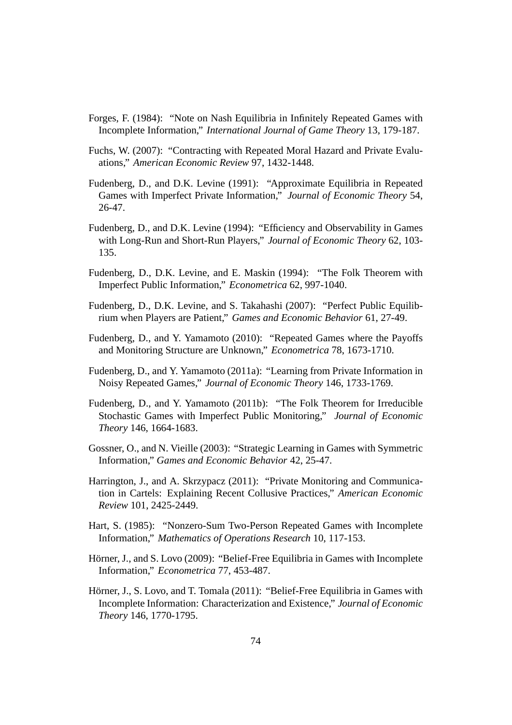- Forges, F. (1984): "Note on Nash Equilibria in Infinitely Repeated Games with Incomplete Information," *International Journal of Game Theory* 13, 179-187.
- Fuchs, W. (2007): "Contracting with Repeated Moral Hazard and Private Evaluations," *American Economic Review* 97, 1432-1448.
- Fudenberg, D., and D.K. Levine (1991): "Approximate Equilibria in Repeated Games with Imperfect Private Information," *Journal of Economic Theory* 54, 26-47.
- Fudenberg, D., and D.K. Levine (1994): "Efficiency and Observability in Games with Long-Run and Short-Run Players," *Journal of Economic Theory* 62, 103- 135.
- Fudenberg, D., D.K. Levine, and E. Maskin (1994): "The Folk Theorem with Imperfect Public Information," *Econometrica* 62, 997-1040.
- Fudenberg, D., D.K. Levine, and S. Takahashi (2007): "Perfect Public Equilibrium when Players are Patient," *Games and Economic Behavior* 61, 27-49.
- Fudenberg, D., and Y. Yamamoto (2010): "Repeated Games where the Payoffs and Monitoring Structure are Unknown," *Econometrica* 78, 1673-1710.
- Fudenberg, D., and Y. Yamamoto (2011a): "Learning from Private Information in Noisy Repeated Games," *Journal of Economic Theory* 146, 1733-1769.
- Fudenberg, D., and Y. Yamamoto (2011b): "The Folk Theorem for Irreducible Stochastic Games with Imperfect Public Monitoring," *Journal of Economic Theory* 146, 1664-1683.
- Gossner, O., and N. Vieille (2003): "Strategic Learning in Games with Symmetric Information," *Games and Economic Behavior* 42, 25-47.
- Harrington, J., and A. Skrzypacz (2011): "Private Monitoring and Communication in Cartels: Explaining Recent Collusive Practices," *American Economic Review* 101, 2425-2449.
- Hart, S. (1985): "Nonzero-Sum Two-Person Repeated Games with Incomplete Information," *Mathematics of Operations Research* 10, 117-153.
- Hörner, J., and S. Lovo (2009): "Belief-Free Equilibria in Games with Incomplete Information," *Econometrica* 77, 453-487.
- Hörner, J., S. Lovo, and T. Tomala (2011): "Belief-Free Equilibria in Games with Incomplete Information: Characterization and Existence," *Journal of Economic Theory* 146, 1770-1795.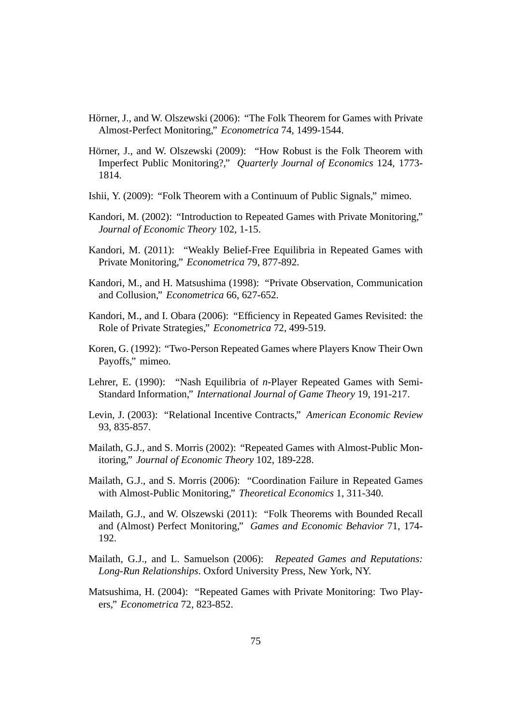- Hörner, J., and W. Olszewski (2006): "The Folk Theorem for Games with Private Almost-Perfect Monitoring," *Econometrica* 74, 1499-1544.
- Hörner, J., and W. Olszewski (2009): "How Robust is the Folk Theorem with Imperfect Public Monitoring?," *Quarterly Journal of Economics* 124, 1773- 1814.
- Ishii, Y. (2009): "Folk Theorem with a Continuum of Public Signals," mimeo.
- Kandori, M. (2002): "Introduction to Repeated Games with Private Monitoring," *Journal of Economic Theory* 102, 1-15.
- Kandori, M. (2011): "Weakly Belief-Free Equilibria in Repeated Games with Private Monitoring," *Econometrica* 79, 877-892.
- Kandori, M., and H. Matsushima (1998): "Private Observation, Communication and Collusion," *Econometrica* 66, 627-652.
- Kandori, M., and I. Obara (2006): "Efficiency in Repeated Games Revisited: the Role of Private Strategies," *Econometrica* 72, 499-519.
- Koren, G. (1992): "Two-Person Repeated Games where Players Know Their Own Payoffs," mimeo.
- Lehrer, E. (1990): "Nash Equilibria of *n*-Player Repeated Games with Semi-Standard Information," *International Journal of Game Theory* 19, 191-217.
- Levin, J. (2003): "Relational Incentive Contracts," *American Economic Review* 93, 835-857.
- Mailath, G.J., and S. Morris (2002): "Repeated Games with Almost-Public Monitoring," *Journal of Economic Theory* 102, 189-228.
- Mailath, G.J., and S. Morris (2006): "Coordination Failure in Repeated Games with Almost-Public Monitoring," *Theoretical Economics* 1, 311-340.
- Mailath, G.J., and W. Olszewski (2011): "Folk Theorems with Bounded Recall and (Almost) Perfect Monitoring," *Games and Economic Behavior* 71, 174- 192.
- Mailath, G.J., and L. Samuelson (2006): *Repeated Games and Reputations: Long-Run Relationships*. Oxford University Press, New York, NY.
- Matsushima, H. (2004): "Repeated Games with Private Monitoring: Two Players," *Econometrica* 72, 823-852.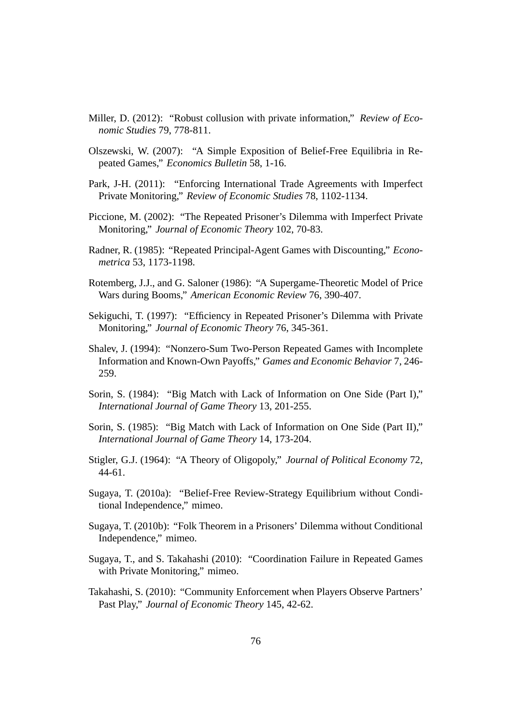- Miller, D. (2012): "Robust collusion with private information," *Review of Economic Studies* 79, 778-811.
- Olszewski, W. (2007): "A Simple Exposition of Belief-Free Equilibria in Repeated Games," *Economics Bulletin* 58, 1-16.
- Park, J-H. (2011): "Enforcing International Trade Agreements with Imperfect Private Monitoring," *Review of Economic Studies* 78, 1102-1134.
- Piccione, M. (2002): "The Repeated Prisoner's Dilemma with Imperfect Private Monitoring," *Journal of Economic Theory* 102, 70-83.
- Radner, R. (1985): "Repeated Principal-Agent Games with Discounting," *Econometrica* 53, 1173-1198.
- Rotemberg, J.J., and G. Saloner (1986): "A Supergame-Theoretic Model of Price Wars during Booms," *American Economic Review* 76, 390-407.
- Sekiguchi, T. (1997): "Efficiency in Repeated Prisoner's Dilemma with Private Monitoring," *Journal of Economic Theory* 76, 345-361.
- Shalev, J. (1994): "Nonzero-Sum Two-Person Repeated Games with Incomplete Information and Known-Own Payoffs," *Games and Economic Behavior* 7, 246- 259.
- Sorin, S. (1984): "Big Match with Lack of Information on One Side (Part I)," *International Journal of Game Theory* 13, 201-255.
- Sorin, S. (1985): "Big Match with Lack of Information on One Side (Part II)," *International Journal of Game Theory* 14, 173-204.
- Stigler, G.J. (1964): "A Theory of Oligopoly," *Journal of Political Economy* 72, 44-61.
- Sugaya, T. (2010a): "Belief-Free Review-Strategy Equilibrium without Conditional Independence," mimeo.
- Sugaya, T. (2010b): "Folk Theorem in a Prisoners' Dilemma without Conditional Independence," mimeo.
- Sugaya, T., and S. Takahashi (2010): "Coordination Failure in Repeated Games with Private Monitoring," mimeo.
- Takahashi, S. (2010): "Community Enforcement when Players Observe Partners' Past Play," *Journal of Economic Theory* 145, 42-62.